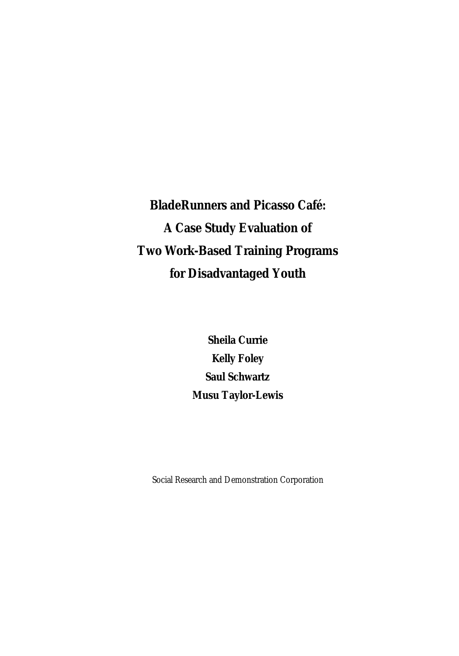**BladeRunners and Picasso Café: A Case Study Evaluation of Two Work-Based Training Programs for Disadvantaged Youth** 

> **Sheila Currie Kelly Foley Saul Schwartz Musu Taylor-Lewis**

Social Research and Demonstration Corporation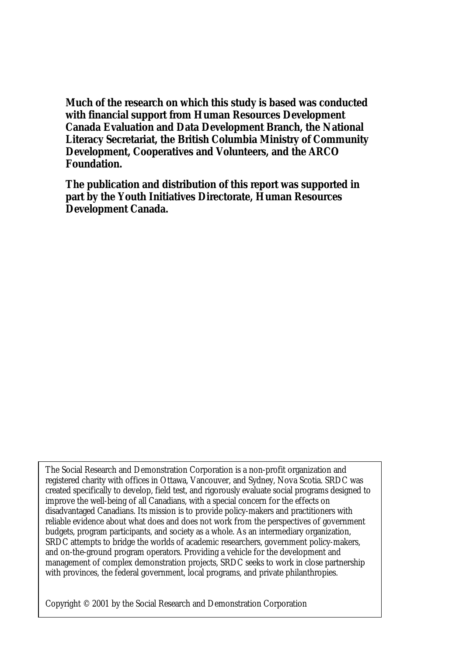**Much of the research on which this study is based was conducted with financial support from Human Resources Development Canada Evaluation and Data Development Branch, the National Literacy Secretariat, the British Columbia Ministry of Community Development, Cooperatives and Volunteers, and the ARCO Foundation.** 

**The publication and distribution of this report was supported in part by the Youth Initiatives Directorate, Human Resources Development Canada.** 

The Social Research and Demonstration Corporation is a non-profit organization and registered charity with offices in Ottawa, Vancouver, and Sydney, Nova Scotia. SRDC was created specifically to develop, field test, and rigorously evaluate social programs designed to improve the well-being of all Canadians, with a special concern for the effects on disadvantaged Canadians. Its mission is to provide policy-makers and practitioners with reliable evidence about what does and does not work from the perspectives of government budgets, program participants, and society as a whole. As an intermediary organization, SRDC attempts to bridge the worlds of academic researchers, government policy-makers, and on-the-ground program operators. Providing a vehicle for the development and management of complex demonstration projects, SRDC seeks to work in close partnership with provinces, the federal government, local programs, and private philanthropies.

Copyright © 2001 by the Social Research and Demonstration Corporation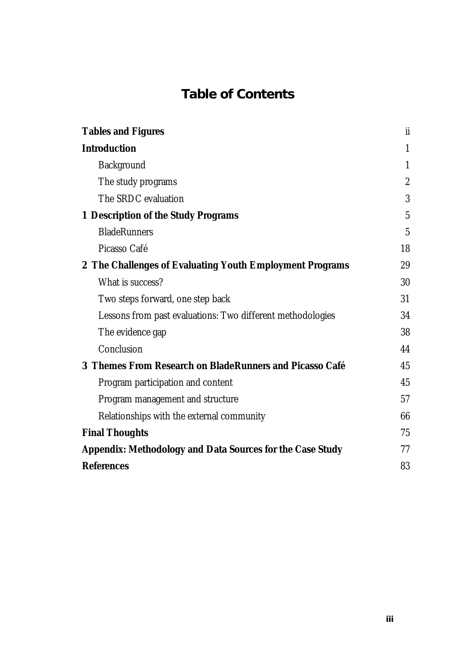# **Table of Contents**

| <b>Tables and Figures</b>                                  | <b>ii</b>        |  |
|------------------------------------------------------------|------------------|--|
| <b>Introduction</b>                                        |                  |  |
| <b>Background</b>                                          | 1                |  |
| The study programs                                         | $\boldsymbol{2}$ |  |
| The SRDC evaluation                                        | 3                |  |
| <b>1 Description of the Study Programs</b>                 |                  |  |
| <b>BladeRunners</b>                                        | $\mathbf{5}$     |  |
| Picasso Café                                               | 18               |  |
| 2 The Challenges of Evaluating Youth Employment Programs   |                  |  |
| What is success?                                           | 30               |  |
| Two steps forward, one step back                           | 31               |  |
| Lessons from past evaluations: Two different methodologies | 34               |  |
| The evidence gap                                           | 38               |  |
| Conclusion                                                 | 44               |  |
| 3 Themes From Research on BladeRunners and Picasso Café    | 45               |  |
| Program participation and content                          | 45               |  |
| Program management and structure                           | 57               |  |
| Relationships with the external community                  | 66               |  |
| <b>Final Thoughts</b>                                      | 75               |  |
| Appendix: Methodology and Data Sources for the Case Study  | 77               |  |
| <b>References</b>                                          | 83               |  |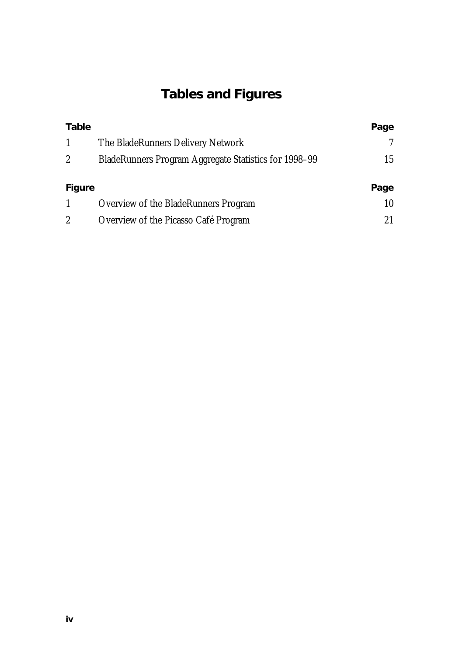# **Tables and Figures**

| Table  |                                                              | Page |
|--------|--------------------------------------------------------------|------|
| 1      | The BladeRunners Delivery Network                            |      |
| 2      | <b>BladeRunners Program Aggregate Statistics for 1998-99</b> | 15   |
| Figure |                                                              | Page |
|        | Overview of the BladeRunners Program                         | 10   |
|        |                                                              |      |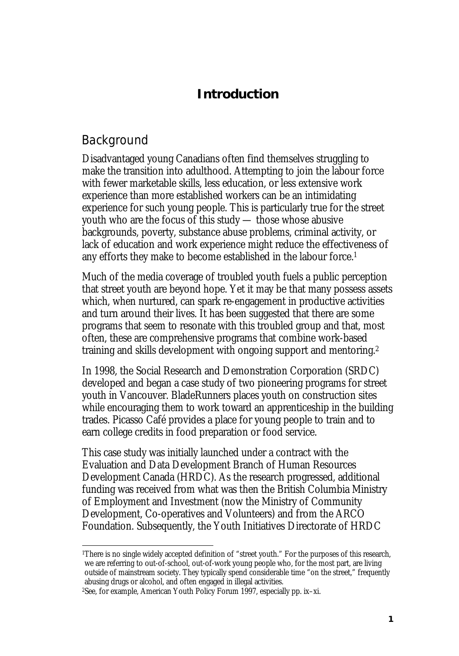# **Introduction**

# Background

 $\overline{a}$ 

Disadvantaged young Canadians often find themselves struggling to make the transition into adulthood. Attempting to join the labour force with fewer marketable skills, less education, or less extensive work experience than more established workers can be an intimidating experience for such young people. This is particularly true for the street youth who are the focus of this study — those whose abusive backgrounds, poverty, substance abuse problems, criminal activity, or lack of education and work experience might reduce the effectiveness of any efforts they make to become established in the labour force.1

Much of the media coverage of troubled youth fuels a public perception that street youth are beyond hope. Yet it may be that many possess assets which, when nurtured, can spark re-engagement in productive activities and turn around their lives. It has been suggested that there are some programs that seem to resonate with this troubled group and that, most often, these are comprehensive programs that combine work-based training and skills development with ongoing support and mentoring.2

In 1998, the Social Research and Demonstration Corporation (SRDC) developed and began a case study of two pioneering programs for street youth in Vancouver. BladeRunners places youth on construction sites while encouraging them to work toward an apprenticeship in the building trades. Picasso Café provides a place for young people to train and to earn college credits in food preparation or food service.

This case study was initially launched under a contract with the Evaluation and Data Development Branch of Human Resources Development Canada (HRDC). As the research progressed, additional funding was received from what was then the British Columbia Ministry of Employment and Investment (now the Ministry of Community Development, Co-operatives and Volunteers) and from the ARCO Foundation. Subsequently, the Youth Initiatives Directorate of HRDC

<sup>1</sup>There is no single widely accepted definition of "street youth." For the purposes of this research, we are referring to out-of-school, out-of-work young people who, for the most part, are living outside of mainstream society. They typically spend considerable time "on the street," frequently abusing drugs or alcohol, and often engaged in illegal activities.

<sup>2</sup>See, for example, American Youth Policy Forum 1997, especially pp. ix–xi.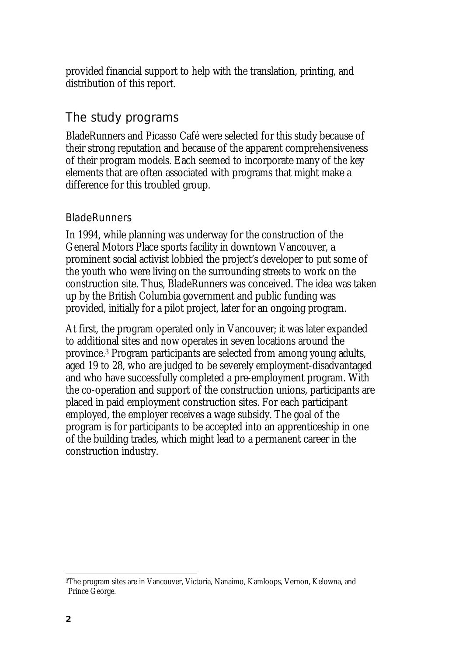provided financial support to help with the translation, printing, and distribution of this report.

# The study programs

BladeRunners and Picasso Café were selected for this study because of their strong reputation and because of the apparent comprehensiveness of their program models. Each seemed to incorporate many of the key elements that are often associated with programs that might make a difference for this troubled group.

#### **BladeRunners**

In 1994, while planning was underway for the construction of the General Motors Place sports facility in downtown Vancouver, a prominent social activist lobbied the project's developer to put some of the youth who were living on the surrounding streets to work on the construction site. Thus, BladeRunners was conceived. The idea was taken up by the British Columbia government and public funding was provided, initially for a pilot project, later for an ongoing program.

At first, the program operated only in Vancouver; it was later expanded to additional sites and now operates in seven locations around the province.3 Program participants are selected from among young adults, aged 19 to 28, who are judged to be severely employment-disadvantaged and who have successfully completed a pre-employment program. With the co-operation and support of the construction unions, participants are placed in paid employment construction sites. For each participant employed, the employer receives a wage subsidy. The goal of the program is for participants to be accepted into an apprenticeship in one of the building trades, which might lead to a permanent career in the construction industry.

 $\overline{a}$ 

<sup>3</sup>The program sites are in Vancouver, Victoria, Nanaimo, Kamloops, Vernon, Kelowna, and Prince George.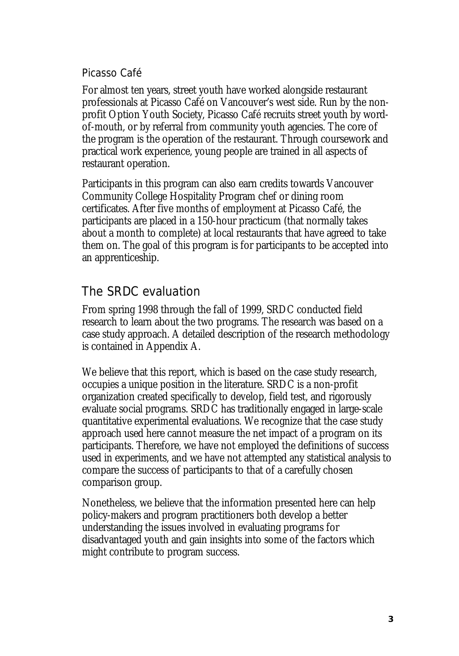#### Picasso Café

For almost ten years, street youth have worked alongside restaurant professionals at Picasso Café on Vancouver's west side. Run by the nonprofit Option Youth Society, Picasso Café recruits street youth by wordof-mouth, or by referral from community youth agencies. The core of the program is the operation of the restaurant. Through coursework and practical work experience, young people are trained in all aspects of restaurant operation.

Participants in this program can also earn credits towards Vancouver Community College Hospitality Program chef or dining room certificates. After five months of employment at Picasso Café, the participants are placed in a 150-hour practicum (that normally takes about a month to complete) at local restaurants that have agreed to take them on. The goal of this program is for participants to be accepted into an apprenticeship.

# The SRDC evaluation

From spring 1998 through the fall of 1999, SRDC conducted field research to learn about the two programs. The research was based on a case study approach. A detailed description of the research methodology is contained in Appendix A.

We believe that this report, which is based on the case study research, occupies a unique position in the literature. SRDC is a non-profit organization created specifically to develop, field test, and rigorously evaluate social programs. SRDC has traditionally engaged in large-scale quantitative experimental evaluations. We recognize that the case study approach used here cannot measure the net impact of a program on its participants. Therefore, we have not employed the definitions of success used in experiments, and we have not attempted any statistical analysis to compare the success of participants to that of a carefully chosen comparison group.

Nonetheless, we believe that the information presented here can help policy-makers and program practitioners both develop a better understanding the issues involved in evaluating programs for disadvantaged youth and gain insights into some of the factors which might contribute to program success.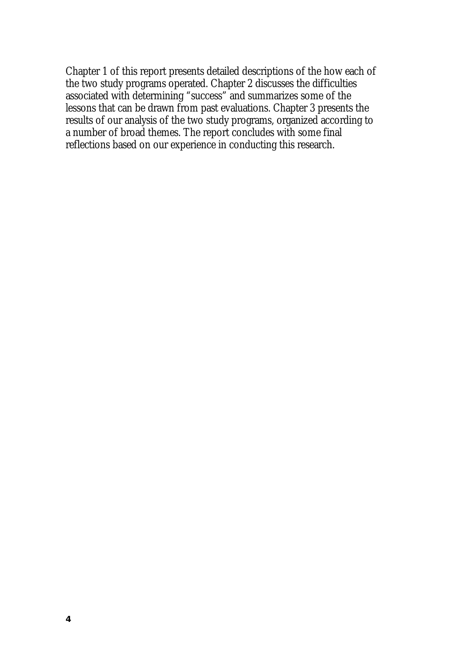Chapter 1 of this report presents detailed descriptions of the how each of the two study programs operated. Chapter 2 discusses the difficulties associated with determining "success" and summarizes some of the lessons that can be drawn from past evaluations. Chapter 3 presents the results of our analysis of the two study programs, organized according to a number of broad themes. The report concludes with some final reflections based on our experience in conducting this research.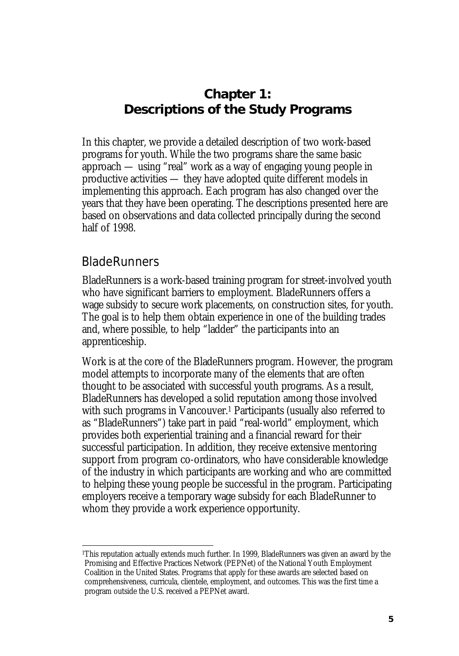# **Chapter 1: Descriptions of the Study Programs**

In this chapter, we provide a detailed description of two work-based programs for youth. While the two programs share the same basic approach — using "real" work as a way of engaging young people in productive activities — they have adopted quite different models in implementing this approach. Each program has also changed over the years that they have been operating. The descriptions presented here are based on observations and data collected principally during the second half of 1998.

## BladeRunners

 $\overline{a}$ 

BladeRunners is a work-based training program for street-involved youth who have significant barriers to employment. BladeRunners offers a wage subsidy to secure work placements, on construction sites, for youth. The goal is to help them obtain experience in one of the building trades and, where possible, to help "ladder" the participants into an apprenticeship.

Work is at the core of the BladeRunners program. However, the program model attempts to incorporate many of the elements that are often thought to be associated with successful youth programs. As a result, BladeRunners has developed a solid reputation among those involved with such programs in Vancouver.<sup>1</sup> Participants (usually also referred to as "BladeRunners") take part in paid "real-world" employment, which provides both experiential training and a financial reward for their successful participation. In addition, they receive extensive mentoring support from program co-ordinators, who have considerable knowledge of the industry in which participants are working and who are committed to helping these young people be successful in the program. Participating employers receive a temporary wage subsidy for each BladeRunner to whom they provide a work experience opportunity.

<sup>1</sup>This reputation actually extends much further. In 1999, BladeRunners was given an award by the Promising and Effective Practices Network (PEPNet) of the National Youth Employment Coalition in the United States. Programs that apply for these awards are selected based on comprehensiveness, curricula, clientele, employment, and outcomes. This was the first time a program outside the U.S. received a PEPNet award.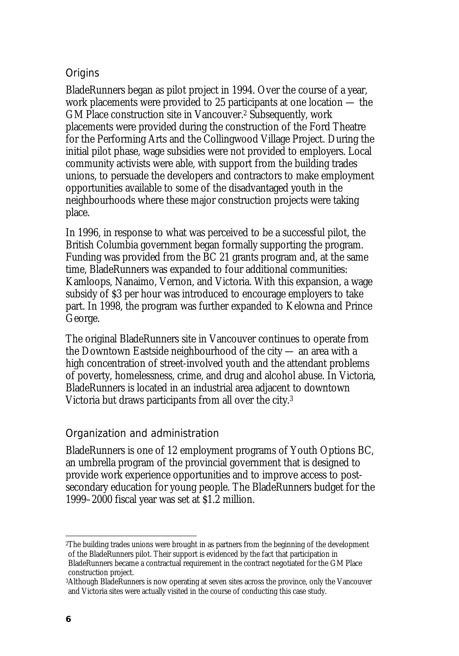### **Origins**

BladeRunners began as pilot project in 1994. Over the course of a year, work placements were provided to 25 participants at one location — the GM Place construction site in Vancouver.2 Subsequently, work placements were provided during the construction of the Ford Theatre for the Performing Arts and the Collingwood Village Project. During the initial pilot phase, wage subsidies were not provided to employers. Local community activists were able, with support from the building trades unions, to persuade the developers and contractors to make employment opportunities available to some of the disadvantaged youth in the neighbourhoods where these major construction projects were taking place.

In 1996, in response to what was perceived to be a successful pilot, the British Columbia government began formally supporting the program. Funding was provided from the BC 21 grants program and, at the same time, BladeRunners was expanded to four additional communities: Kamloops, Nanaimo, Vernon, and Victoria. With this expansion, a wage subsidy of \$3 per hour was introduced to encourage employers to take part. In 1998, the program was further expanded to Kelowna and Prince George.

The original BladeRunners site in Vancouver continues to operate from the Downtown Eastside neighbourhood of the city — an area with a high concentration of street-involved youth and the attendant problems of poverty, homelessness, crime, and drug and alcohol abuse. In Victoria, BladeRunners is located in an industrial area adjacent to downtown Victoria but draws participants from all over the city.3

### Organization and administration

BladeRunners is one of 12 employment programs of Youth Options BC, an umbrella program of the provincial government that is designed to provide work experience opportunities and to improve access to postsecondary education for young people. The BladeRunners budget for the 1999–2000 fiscal year was set at \$1.2 million.

 $\overline{a}$ 

<sup>2</sup>The building trades unions were brought in as partners from the beginning of the development of the BladeRunners pilot. Their support is evidenced by the fact that participation in BladeRunners became a contractual requirement in the contract negotiated for the GM Place construction project.

<sup>3</sup>Although BladeRunners is now operating at seven sites across the province, only the Vancouver and Victoria sites were actually visited in the course of conducting this case study.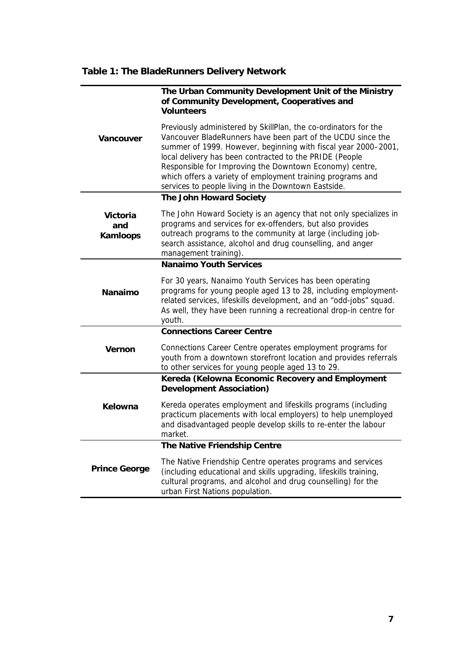# **Table 1: The BladeRunners Delivery Network**

|                             | The Urban Community Development Unit of the Ministry<br>of Community Development, Cooperatives and<br><b>Volunteers</b>                                                                                                                                                                                                                                                                                                                     |
|-----------------------------|---------------------------------------------------------------------------------------------------------------------------------------------------------------------------------------------------------------------------------------------------------------------------------------------------------------------------------------------------------------------------------------------------------------------------------------------|
| Vancouver                   | Previously administered by SkillPlan, the co-ordinators for the<br>Vancouver BladeRunners have been part of the UCDU since the<br>summer of 1999. However, beginning with fiscal year 2000-2001,<br>local delivery has been contracted to the PRIDE (People<br>Responsible for Improving the Downtown Economy) centre,<br>which offers a variety of employment training programs and<br>services to people living in the Downtown Eastside. |
|                             | The John Howard Society                                                                                                                                                                                                                                                                                                                                                                                                                     |
| Victoria<br>and<br>Kamloops | The John Howard Society is an agency that not only specializes in<br>programs and services for ex-offenders, but also provides<br>outreach programs to the community at large (including job-<br>search assistance, alcohol and drug counselling, and anger<br>management training).                                                                                                                                                        |
|                             | <b>Nanaimo Youth Services</b>                                                                                                                                                                                                                                                                                                                                                                                                               |
| Nanaimo                     | For 30 years, Nanaimo Youth Services has been operating<br>programs for young people aged 13 to 28, including employment-<br>related services, lifeskills development, and an "odd-jobs" squad.<br>As well, they have been running a recreational drop-in centre for<br>youth.                                                                                                                                                              |
|                             | <b>Connections Career Centre</b>                                                                                                                                                                                                                                                                                                                                                                                                            |
| Vernon                      | Connections Career Centre operates employment programs for<br>youth from a downtown storefront location and provides referrals<br>to other services for young people aged 13 to 29.                                                                                                                                                                                                                                                         |
|                             | Kereda (Kelowna Economic Recovery and Employment<br>Development Association)                                                                                                                                                                                                                                                                                                                                                                |
| Kelowna                     | Kereda operates employment and lifeskills programs (including<br>practicum placements with local employers) to help unemployed<br>and disadvantaged people develop skills to re-enter the labour<br>market.                                                                                                                                                                                                                                 |
|                             | The Native Friendship Centre                                                                                                                                                                                                                                                                                                                                                                                                                |
| <b>Prince George</b>        | The Native Friendship Centre operates programs and services<br>(including educational and skills upgrading, lifeskills training,<br>cultural programs, and alcohol and drug counselling) for the<br>urban First Nations population.                                                                                                                                                                                                         |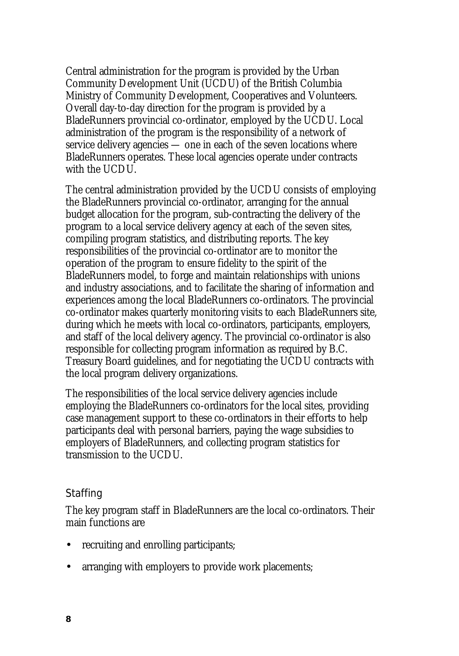Central administration for the program is provided by the Urban Community Development Unit (UCDU) of the British Columbia Ministry of Community Development, Cooperatives and Volunteers. Overall day-to-day direction for the program is provided by a BladeRunners provincial co-ordinator, employed by the UCDU. Local administration of the program is the responsibility of a network of service delivery agencies — one in each of the seven locations where BladeRunners operates. These local agencies operate under contracts with the UCDU.

The central administration provided by the UCDU consists of employing the BladeRunners provincial co-ordinator, arranging for the annual budget allocation for the program, sub-contracting the delivery of the program to a local service delivery agency at each of the seven sites, compiling program statistics, and distributing reports. The key responsibilities of the provincial co-ordinator are to monitor the operation of the program to ensure fidelity to the spirit of the BladeRunners model, to forge and maintain relationships with unions and industry associations, and to facilitate the sharing of information and experiences among the local BladeRunners co-ordinators. The provincial co-ordinator makes quarterly monitoring visits to each BladeRunners site, during which he meets with local co-ordinators, participants, employers, and staff of the local delivery agency. The provincial co-ordinator is also responsible for collecting program information as required by B.C. Treasury Board guidelines, and for negotiating the UCDU contracts with the local program delivery organizations.

The responsibilities of the local service delivery agencies include employing the BladeRunners co-ordinators for the local sites, providing case management support to these co-ordinators in their efforts to help participants deal with personal barriers, paying the wage subsidies to employers of BladeRunners, and collecting program statistics for transmission to the UCDU.

#### **Staffing**

The key program staff in BladeRunners are the local co-ordinators. Their main functions are

- recruiting and enrolling participants;
- arranging with employers to provide work placements;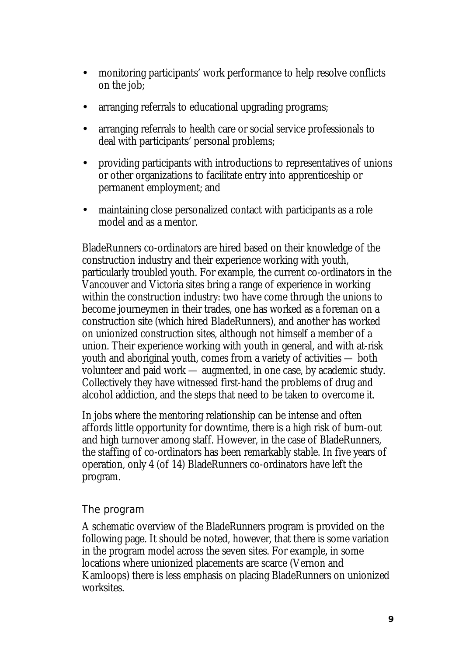- monitoring participants' work performance to help resolve conflicts on the job;
- arranging referrals to educational upgrading programs;
- arranging referrals to health care or social service professionals to deal with participants' personal problems;
- providing participants with introductions to representatives of unions or other organizations to facilitate entry into apprenticeship or permanent employment; and
- maintaining close personalized contact with participants as a role model and as a mentor.

BladeRunners co-ordinators are hired based on their knowledge of the construction industry and their experience working with youth, particularly troubled youth. For example, the current co-ordinators in the Vancouver and Victoria sites bring a range of experience in working within the construction industry: two have come through the unions to become journeymen in their trades, one has worked as a foreman on a construction site (which hired BladeRunners), and another has worked on unionized construction sites, although not himself a member of a union. Their experience working with youth in general, and with at-risk youth and aboriginal youth, comes from a variety of activities — both volunteer and paid work — augmented, in one case, by academic study. Collectively they have witnessed first-hand the problems of drug and alcohol addiction, and the steps that need to be taken to overcome it.

In jobs where the mentoring relationship can be intense and often affords little opportunity for downtime, there is a high risk of burn-out and high turnover among staff. However, in the case of BladeRunners, the staffing of co-ordinators has been remarkably stable. In five years of operation, only 4 (of 14) BladeRunners co-ordinators have left the program.

### The program

A schematic overview of the BladeRunners program is provided on the following page. It should be noted, however, that there is some variation in the program model across the seven sites. For example, in some locations where unionized placements are scarce (Vernon and Kamloops) there is less emphasis on placing BladeRunners on unionized worksites.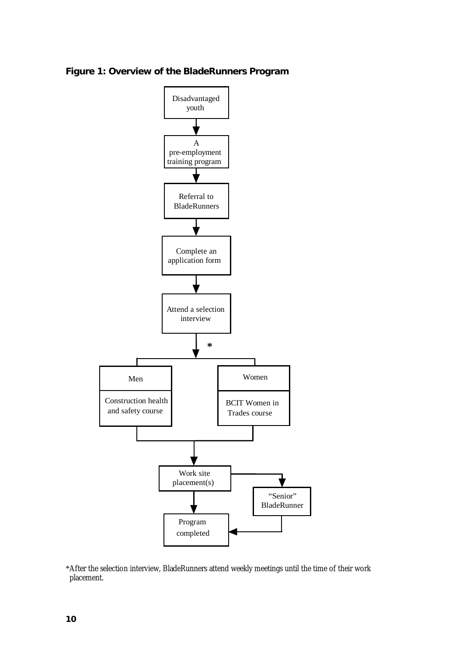**Figure 1: Overview of the BladeRunners Program** 



\*After the selection interview, BladeRunners attend weekly meetings until the time of their work placement.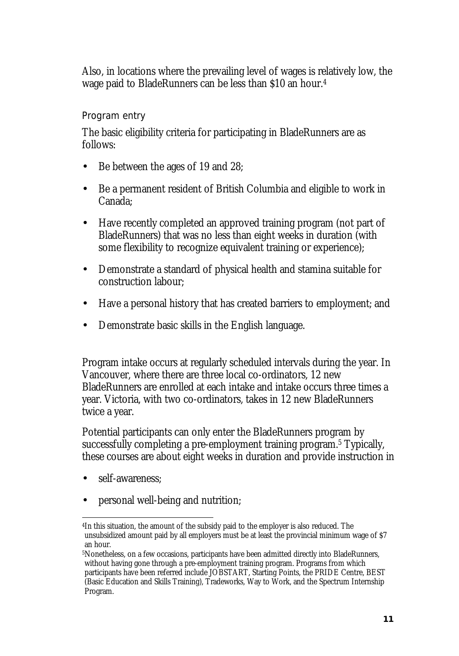Also, in locations where the prevailing level of wages is relatively low, the wage paid to BladeRunners can be less than \$10 an hour.4

#### Program entry

The basic eligibility criteria for participating in BladeRunners are as follows:

- Be between the ages of 19 and 28;
- Be a permanent resident of British Columbia and eligible to work in Canada;
- Have recently completed an approved training program (not part of BladeRunners) that was no less than eight weeks in duration (with some flexibility to recognize equivalent training or experience);
- Demonstrate a standard of physical health and stamina suitable for construction labour;
- Have a personal history that has created barriers to employment; and
- Demonstrate basic skills in the English language.

Program intake occurs at regularly scheduled intervals during the year. In Vancouver, where there are three local co-ordinators, 12 new BladeRunners are enrolled at each intake and intake occurs three times a year. Victoria, with two co-ordinators, takes in 12 new BladeRunners twice a year.

Potential participants can only enter the BladeRunners program by successfully completing a pre-employment training program.5 Typically, these courses are about eight weeks in duration and provide instruction in

- self-awareness:
- personal well-being and nutrition;

l 4In this situation, the amount of the subsidy paid to the employer is also reduced. The unsubsidized amount paid by all employers must be at least the provincial minimum wage of \$7 an hour.

<sup>5</sup>Nonetheless, on a few occasions, participants have been admitted directly into BladeRunners, without having gone through a pre-employment training program. Programs from which participants have been referred include JOBSTART, Starting Points, the PRIDE Centre, BEST (Basic Education and Skills Training), Tradeworks, Way to Work, and the Spectrum Internship Program.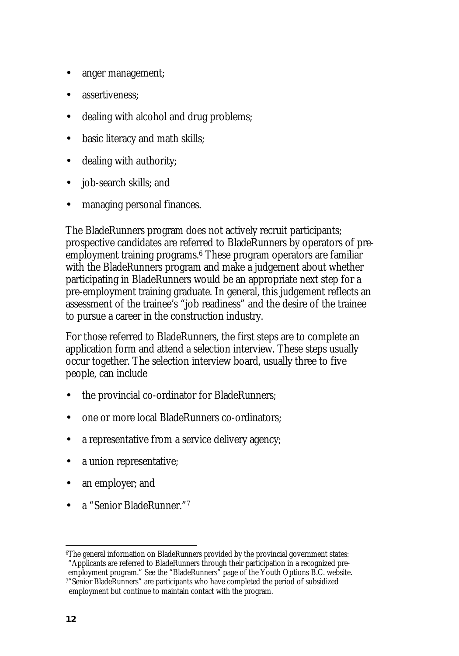- anger management;
- assertiveness:
- dealing with alcohol and drug problems;
- basic literacy and math skills;
- dealing with authority;
- job-search skills; and
- managing personal finances.

The BladeRunners program does not actively recruit participants; prospective candidates are referred to BladeRunners by operators of preemployment training programs.6 These program operators are familiar with the BladeRunners program and make a judgement about whether participating in BladeRunners would be an appropriate next step for a pre-employment training graduate. In general, this judgement reflects an assessment of the trainee's "job readiness" and the desire of the trainee to pursue a career in the construction industry.

For those referred to BladeRunners, the first steps are to complete an application form and attend a selection interview. These steps usually occur together. The selection interview board, usually three to five people, can include

- the provincial co-ordinator for BladeRunners;
- one or more local BladeRunners co-ordinators;
- a representative from a service delivery agency;
- a union representative;
- an employer; and
- a "Senior BladeRunner."7

 $\overline{a}$ 6The general information on BladeRunners provided by the provincial government states: "Applicants are referred to BladeRunners through their participation in a recognized pre-

employment program." See the "BladeRunners" page of the Youth Options B.C. website. 7"Senior BladeRunners" are participants who have completed the period of subsidized employment but continue to maintain contact with the program.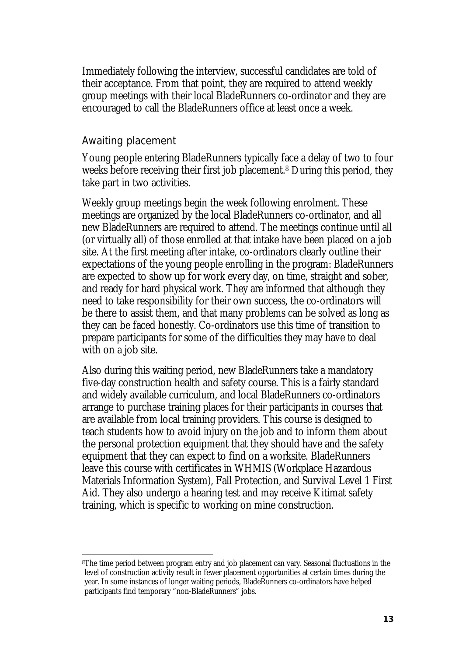Immediately following the interview, successful candidates are told of their acceptance. From that point, they are required to attend weekly group meetings with their local BladeRunners co-ordinator and they are encouraged to call the BladeRunners office at least once a week.

#### Awaiting placement

 $\overline{a}$ 

Young people entering BladeRunners typically face a delay of two to four weeks before receiving their first job placement.8 During this period, they take part in two activities.

Weekly group meetings begin the week following enrolment. These meetings are organized by the local BladeRunners co-ordinator, and all new BladeRunners are required to attend. The meetings continue until all (or virtually all) of those enrolled at that intake have been placed on a job site. At the first meeting after intake, co-ordinators clearly outline their expectations of the young people enrolling in the program: BladeRunners are expected to show up for work every day, on time, straight and sober, and ready for hard physical work. They are informed that although they need to take responsibility for their own success, the co-ordinators will be there to assist them, and that many problems can be solved as long as they can be faced honestly. Co-ordinators use this time of transition to prepare participants for some of the difficulties they may have to deal with on a job site.

Also during this waiting period, new BladeRunners take a mandatory five-day construction health and safety course. This is a fairly standard and widely available curriculum, and local BladeRunners co-ordinators arrange to purchase training places for their participants in courses that are available from local training providers. This course is designed to teach students how to avoid injury on the job and to inform them about the personal protection equipment that they should have and the safety equipment that they can expect to find on a worksite. BladeRunners leave this course with certificates in WHMIS (Workplace Hazardous Materials Information System), Fall Protection, and Survival Level 1 First Aid. They also undergo a hearing test and may receive Kitimat safety training, which is specific to working on mine construction.

<sup>8</sup>The time period between program entry and job placement can vary. Seasonal fluctuations in the level of construction activity result in fewer placement opportunities at certain times during the year. In some instances of longer waiting periods, BladeRunners co-ordinators have helped participants find temporary "non-BladeRunners" jobs.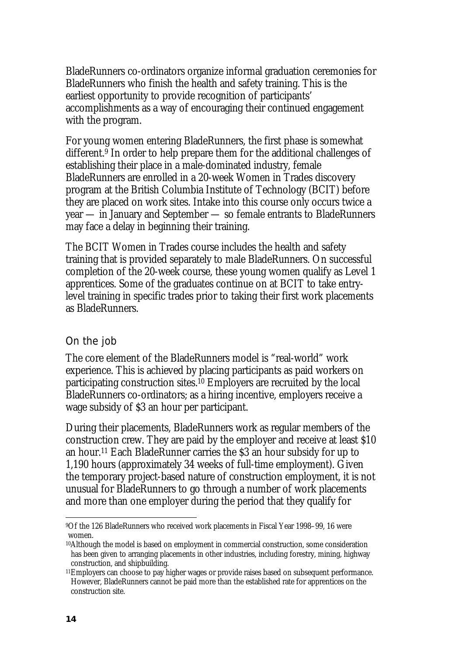BladeRunners co-ordinators organize informal graduation ceremonies for BladeRunners who finish the health and safety training. This is the earliest opportunity to provide recognition of participants' accomplishments as a way of encouraging their continued engagement with the program.

For young women entering BladeRunners, the first phase is somewhat different.9 In order to help prepare them for the additional challenges of establishing their place in a male-dominated industry, female BladeRunners are enrolled in a 20-week Women in Trades discovery program at the British Columbia Institute of Technology (BCIT) before they are placed on work sites. Intake into this course only occurs twice a year — in January and September — so female entrants to BladeRunners may face a delay in beginning their training.

The BCIT Women in Trades course includes the health and safety training that is provided separately to male BladeRunners. On successful completion of the 20-week course, these young women qualify as Level 1 apprentices. Some of the graduates continue on at BCIT to take entrylevel training in specific trades prior to taking their first work placements as BladeRunners.

#### On the job

The core element of the BladeRunners model is "real-world" work experience. This is achieved by placing participants as paid workers on participating construction sites.10 Employers are recruited by the local BladeRunners co-ordinators; as a hiring incentive, employers receive a wage subsidy of \$3 an hour per participant.

During their placements, BladeRunners work as regular members of the construction crew. They are paid by the employer and receive at least \$10 an hour.11 Each BladeRunner carries the \$3 an hour subsidy for up to 1,190 hours (approximately 34 weeks of full-time employment). Given the temporary project-based nature of construction employment, it is not unusual for BladeRunners to go through a number of work placements and more than one employer during the period that they qualify for

l 9Of the 126 BladeRunners who received work placements in Fiscal Year 1998–99, 16 were women.

<sup>10</sup>Although the model is based on employment in commercial construction, some consideration has been given to arranging placements in other industries, including forestry, mining, highway construction, and shipbuilding.

<sup>11</sup>Employers can choose to pay higher wages or provide raises based on subsequent performance. However, BladeRunners cannot be paid more than the established rate for apprentices on the construction site.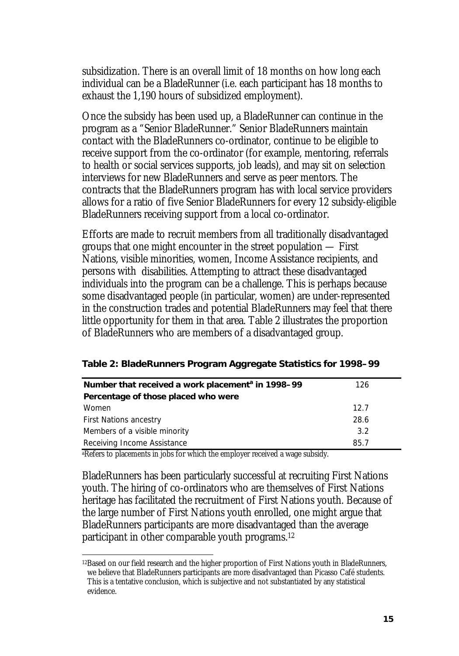subsidization. There is an overall limit of 18 months on how long each individual can be a BladeRunner (i.e. each participant has 18 months to exhaust the 1,190 hours of subsidized employment).

Once the subsidy has been used up, a BladeRunner can continue in the program as a "Senior BladeRunner." Senior BladeRunners maintain contact with the BladeRunners co-ordinator, continue to be eligible to receive support from the co-ordinator (for example, mentoring, referrals to health or social services supports, job leads), and may sit on selection interviews for new BladeRunners and serve as peer mentors. The contracts that the BladeRunners program has with local service providers allows for a ratio of five Senior BladeRunners for every 12 subsidy-eligible BladeRunners receiving support from a local co-ordinator.

Efforts are made to recruit members from all traditionally disadvantaged groups that one might encounter in the street population — First Nations, visible minorities, women, Income Assistance recipients, and persons with disabilities. Attempting to attract these disadvantaged individuals into the program can be a challenge. This is perhaps because some disadvantaged people (in particular, women) are under-represented in the construction trades and potential BladeRunners may feel that there little opportunity for them in that area. Table 2 illustrates the proportion of BladeRunners who are members of a disadvantaged group.

| Table 2: BladeRunners Program Aggregate Statistics for 1998-99 |  |
|----------------------------------------------------------------|--|
|----------------------------------------------------------------|--|

| Number that received a work placement <sup>a</sup> in 1998–99 | 126  |  |
|---------------------------------------------------------------|------|--|
| Percentage of those placed who were                           |      |  |
| Women                                                         | 12.7 |  |
| <b>First Nations ancestry</b>                                 | 28.6 |  |
| Members of a visible minority                                 | 3.2  |  |
| Receiving Income Assistance                                   | 85.7 |  |

aRefers to placements in jobs for which the employer received a wage subsidy.

BladeRunners has been particularly successful at recruiting First Nations youth. The hiring of co-ordinators who are themselves of First Nations heritage has facilitated the recruitment of First Nations youth. Because of the large number of First Nations youth enrolled, one might argue that BladeRunners participants are more disadvantaged than the average participant in other comparable youth programs.12

 $\overline{a}$ 12Based on our field research and the higher proportion of First Nations youth in BladeRunners, we believe that BladeRunners participants are more disadvantaged than Picasso Café students. This is a tentative conclusion, which is subjective and not substantiated by any statistical evidence.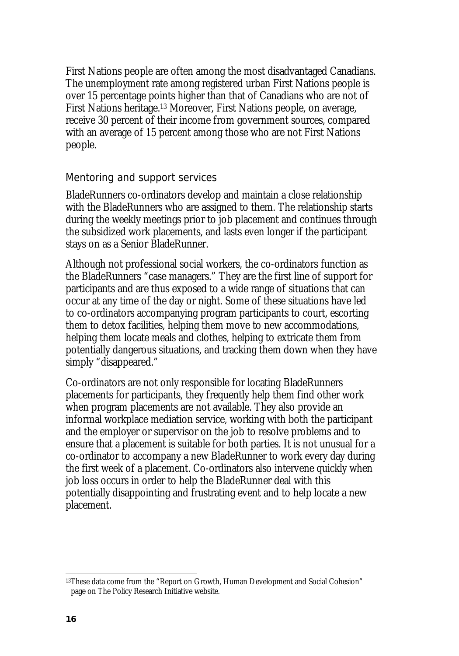First Nations people are often among the most disadvantaged Canadians. The unemployment rate among registered urban First Nations people is over 15 percentage points higher than that of Canadians who are not of First Nations heritage.13 Moreover, First Nations people, on average, receive 30 percent of their income from government sources, compared with an average of 15 percent among those who are not First Nations people.

#### Mentoring and support services

BladeRunners co-ordinators develop and maintain a close relationship with the BladeRunners who are assigned to them. The relationship starts during the weekly meetings prior to job placement and continues through the subsidized work placements, and lasts even longer if the participant stays on as a Senior BladeRunner.

Although not professional social workers, the co-ordinators function as the BladeRunners "case managers." They are the first line of support for participants and are thus exposed to a wide range of situations that can occur at any time of the day or night. Some of these situations have led to co-ordinators accompanying program participants to court, escorting them to detox facilities, helping them move to new accommodations, helping them locate meals and clothes, helping to extricate them from potentially dangerous situations, and tracking them down when they have simply "disappeared."

Co-ordinators are not only responsible for locating BladeRunners placements for participants, they frequently help them find other work when program placements are not available. They also provide an informal workplace mediation service, working with both the participant and the employer or supervisor on the job to resolve problems and to ensure that a placement is suitable for both parties. It is not unusual for a co-ordinator to accompany a new BladeRunner to work every day during the first week of a placement. Co-ordinators also intervene quickly when job loss occurs in order to help the BladeRunner deal with this potentially disappointing and frustrating event and to help locate a new placement.

 $\overline{a}$ 

<sup>13</sup>These data come from the "Report on Growth, Human Development and Social Cohesion" page on The Policy Research Initiative website.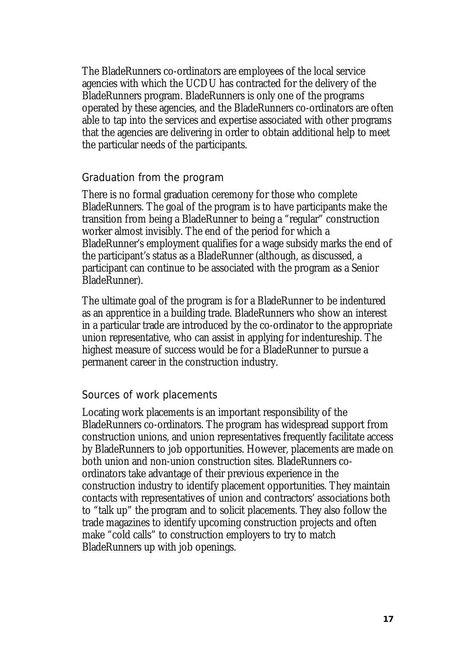The BladeRunners co-ordinators are employees of the local service agencies with which the UCDU has contracted for the delivery of the BladeRunners program. BladeRunners is only one of the programs operated by these agencies, and the BladeRunners co-ordinators are often able to tap into the services and expertise associated with other programs that the agencies are delivering in order to obtain additional help to meet the particular needs of the participants.

#### Graduation from the program

There is no formal graduation ceremony for those who complete BladeRunners. The goal of the program is to have participants make the transition from being a BladeRunner to being a "regular" construction worker almost invisibly. The end of the period for which a BladeRunner's employment qualifies for a wage subsidy marks the end of the participant's status as a BladeRunner (although, as discussed, a participant can continue to be associated with the program as a Senior BladeRunner).

The ultimate goal of the program is for a BladeRunner to be indentured as an apprentice in a building trade. BladeRunners who show an interest in a particular trade are introduced by the co-ordinator to the appropriate union representative, who can assist in applying for indentureship. The highest measure of success would be for a BladeRunner to pursue a permanent career in the construction industry.

#### Sources of work placements

Locating work placements is an important responsibility of the BladeRunners co-ordinators. The program has widespread support from construction unions, and union representatives frequently facilitate access by BladeRunners to job opportunities. However, placements are made on both union and non-union construction sites. BladeRunners coordinators take advantage of their previous experience in the construction industry to identify placement opportunities. They maintain contacts with representatives of union and contractors' associations both to "talk up" the program and to solicit placements. They also follow the trade magazines to identify upcoming construction projects and often make "cold calls" to construction employers to try to match BladeRunners up with job openings.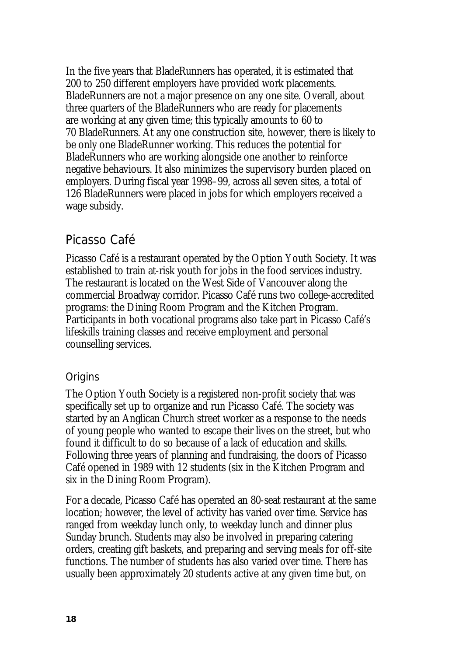In the five years that BladeRunners has operated, it is estimated that 200 to 250 different employers have provided work placements. BladeRunners are not a major presence on any one site. Overall, about three quarters of the BladeRunners who are ready for placements are working at any given time; this typically amounts to 60 to 70 BladeRunners. At any one construction site, however, there is likely to be only one BladeRunner working. This reduces the potential for BladeRunners who are working alongside one another to reinforce negative behaviours. It also minimizes the supervisory burden placed on employers. During fiscal year 1998–99, across all seven sites, a total of 126 BladeRunners were placed in jobs for which employers received a wage subsidy.

# Picasso Café

Picasso Café is a restaurant operated by the Option Youth Society. It was established to train at-risk youth for jobs in the food services industry. The restaurant is located on the West Side of Vancouver along the commercial Broadway corridor. Picasso Café runs two college-accredited programs: the Dining Room Program and the Kitchen Program. Participants in both vocational programs also take part in Picasso Café's lifeskills training classes and receive employment and personal counselling services.

### **Origins**

The Option Youth Society is a registered non-profit society that was specifically set up to organize and run Picasso Café. The society was started by an Anglican Church street worker as a response to the needs of young people who wanted to escape their lives on the street, but who found it difficult to do so because of a lack of education and skills. Following three years of planning and fundraising, the doors of Picasso Café opened in 1989 with 12 students (six in the Kitchen Program and six in the Dining Room Program).

For a decade, Picasso Café has operated an 80-seat restaurant at the same location; however, the level of activity has varied over time. Service has ranged from weekday lunch only, to weekday lunch and dinner plus Sunday brunch. Students may also be involved in preparing catering orders, creating gift baskets, and preparing and serving meals for off-site functions. The number of students has also varied over time. There has usually been approximately 20 students active at any given time but, on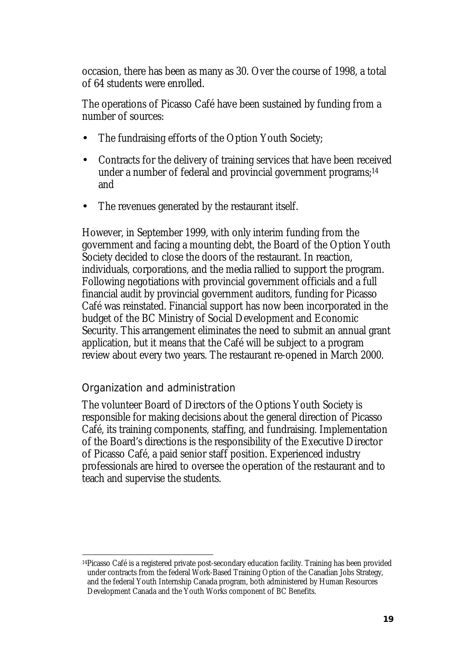occasion, there has been as many as 30. Over the course of 1998, a total of 64 students were enrolled.

The operations of Picasso Café have been sustained by funding from a number of sources:

- The fundraising efforts of the Option Youth Society;
- Contracts for the delivery of training services that have been received under a number of federal and provincial government programs;<sup>14</sup> and
- The revenues generated by the restaurant itself.

However, in September 1999, with only interim funding from the government and facing a mounting debt, the Board of the Option Youth Society decided to close the doors of the restaurant. In reaction, individuals, corporations, and the media rallied to support the program. Following negotiations with provincial government officials and a full financial audit by provincial government auditors, funding for Picasso Café was reinstated. Financial support has now been incorporated in the budget of the BC Ministry of Social Development and Economic Security. This arrangement eliminates the need to submit an annual grant application, but it means that the Café will be subject to a program review about every two years. The restaurant re-opened in March 2000.

#### Organization and administration

 $\overline{a}$ 

The volunteer Board of Directors of the Options Youth Society is responsible for making decisions about the general direction of Picasso Café, its training components, staffing, and fundraising. Implementation of the Board's directions is the responsibility of the Executive Director of Picasso Café, a paid senior staff position. Experienced industry professionals are hired to oversee the operation of the restaurant and to teach and supervise the students.

<sup>14</sup>Picasso Café is a registered private post-secondary education facility. Training has been provided under contracts from the federal Work-Based Training Option of the Canadian Jobs Strategy, and the federal Youth Internship Canada program, both administered by Human Resources Development Canada and the Youth Works component of BC Benefits.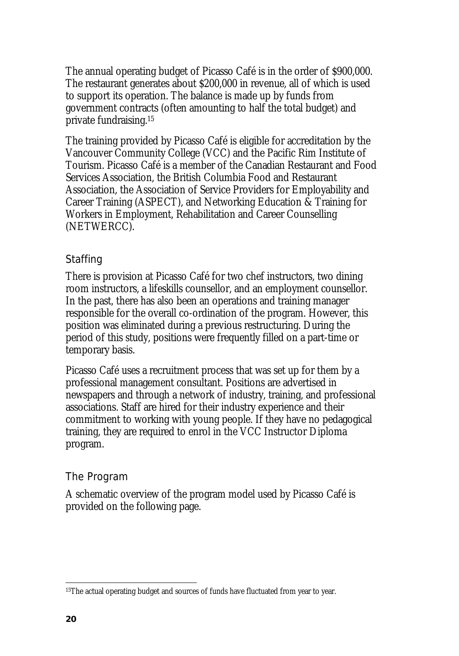The annual operating budget of Picasso Café is in the order of \$900,000. The restaurant generates about \$200,000 in revenue, all of which is used to support its operation. The balance is made up by funds from government contracts (often amounting to half the total budget) and private fundraising.15

The training provided by Picasso Café is eligible for accreditation by the Vancouver Community College (VCC) and the Pacific Rim Institute of Tourism. Picasso Café is a member of the Canadian Restaurant and Food Services Association, the British Columbia Food and Restaurant Association, the Association of Service Providers for Employability and Career Training (ASPECT), and Networking Education & Training for Workers in Employment, Rehabilitation and Career Counselling (NETWERCC).

## Staffing

There is provision at Picasso Café for two chef instructors, two dining room instructors, a lifeskills counsellor, and an employment counsellor. In the past, there has also been an operations and training manager responsible for the overall co-ordination of the program. However, this position was eliminated during a previous restructuring. During the period of this study, positions were frequently filled on a part-time or temporary basis.

Picasso Café uses a recruitment process that was set up for them by a professional management consultant. Positions are advertised in newspapers and through a network of industry, training, and professional associations. Staff are hired for their industry experience and their commitment to working with young people. If they have no pedagogical training, they are required to enrol in the VCC Instructor Diploma program.

#### The Program

A schematic overview of the program model used by Picasso Café is provided on the following page.

 $\overline{\phantom{a}}$ 

<sup>&</sup>lt;sup>15</sup>The actual operating budget and sources of funds have fluctuated from year to year.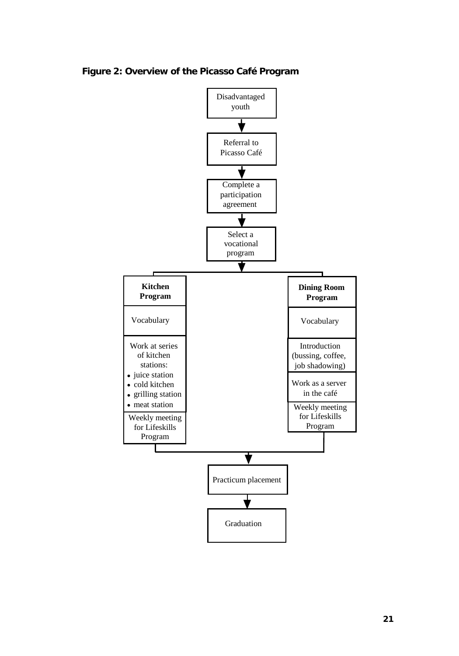

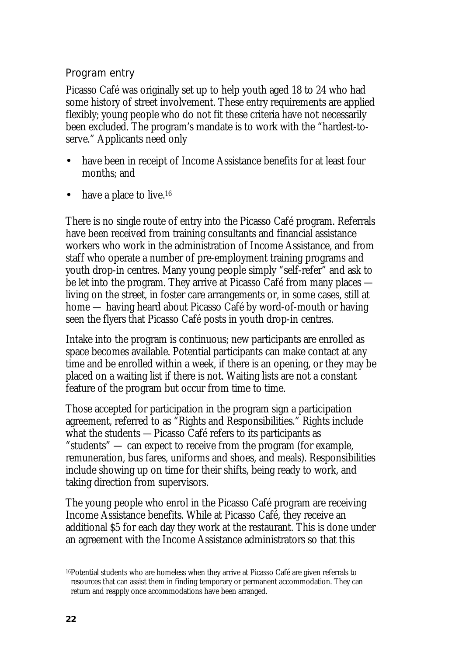# Program entry

Picasso Café was originally set up to help youth aged 18 to 24 who had some history of street involvement. These entry requirements are applied flexibly; young people who do not fit these criteria have not necessarily been excluded. The program's mandate is to work with the "hardest-toserve." Applicants need only

- have been in receipt of Income Assistance benefits for at least four months; and
- have a place to live.<sup>16</sup>

There is no single route of entry into the Picasso Café program. Referrals have been received from training consultants and financial assistance workers who work in the administration of Income Assistance, and from staff who operate a number of pre-employment training programs and youth drop-in centres. Many young people simply "self-refer" and ask to be let into the program. They arrive at Picasso Café from many places living on the street, in foster care arrangements or, in some cases, still at home — having heard about Picasso Café by word-of-mouth or having seen the flyers that Picasso Café posts in youth drop-in centres.

Intake into the program is continuous; new participants are enrolled as space becomes available. Potential participants can make contact at any time and be enrolled within a week, if there is an opening, or they may be placed on a waiting list if there is not. Waiting lists are not a constant feature of the program but occur from time to time.

Those accepted for participation in the program sign a participation agreement, referred to as "Rights and Responsibilities." Rights include what the students —Picasso Café refers to its participants as "students" — can expect to receive from the program (for example, remuneration, bus fares, uniforms and shoes, and meals). Responsibilities include showing up on time for their shifts, being ready to work, and taking direction from supervisors.

The young people who enrol in the Picasso Café program are receiving Income Assistance benefits. While at Picasso Café, they receive an additional \$5 for each day they work at the restaurant. This is done under an agreement with the Income Assistance administrators so that this

l <sup>16</sup>Potential students who are homeless when they arrive at Picasso Café are given referrals to resources that can assist them in finding temporary or permanent accommodation. They can return and reapply once accommodations have been arranged.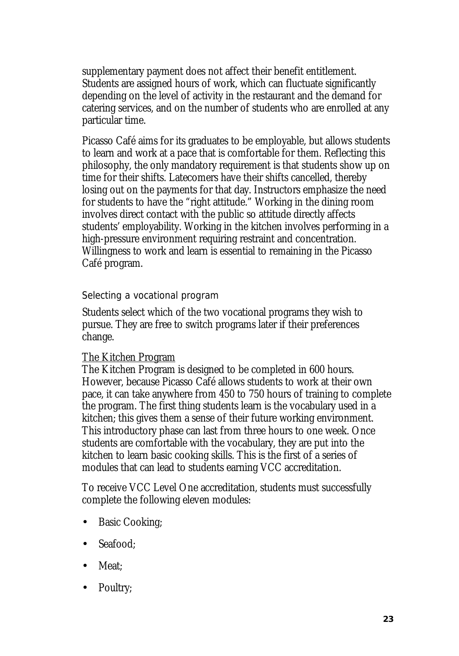supplementary payment does not affect their benefit entitlement. Students are assigned hours of work, which can fluctuate significantly depending on the level of activity in the restaurant and the demand for catering services, and on the number of students who are enrolled at any particular time.

Picasso Café aims for its graduates to be employable, but allows students to learn and work at a pace that is comfortable for them. Reflecting this philosophy, the only mandatory requirement is that students show up on time for their shifts. Latecomers have their shifts cancelled, thereby losing out on the payments for that day. Instructors emphasize the need for students to have the "right attitude." Working in the dining room involves direct contact with the public so attitude directly affects students' employability. Working in the kitchen involves performing in a high-pressure environment requiring restraint and concentration. Willingness to work and learn is essential to remaining in the Picasso Café program.

#### Selecting a vocational program

Students select which of the two vocational programs they wish to pursue. They are free to switch programs later if their preferences change.

#### The Kitchen Program

The Kitchen Program is designed to be completed in 600 hours. However, because Picasso Café allows students to work at their own pace, it can take anywhere from 450 to 750 hours of training to complete the program. The first thing students learn is the vocabulary used in a kitchen; this gives them a sense of their future working environment. This introductory phase can last from three hours to one week. Once students are comfortable with the vocabulary, they are put into the kitchen to learn basic cooking skills. This is the first of a series of modules that can lead to students earning VCC accreditation.

To receive VCC Level One accreditation, students must successfully complete the following eleven modules:

- Basic Cooking;
- Seafood:
- Meat:
- Poultry;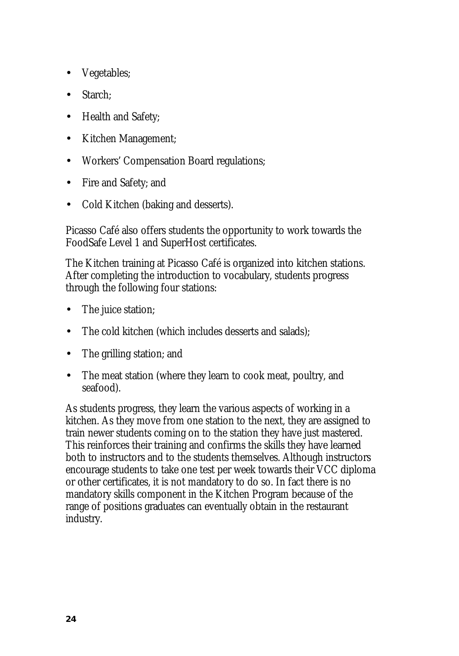- Vegetables;
- Starch;
- Health and Safety;
- Kitchen Management;
- Workers' Compensation Board regulations;
- Fire and Safety; and
- Cold Kitchen (baking and desserts).

Picasso Café also offers students the opportunity to work towards the FoodSafe Level 1 and SuperHost certificates.

The Kitchen training at Picasso Café is organized into kitchen stations. After completing the introduction to vocabulary, students progress through the following four stations:

- The juice station;
- The cold kitchen (which includes desserts and salads);
- The grilling station; and
- The meat station (where they learn to cook meat, poultry, and seafood).

As students progress, they learn the various aspects of working in a kitchen. As they move from one station to the next, they are assigned to train newer students coming on to the station they have just mastered. This reinforces their training and confirms the skills they have learned both to instructors and to the students themselves. Although instructors encourage students to take one test per week towards their VCC diploma or other certificates, it is not mandatory to do so. In fact there is no mandatory skills component in the Kitchen Program because of the range of positions graduates can eventually obtain in the restaurant industry.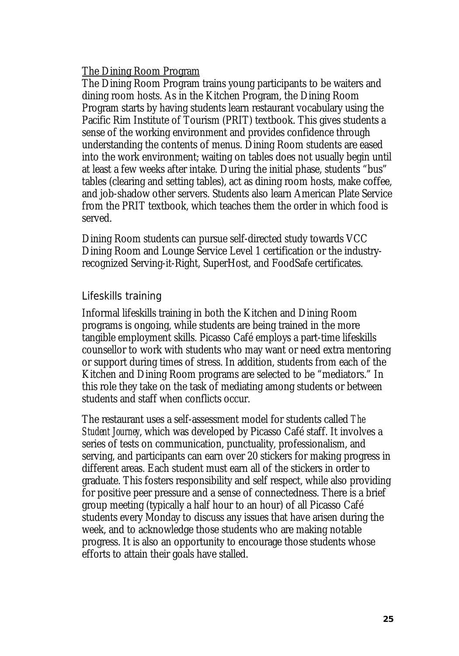#### The Dining Room Program

The Dining Room Program trains young participants to be waiters and dining room hosts. As in the Kitchen Program, the Dining Room Program starts by having students learn restaurant vocabulary using the Pacific Rim Institute of Tourism (PRIT) textbook. This gives students a sense of the working environment and provides confidence through understanding the contents of menus. Dining Room students are eased into the work environment; waiting on tables does not usually begin until at least a few weeks after intake. During the initial phase, students "bus" tables (clearing and setting tables), act as dining room hosts, make coffee, and job-shadow other servers. Students also learn American Plate Service from the PRIT textbook, which teaches them the order in which food is served.

Dining Room students can pursue self-directed study towards VCC Dining Room and Lounge Service Level 1 certification or the industryrecognized Serving-it-Right, SuperHost, and FoodSafe certificates.

#### Lifeskills training

Informal lifeskills training in both the Kitchen and Dining Room programs is ongoing, while students are being trained in the more tangible employment skills. Picasso Café employs a part-time lifeskills counsellor to work with students who may want or need extra mentoring or support during times of stress. In addition, students from each of the Kitchen and Dining Room programs are selected to be "mediators." In this role they take on the task of mediating among students or between students and staff when conflicts occur.

The restaurant uses a self-assessment model for students called *The Student Journey*, which was developed by Picasso Café staff. It involves a series of tests on communication, punctuality, professionalism, and serving, and participants can earn over 20 stickers for making progress in different areas. Each student must earn all of the stickers in order to graduate. This fosters responsibility and self respect, while also providing for positive peer pressure and a sense of connectedness. There is a brief group meeting (typically a half hour to an hour) of all Picasso Café students every Monday to discuss any issues that have arisen during the week, and to acknowledge those students who are making notable progress. It is also an opportunity to encourage those students whose efforts to attain their goals have stalled.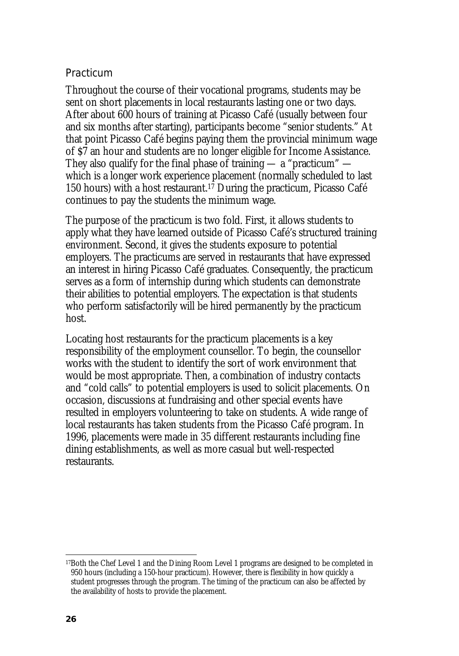#### Practicum

Throughout the course of their vocational programs, students may be sent on short placements in local restaurants lasting one or two days. After about 600 hours of training at Picasso Café (usually between four and six months after starting), participants become "senior students." At that point Picasso Café begins paying them the provincial minimum wage of \$7 an hour and students are no longer eligible for Income Assistance. They also qualify for the final phase of training  $-$  a "practicum"  $$ which is a longer work experience placement (normally scheduled to last 150 hours) with a host restaurant.<sup>17</sup> During the practicum, Picasso Café continues to pay the students the minimum wage.

The purpose of the practicum is two fold. First, it allows students to apply what they have learned outside of Picasso Café's structured training environment. Second, it gives the students exposure to potential employers. The practicums are served in restaurants that have expressed an interest in hiring Picasso Café graduates. Consequently, the practicum serves as a form of internship during which students can demonstrate their abilities to potential employers. The expectation is that students who perform satisfactorily will be hired permanently by the practicum host.

Locating host restaurants for the practicum placements is a key responsibility of the employment counsellor. To begin, the counsellor works with the student to identify the sort of work environment that would be most appropriate. Then, a combination of industry contacts and "cold calls" to potential employers is used to solicit placements. On occasion, discussions at fundraising and other special events have resulted in employers volunteering to take on students. A wide range of local restaurants has taken students from the Picasso Café program. In 1996, placements were made in 35 different restaurants including fine dining establishments, as well as more casual but well-respected restaurants.

 $\overline{a}$ 17Both the Chef Level 1 and the Dining Room Level 1 programs are designed to be completed in 950 hours (including a 150-hour practicum). However, there is flexibility in how quickly a student progresses through the program. The timing of the practicum can also be affected by the availability of hosts to provide the placement.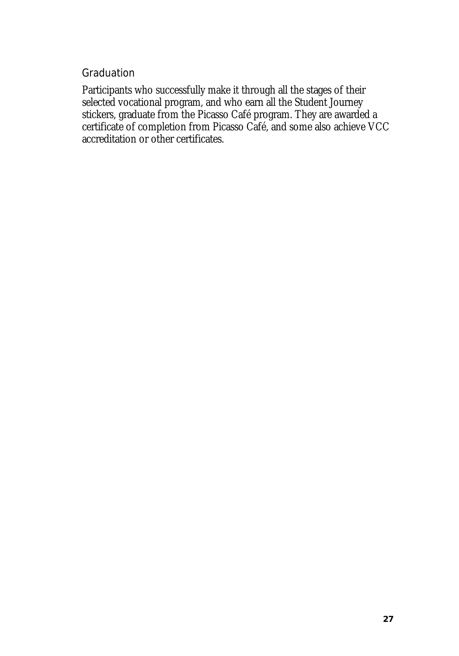#### Graduation

Participants who successfully make it through all the stages of their selected vocational program, and who earn all the Student Journey stickers, graduate from the Picasso Café program. They are awarded a certificate of completion from Picasso Café, and some also achieve VCC accreditation or other certificates.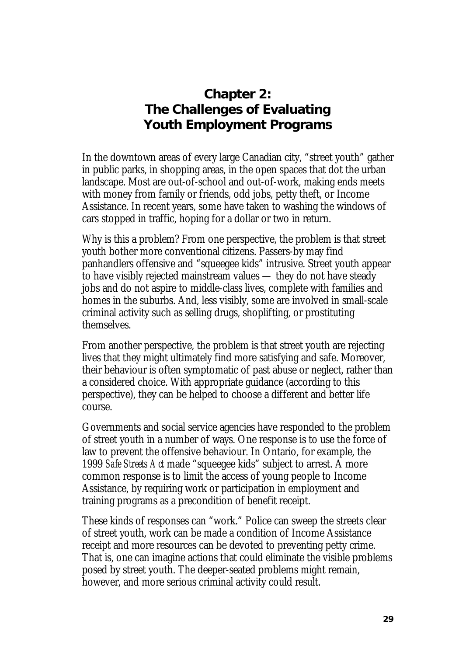# **Chapter 2: The Challenges of Evaluating Youth Employment Programs**

In the downtown areas of every large Canadian city, "street youth" gather in public parks, in shopping areas, in the open spaces that dot the urban landscape. Most are out-of-school and out-of-work, making ends meets with money from family or friends, odd jobs, petty theft, or Income Assistance. In recent years, some have taken to washing the windows of cars stopped in traffic, hoping for a dollar or two in return.

Why is this a problem? From one perspective, the problem is that street youth bother more conventional citizens. Passers-by may find panhandlers offensive and "squeegee kids" intrusive. Street youth appear to have visibly rejected mainstream values — they do not have steady jobs and do not aspire to middle-class lives, complete with families and homes in the suburbs. And, less visibly, some are involved in small-scale criminal activity such as selling drugs, shoplifting, or prostituting themselves.

From another perspective, the problem is that street youth are rejecting lives that they might ultimately find more satisfying and safe. Moreover, their behaviour is often symptomatic of past abuse or neglect, rather than a considered choice. With appropriate guidance (according to this perspective), they can be helped to choose a different and better life course.

Governments and social service agencies have responded to the problem of street youth in a number of ways. One response is to use the force of law to prevent the offensive behaviour. In Ontario, for example, the 1999 *Safe Streets Act* made "squeegee kids" subject to arrest. A more common response is to limit the access of young people to Income Assistance, by requiring work or participation in employment and training programs as a precondition of benefit receipt.

These kinds of responses can "work." Police can sweep the streets clear of street youth, work can be made a condition of Income Assistance receipt and more resources can be devoted to preventing petty crime. That is, one can imagine actions that could eliminate the visible problems posed by street youth. The deeper-seated problems might remain, however, and more serious criminal activity could result.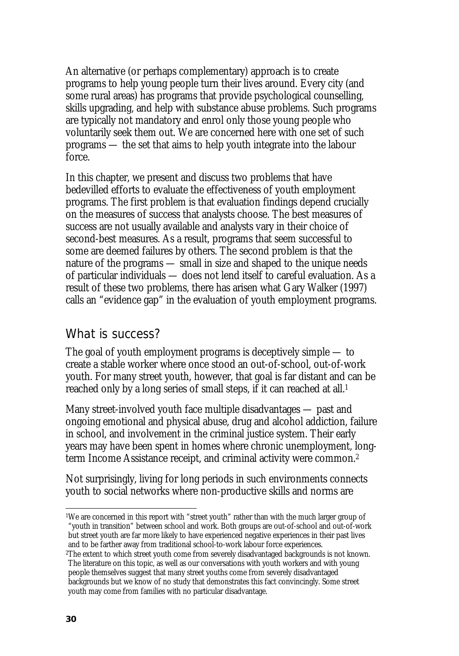An alternative (or perhaps complementary) approach is to create programs to help young people turn their lives around. Every city (and some rural areas) has programs that provide psychological counselling, skills upgrading, and help with substance abuse problems. Such programs are typically not mandatory and enrol only those young people who voluntarily seek them out. We are concerned here with one set of such programs — the set that aims to help youth integrate into the labour force.

In this chapter, we present and discuss two problems that have bedevilled efforts to evaluate the effectiveness of youth employment programs. The first problem is that evaluation findings depend crucially on the measures of success that analysts choose. The best measures of success are not usually available and analysts vary in their choice of second-best measures. As a result, programs that seem successful to some are deemed failures by others. The second problem is that the nature of the programs — small in size and shaped to the unique needs of particular individuals — does not lend itself to careful evaluation. As a result of these two problems, there has arisen what Gary Walker (1997) calls an "evidence gap" in the evaluation of youth employment programs.

# What is success?

The goal of youth employment programs is deceptively simple — to create a stable worker where once stood an out-of-school, out-of-work youth. For many street youth, however, that goal is far distant and can be reached only by a long series of small steps, if it can reached at all.<sup>1</sup>

Many street-involved youth face multiple disadvantages — past and ongoing emotional and physical abuse, drug and alcohol addiction, failure in school, and involvement in the criminal justice system. Their early years may have been spent in homes where chronic unemployment, longterm Income Assistance receipt, and criminal activity were common.2

Not surprisingly, living for long periods in such environments connects youth to social networks where non-productive skills and norms are

 $\overline{a}$ <sup>1</sup>We are concerned in this report with "street youth" rather than with the much larger group of "youth in transition" between school and work. Both groups are out-of-school and out-of-work but street youth are far more likely to have experienced negative experiences in their past lives and to be farther away from traditional school-to-work labour force experiences.

<sup>2</sup>The extent to which street youth come from severely disadvantaged backgrounds is not known. The literature on this topic, as well as our conversations with youth workers and with young people themselves suggest that many street youths come from severely disadvantaged backgrounds but we know of no study that demonstrates this fact convincingly. Some street

youth may come from families with no particular disadvantage.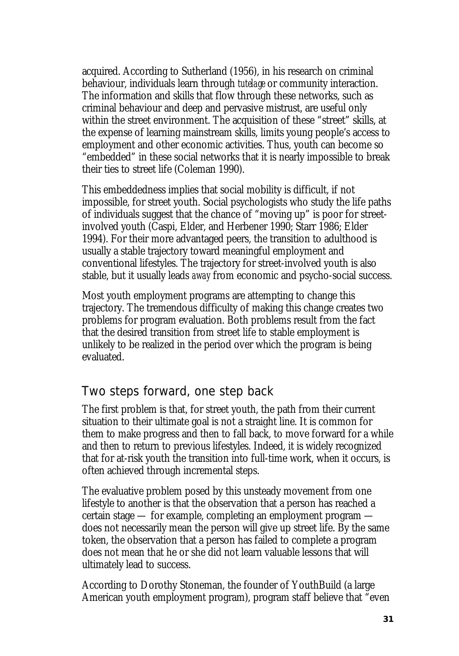acquired. According to Sutherland (1956), in his research on criminal behaviour, individuals learn through *tutelage* or community interaction. The information and skills that flow through these networks, such as criminal behaviour and deep and pervasive mistrust, are useful only within the street environment. The acquisition of these "street" skills, at the expense of learning mainstream skills, limits young people's access to employment and other economic activities. Thus, youth can become so "embedded" in these social networks that it is nearly impossible to break their ties to street life (Coleman 1990).

This embeddedness implies that social mobility is difficult, if not impossible, for street youth. Social psychologists who study the life paths of individuals suggest that the chance of "moving up" is poor for streetinvolved youth (Caspi, Elder, and Herbener 1990; Starr 1986; Elder 1994). For their more advantaged peers, the transition to adulthood is usually a stable trajectory toward meaningful employment and conventional lifestyles. The trajectory for street-involved youth is also stable, but it usually leads *away* from economic and psycho-social success.

Most youth employment programs are attempting to change this trajectory. The tremendous difficulty of making this change creates two problems for program evaluation. Both problems result from the fact that the desired transition from street life to stable employment is unlikely to be realized in the period over which the program is being evaluated.

# Two steps forward, one step back

The first problem is that, for street youth, the path from their current situation to their ultimate goal is not a straight line. It is common for them to make progress and then to fall back, to move forward for a while and then to return to previous lifestyles. Indeed, it is widely recognized that for at-risk youth the transition into full-time work, when it occurs, is often achieved through incremental steps.

The evaluative problem posed by this unsteady movement from one lifestyle to another is that the observation that a person has reached a certain stage — for example, completing an employment program does not necessarily mean the person will give up street life. By the same token, the observation that a person has failed to complete a program does not mean that he or she did not learn valuable lessons that will ultimately lead to success.

According to Dorothy Stoneman, the founder of YouthBuild (a large American youth employment program), program staff believe that "even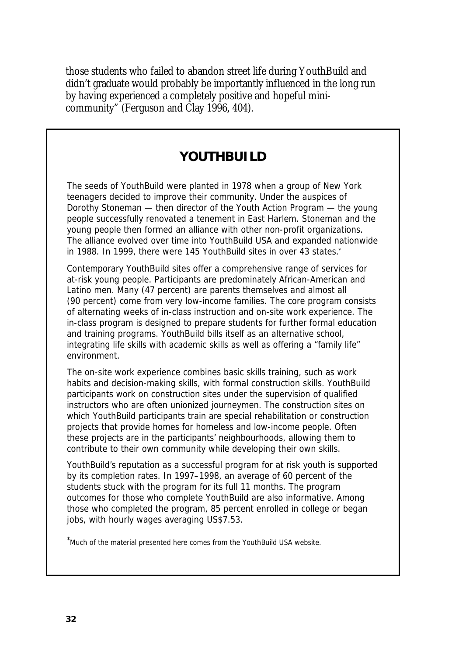those students who failed to abandon street life during YouthBuild and didn't graduate would probably be importantly influenced in the long run by having experienced a completely positive and hopeful minicommunity" (Ferguson and Clay 1996, 404).

# **YOUTHBUILD**

The seeds of YouthBuild were planted in 1978 when a group of New York teenagers decided to improve their community. Under the auspices of Dorothy Stoneman — then director of the Youth Action Program — the young people successfully renovated a tenement in East Harlem. Stoneman and the young people then formed an alliance with other non-profit organizations. The alliance evolved over time into YouthBuild USA and expanded nationwide in 1988. In 1999, there were 145 YouthBuild sites in over 43 states.\*

Contemporary YouthBuild sites offer a comprehensive range of services for at-risk young people. Participants are predominately African-American and Latino men. Many (47 percent) are parents themselves and almost all (90 percent) come from very low-income families. The core program consists of alternating weeks of in-class instruction and on-site work experience. The in-class program is designed to prepare students for further formal education and training programs. YouthBuild bills itself as an alternative school, integrating life skills with academic skills as well as offering a "family life" environment.

The on-site work experience combines basic skills training, such as work habits and decision-making skills, with formal construction skills. YouthBuild participants work on construction sites under the supervision of qualified instructors who are often unionized journeymen. The construction sites on which YouthBuild participants train are special rehabilitation or construction projects that provide homes for homeless and low-income people. Often these projects are in the participants' neighbourhoods, allowing them to contribute to their own community while developing their own skills.

YouthBuild's reputation as a successful program for at risk youth is supported by its completion rates. In 1997–1998, an average of 60 percent of the students stuck with the program for its full 11 months. The program outcomes for those who complete YouthBuild are also informative. Among those who completed the program, 85 percent enrolled in college or began jobs, with hourly wages averaging US\$7.53.

\*Much of the material presented here comes from the YouthBuild USA website.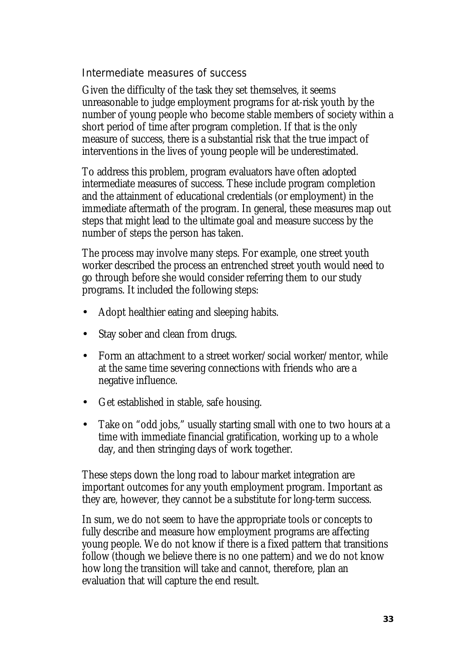### Intermediate measures of success

Given the difficulty of the task they set themselves, it seems unreasonable to judge employment programs for at-risk youth by the number of young people who become stable members of society within a short period of time after program completion. If that is the only measure of success, there is a substantial risk that the true impact of interventions in the lives of young people will be underestimated.

To address this problem, program evaluators have often adopted intermediate measures of success. These include program completion and the attainment of educational credentials (or employment) in the immediate aftermath of the program. In general, these measures map out steps that might lead to the ultimate goal and measure success by the number of steps the person has taken.

The process may involve many steps. For example, one street youth worker described the process an entrenched street youth would need to go through before she would consider referring them to our study programs. It included the following steps:

- Adopt healthier eating and sleeping habits.
- Stay sober and clean from drugs.
- Form an attachment to a street worker/social worker/mentor, while at the same time severing connections with friends who are a negative influence.
- Get established in stable, safe housing.
- Take on "odd jobs," usually starting small with one to two hours at a time with immediate financial gratification, working up to a whole day, and then stringing days of work together.

These steps down the long road to labour market integration are important outcomes for any youth employment program. Important as they are, however, they cannot be a substitute for long-term success.

In sum, we do not seem to have the appropriate tools or concepts to fully describe and measure how employment programs are affecting young people. We do not know if there is a fixed pattern that transitions follow (though we believe there is no one pattern) and we do not know how long the transition will take and cannot, therefore, plan an evaluation that will capture the end result.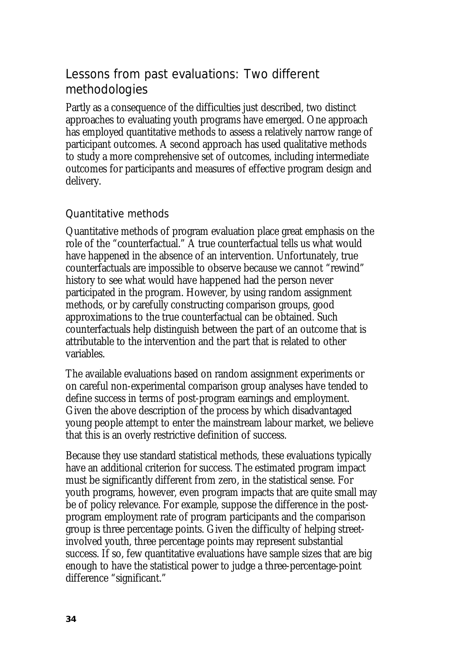# Lessons from past evaluations: Two different methodologies

Partly as a consequence of the difficulties just described, two distinct approaches to evaluating youth programs have emerged. One approach has employed quantitative methods to assess a relatively narrow range of participant outcomes. A second approach has used qualitative methods to study a more comprehensive set of outcomes, including intermediate outcomes for participants and measures of effective program design and delivery.

## Quantitative methods

Quantitative methods of program evaluation place great emphasis on the role of the "counterfactual." A true counterfactual tells us what would have happened in the absence of an intervention. Unfortunately, true counterfactuals are impossible to observe because we cannot "rewind" history to see what would have happened had the person never participated in the program. However, by using random assignment methods, or by carefully constructing comparison groups, good approximations to the true counterfactual can be obtained. Such counterfactuals help distinguish between the part of an outcome that is attributable to the intervention and the part that is related to other variables.

The available evaluations based on random assignment experiments or on careful non-experimental comparison group analyses have tended to define success in terms of post-program earnings and employment. Given the above description of the process by which disadvantaged young people attempt to enter the mainstream labour market, we believe that this is an overly restrictive definition of success.

Because they use standard statistical methods, these evaluations typically have an additional criterion for success. The estimated program impact must be significantly different from zero, in the statistical sense. For youth programs, however, even program impacts that are quite small may be of policy relevance. For example, suppose the difference in the postprogram employment rate of program participants and the comparison group is three percentage points. Given the difficulty of helping streetinvolved youth, three percentage points may represent substantial success. If so, few quantitative evaluations have sample sizes that are big enough to have the statistical power to judge a three-percentage-point difference "significant."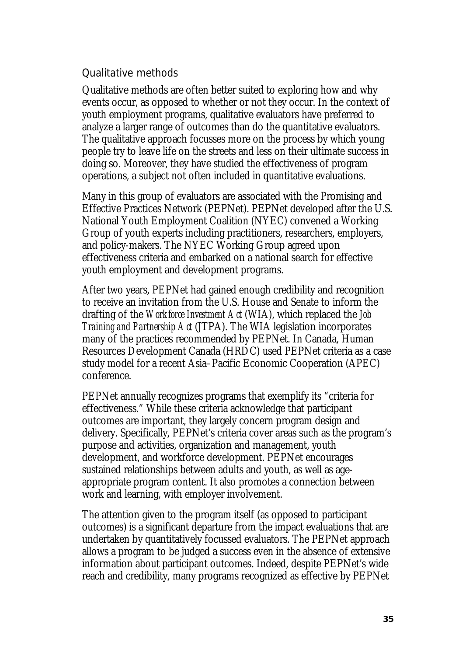### Qualitative methods

Qualitative methods are often better suited to exploring how and why events occur, as opposed to whether or not they occur. In the context of youth employment programs, qualitative evaluators have preferred to analyze a larger range of outcomes than do the quantitative evaluators. The qualitative approach focusses more on the process by which young people try to leave life on the streets and less on their ultimate success in doing so. Moreover, they have studied the effectiveness of program operations, a subject not often included in quantitative evaluations.

Many in this group of evaluators are associated with the Promising and Effective Practices Network (PEPNet). PEPNet developed after the U.S. National Youth Employment Coalition (NYEC) convened a Working Group of youth experts including practitioners, researchers, employers, and policy-makers. The NYEC Working Group agreed upon effectiveness criteria and embarked on a national search for effective youth employment and development programs.

After two years, PEPNet had gained enough credibility and recognition to receive an invitation from the U.S. House and Senate to inform the drafting of the *Workforce Investment Act* (WIA), which replaced the *Job Training and Partnership Act* (JTPA). The WIA legislation incorporates many of the practices recommended by PEPNet. In Canada, Human Resources Development Canada (HRDC) used PEPNet criteria as a case study model for a recent Asia–Pacific Economic Cooperation (APEC) conference.

PEPNet annually recognizes programs that exemplify its "criteria for effectiveness." While these criteria acknowledge that participant outcomes are important, they largely concern program design and delivery. Specifically, PEPNet's criteria cover areas such as the program's purpose and activities, organization and management, youth development, and workforce development. PEPNet encourages sustained relationships between adults and youth, as well as ageappropriate program content. It also promotes a connection between work and learning, with employer involvement.

The attention given to the program itself (as opposed to participant outcomes) is a significant departure from the impact evaluations that are undertaken by quantitatively focussed evaluators. The PEPNet approach allows a program to be judged a success even in the absence of extensive information about participant outcomes. Indeed, despite PEPNet's wide reach and credibility, many programs recognized as effective by PEPNet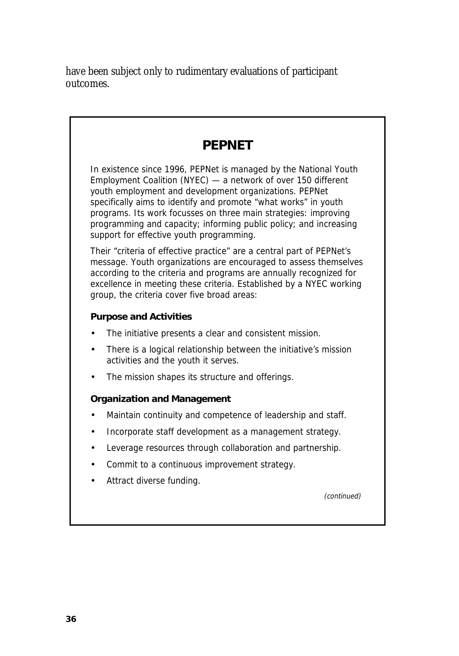have been subject only to rudimentary evaluations of participant outcomes.

# **PEPNET**

In existence since 1996, PEPNet is managed by the National Youth Employment Coalition (NYEC) — a network of over 150 different youth employment and development organizations. PEPNet specifically aims to identify and promote "what works" in youth programs. Its work focusses on three main strategies: improving programming and capacity; informing public policy; and increasing support for effective youth programming.

Their "criteria of effective practice" are a central part of PEPNet's message. Youth organizations are encouraged to assess themselves according to the criteria and programs are annually recognized for excellence in meeting these criteria. Established by a NYEC working group, the criteria cover five broad areas:

#### **Purpose and Activities**

- The initiative presents a clear and consistent mission.
- There is a logical relationship between the initiative's mission activities and the youth it serves.
- The mission shapes its structure and offerings.

### **Organization and Management**

- Maintain continuity and competence of leadership and staff.
- Incorporate staff development as a management strategy.
- Leverage resources through collaboration and partnership.
- Commit to a continuous improvement strategy.
- Attract diverse funding.

(continued)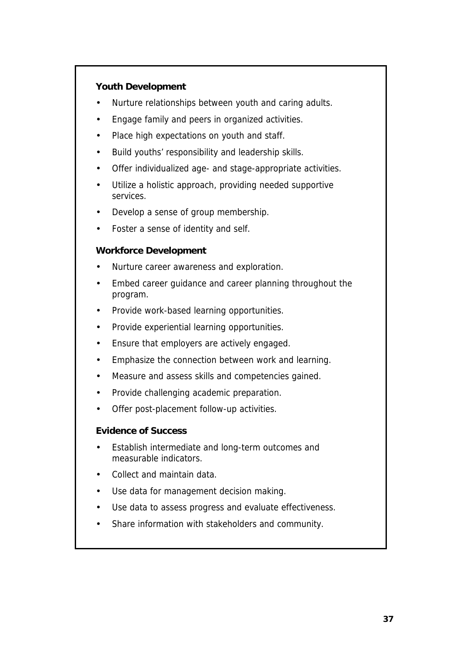#### **Youth Development**

- Nurture relationships between youth and caring adults.
- Engage family and peers in organized activities.
- Place high expectations on youth and staff.
- Build youths' responsibility and leadership skills.
- Offer individualized age- and stage-appropriate activities.
- Utilize a holistic approach, providing needed supportive services.
- Develop a sense of group membership.
- Foster a sense of identity and self.

#### **Workforce Development**

- Nurture career awareness and exploration.
- Embed career guidance and career planning throughout the program.
- Provide work-based learning opportunities.
- Provide experiential learning opportunities.
- Ensure that employers are actively engaged.
- Emphasize the connection between work and learning.
- Measure and assess skills and competencies gained.
- Provide challenging academic preparation.
- Offer post-placement follow-up activities.

#### **Evidence of Success**

- Establish intermediate and long-term outcomes and measurable indicators.
- Collect and maintain data.
- Use data for management decision making.
- Use data to assess progress and evaluate effectiveness.
- Share information with stakeholders and community.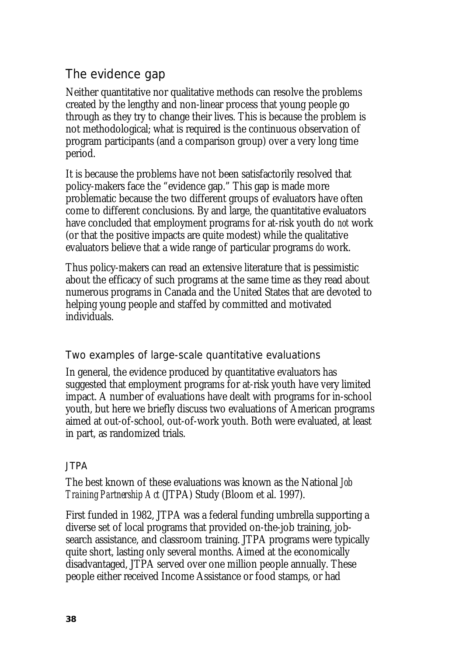# The evidence gap

Neither quantitative nor qualitative methods can resolve the problems created by the lengthy and non-linear process that young people go through as they try to change their lives. This is because the problem is not methodological; what is required is the continuous observation of program participants (and a comparison group) over a very long time period.

It is because the problems have not been satisfactorily resolved that policy-makers face the "evidence gap." This gap is made more problematic because the two different groups of evaluators have often come to different conclusions. By and large, the quantitative evaluators have concluded that employment programs for at-risk youth do *not* work (or that the positive impacts are quite modest) while the qualitative evaluators believe that a wide range of particular programs *do* work.

Thus policy-makers can read an extensive literature that is pessimistic about the efficacy of such programs at the same time as they read about numerous programs in Canada and the United States that are devoted to helping young people and staffed by committed and motivated individuals.

## Two examples of large-scale quantitative evaluations

In general, the evidence produced by quantitative evaluators has suggested that employment programs for at-risk youth have very limited impact. A number of evaluations have dealt with programs for in-school youth, but here we briefly discuss two evaluations of American programs aimed at out-of-school, out-of-work youth. Both were evaluated, at least in part, as randomized trials.

### JTPA

The best known of these evaluations was known as the National *Job Training Partnership Act* (JTPA) Study (Bloom et al. 1997).

First funded in 1982, JTPA was a federal funding umbrella supporting a diverse set of local programs that provided on-the-job training, jobsearch assistance, and classroom training. JTPA programs were typically quite short, lasting only several months. Aimed at the economically disadvantaged, JTPA served over one million people annually. These people either received Income Assistance or food stamps, or had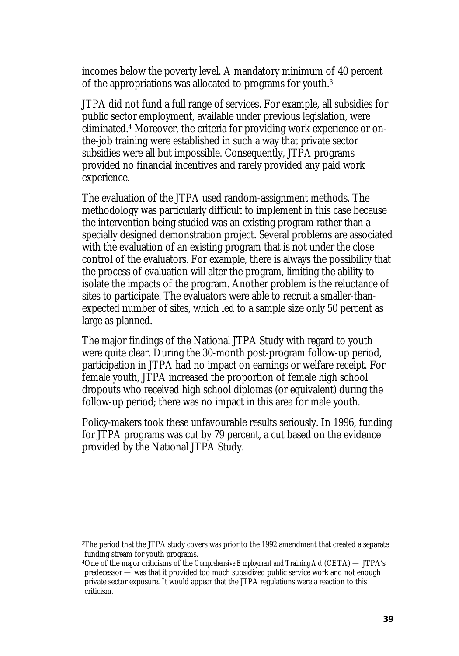incomes below the poverty level. A mandatory minimum of 40 percent of the appropriations was allocated to programs for youth.3

JTPA did not fund a full range of services. For example, all subsidies for public sector employment, available under previous legislation, were eliminated.4 Moreover, the criteria for providing work experience or onthe-job training were established in such a way that private sector subsidies were all but impossible. Consequently, JTPA programs provided no financial incentives and rarely provided any paid work experience.

The evaluation of the JTPA used random-assignment methods. The methodology was particularly difficult to implement in this case because the intervention being studied was an existing program rather than a specially designed demonstration project. Several problems are associated with the evaluation of an existing program that is not under the close control of the evaluators. For example, there is always the possibility that the process of evaluation will alter the program, limiting the ability to isolate the impacts of the program. Another problem is the reluctance of sites to participate. The evaluators were able to recruit a smaller-thanexpected number of sites, which led to a sample size only 50 percent as large as planned.

The major findings of the National JTPA Study with regard to youth were quite clear. During the 30-month post-program follow-up period, participation in JTPA had no impact on earnings or welfare receipt. For female youth, JTPA increased the proportion of female high school dropouts who received high school diplomas (or equivalent) during the follow-up period; there was no impact in this area for male youth.

Policy-makers took these unfavourable results seriously. In 1996, funding for JTPA programs was cut by 79 percent, a cut based on the evidence provided by the National JTPA Study.

 $\overline{\phantom{a}}$ 

<sup>3</sup>The period that the JTPA study covers was prior to the 1992 amendment that created a separate funding stream for youth programs.

<sup>4</sup>One of the major criticisms of the *Comprehensive Employment and Training Act* (CETA) — JTPA's predecessor — was that it provided too much subsidized public service work and not enough private sector exposure. It would appear that the JTPA regulations were a reaction to this criticism.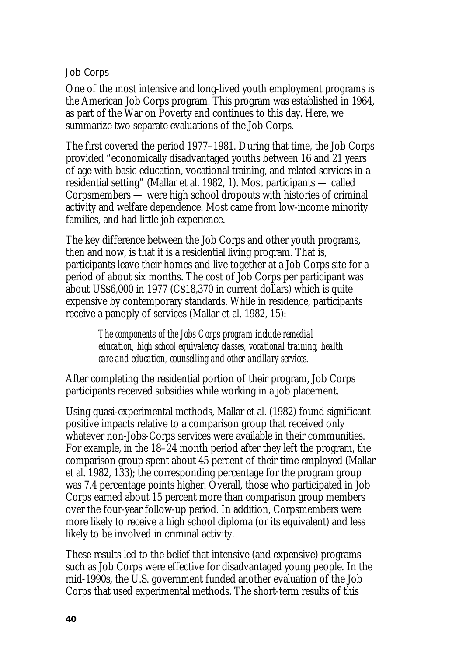#### Job Corps

One of the most intensive and long-lived youth employment programs is the American Job Corps program. This program was established in 1964, as part of the War on Poverty and continues to this day. Here, we summarize two separate evaluations of the Job Corps.

The first covered the period 1977–1981. During that time, the Job Corps provided "economically disadvantaged youths between 16 and 21 years of age with basic education, vocational training, and related services in a residential setting" (Mallar et al. 1982, 1). Most participants — called Corpsmembers — were high school dropouts with histories of criminal activity and welfare dependence. Most came from low-income minority families, and had little job experience.

The key difference between the Job Corps and other youth programs, then and now, is that it is a residential living program. That is, participants leave their homes and live together at a Job Corps site for a period of about six months. The cost of Job Corps per participant was about US\$6,000 in 1977 (C\$18,370 in current dollars) which is quite expensive by contemporary standards. While in residence, participants receive a panoply of services (Mallar et al. 1982, 15):

> *The components of the Jobs Corps program include remedial education, high school equivalency classes, vocational training, health care and education, counselling and other ancillary services.*

After completing the residential portion of their program, Job Corps participants received subsidies while working in a job placement.

Using quasi-experimental methods, Mallar et al. (1982) found significant positive impacts relative to a comparison group that received only whatever non-Jobs-Corps services were available in their communities. For example, in the 18–24 month period after they left the program, the comparison group spent about 45 percent of their time employed (Mallar et al. 1982, 133); the corresponding percentage for the program group was 7.4 percentage points higher. Overall, those who participated in Job Corps earned about 15 percent more than comparison group members over the four-year follow-up period. In addition, Corpsmembers were more likely to receive a high school diploma (or its equivalent) and less likely to be involved in criminal activity.

These results led to the belief that intensive (and expensive) programs such as Job Corps were effective for disadvantaged young people. In the mid-1990s, the U.S. government funded another evaluation of the Job Corps that used experimental methods. The short-term results of this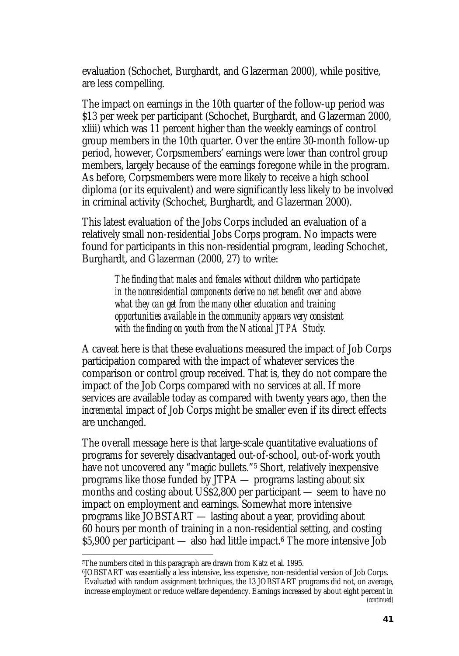evaluation (Schochet, Burghardt, and Glazerman 2000), while positive, are less compelling.

The impact on earnings in the 10th quarter of the follow-up period was \$13 per week per participant (Schochet, Burghardt, and Glazerman 2000, xliii) which was 11 percent higher than the weekly earnings of control group members in the 10th quarter. Over the entire 30-month follow-up period, however, Corpsmembers' earnings were *lower* than control group members, largely because of the earnings foregone while in the program. As before, Corpsmembers were more likely to receive a high school diploma (or its equivalent) and were significantly less likely to be involved in criminal activity (Schochet, Burghardt, and Glazerman 2000).

This latest evaluation of the Jobs Corps included an evaluation of a relatively small non-residential Jobs Corps program. No impacts were found for participants in this non-residential program, leading Schochet, Burghardt, and Glazerman (2000, 27) to write:

> *The finding that males and females without children who participate in the nonresidential components derive no net benefit over and above what they can get from the many other education and training opportunities available in the community appears very consistent with the finding on youth from the National JTPA Study.*

A caveat here is that these evaluations measured the impact of Job Corps participation compared with the impact of whatever services the comparison or control group received. That is, they do not compare the impact of the Job Corps compared with no services at all. If more services are available today as compared with twenty years ago, then the *incremental* impact of Job Corps might be smaller even if its direct effects are unchanged.

The overall message here is that large-scale quantitative evaluations of programs for severely disadvantaged out-of-school, out-of-work youth have not uncovered any "magic bullets."5 Short, relatively inexpensive programs like those funded by JTPA — programs lasting about six months and costing about US\$2,800 per participant — seem to have no impact on employment and earnings. Somewhat more intensive programs like JOBSTART — lasting about a year, providing about 60 hours per month of training in a non-residential setting, and costing  $$5,900$  per participant — also had little impact.<sup>6</sup> The more intensive Job

 $\overline{a}$ 

<sup>5</sup>The numbers cited in this paragraph are drawn from Katz et al. 1995.

<sup>6</sup>JOBSTART was essentially a less intensive, less expensive, non-residential version of Job Corps. Evaluated with random assignment techniques, the 13 JOBSTART programs did not, on average, increase employment or reduce welfare dependency. Earnings increased by about eight percent in *(continued)*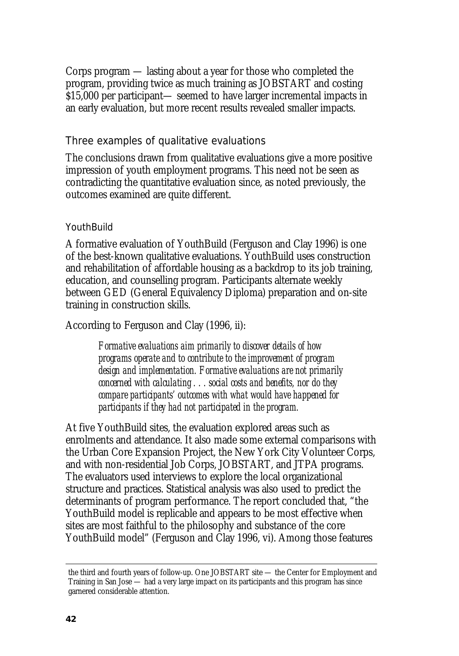Corps program — lasting about a year for those who completed the program, providing twice as much training as JOBSTART and costing \$15,000 per participant— seemed to have larger incremental impacts in an early evaluation, but more recent results revealed smaller impacts.

### Three examples of qualitative evaluations

The conclusions drawn from qualitative evaluations give a more positive impression of youth employment programs. This need not be seen as contradicting the quantitative evaluation since, as noted previously, the outcomes examined are quite different.

### YouthBuild

A formative evaluation of YouthBuild (Ferguson and Clay 1996) is one of the best-known qualitative evaluations. YouthBuild uses construction and rehabilitation of affordable housing as a backdrop to its job training, education, and counselling program. Participants alternate weekly between GED (General Equivalency Diploma) preparation and on-site training in construction skills.

According to Ferguson and Clay (1996, ii):

*Formative evaluations aim primarily to discover details of how programs operate and to contribute to the improvement of program design and implementation. Formative evaluations are not primarily concerned with calculating . . . social costs and benefits, nor do they compare participants' outcomes with what would have happened for participants if they had not participated in the program.* 

At five YouthBuild sites, the evaluation explored areas such as enrolments and attendance. It also made some external comparisons with the Urban Core Expansion Project, the New York City Volunteer Corps, and with non-residential Job Corps, JOBSTART, and JTPA programs. The evaluators used interviews to explore the local organizational structure and practices. Statistical analysis was also used to predict the determinants of program performance. The report concluded that, "the YouthBuild model is replicable and appears to be most effective when sites are most faithful to the philosophy and substance of the core YouthBuild model" (Ferguson and Clay 1996, vi). Among those features

l

the third and fourth years of follow-up. One JOBSTART site — the Center for Employment and Training in San Jose — had a very large impact on its participants and this program has since garnered considerable attention.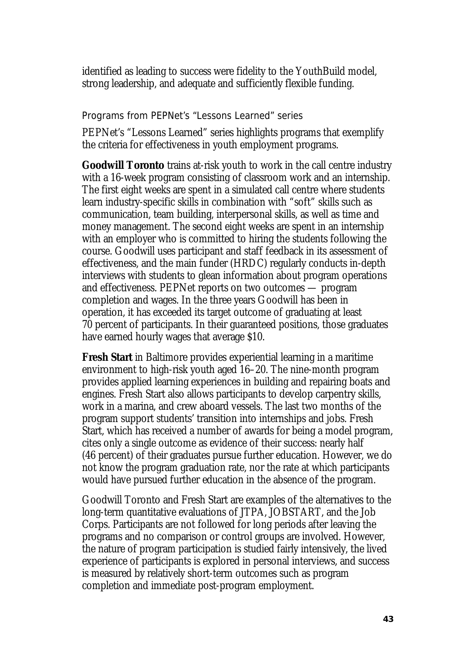identified as leading to success were fidelity to the YouthBuild model, strong leadership, and adequate and sufficiently flexible funding.

#### Programs from PEPNet's "Lessons Learned" series

PEPNet's "Lessons Learned" series highlights programs that exemplify the criteria for effectiveness in youth employment programs.

**Goodwill Toronto** trains at-risk youth to work in the call centre industry with a 16-week program consisting of classroom work and an internship. The first eight weeks are spent in a simulated call centre where students learn industry-specific skills in combination with "soft" skills such as communication, team building, interpersonal skills, as well as time and money management. The second eight weeks are spent in an internship with an employer who is committed to hiring the students following the course. Goodwill uses participant and staff feedback in its assessment of effectiveness, and the main funder (HRDC) regularly conducts in-depth interviews with students to glean information about program operations and effectiveness. PEPNet reports on two outcomes — program completion and wages. In the three years Goodwill has been in operation, it has exceeded its target outcome of graduating at least 70 percent of participants. In their guaranteed positions, those graduates have earned hourly wages that average \$10.

**Fresh Start** in Baltimore provides experiential learning in a maritime environment to high-risk youth aged 16–20. The nine-month program provides applied learning experiences in building and repairing boats and engines. Fresh Start also allows participants to develop carpentry skills, work in a marina, and crew aboard vessels. The last two months of the program support students' transition into internships and jobs. Fresh Start, which has received a number of awards for being a model program, cites only a single outcome as evidence of their success: nearly half (46 percent) of their graduates pursue further education. However, we do not know the program graduation rate, nor the rate at which participants would have pursued further education in the absence of the program.

Goodwill Toronto and Fresh Start are examples of the alternatives to the long-term quantitative evaluations of JTPA, JOBSTART, and the Job Corps. Participants are not followed for long periods after leaving the programs and no comparison or control groups are involved. However, the nature of program participation is studied fairly intensively, the lived experience of participants is explored in personal interviews, and success is measured by relatively short-term outcomes such as program completion and immediate post-program employment.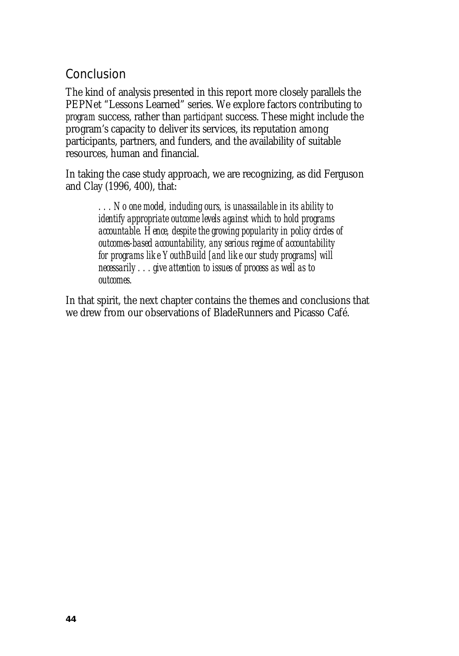## Conclusion

The kind of analysis presented in this report more closely parallels the PEPNet "Lessons Learned" series. We explore factors contributing to *program* success, rather than *participant* success. These might include the program's capacity to deliver its services, its reputation among participants, partners, and funders, and the availability of suitable resources, human and financial.

In taking the case study approach, we are recognizing, as did Ferguson and Clay (1996, 400), that:

> *. . . No one model, including ours, is unassailable in its ability to identify appropriate outcome levels against which to hold programs accountable. Hence, despite the growing popularity in policy circles of outcomes-based accountability, any serious regime of accountability for programs like YouthBuild [and like our study programs] will necessarily . . . give attention to issues of process as well as to outcomes.*

In that spirit, the next chapter contains the themes and conclusions that we drew from our observations of BladeRunners and Picasso Café.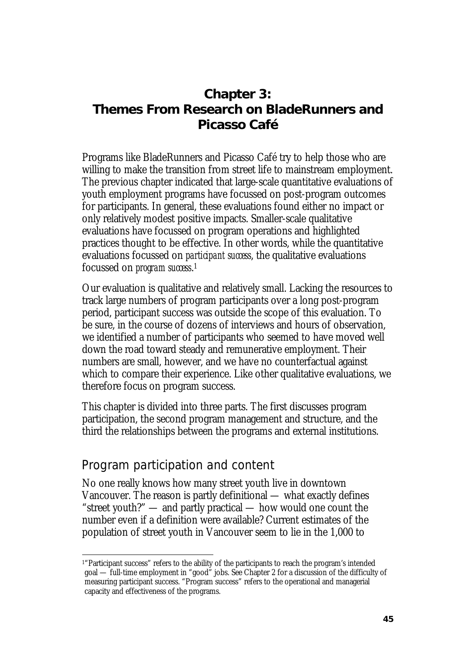# **Chapter 3: Themes From Research on BladeRunners and Picasso Café**

Programs like BladeRunners and Picasso Café try to help those who are willing to make the transition from street life to mainstream employment. The previous chapter indicated that large-scale quantitative evaluations of youth employment programs have focussed on post-program outcomes for participants. In general, these evaluations found either no impact or only relatively modest positive impacts. Smaller-scale qualitative evaluations have focussed on program operations and highlighted practices thought to be effective. In other words, while the quantitative evaluations focussed on *participant success*, the qualitative evaluations focussed on *program success*. 1

Our evaluation is qualitative and relatively small. Lacking the resources to track large numbers of program participants over a long post-program period, participant success was outside the scope of this evaluation. To be sure, in the course of dozens of interviews and hours of observation, we identified a number of participants who seemed to have moved well down the road toward steady and remunerative employment. Their numbers are small, however, and we have no counterfactual against which to compare their experience. Like other qualitative evaluations, we therefore focus on program success.

This chapter is divided into three parts. The first discusses program participation, the second program management and structure, and the third the relationships between the programs and external institutions.

## Program participation and content

 $\overline{a}$ 

No one really knows how many street youth live in downtown Vancouver. The reason is partly definitional — what exactly defines "street youth?" — and partly practical — how would one count the number even if a definition were available? Current estimates of the population of street youth in Vancouver seem to lie in the 1,000 to

<sup>&</sup>lt;sup>1</sup>"Participant success" refers to the ability of the participants to reach the program's intended goal — full-time employment in "good" jobs. See Chapter 2 for a discussion of the difficulty of measuring participant success. "Program success" refers to the operational and managerial capacity and effectiveness of the programs.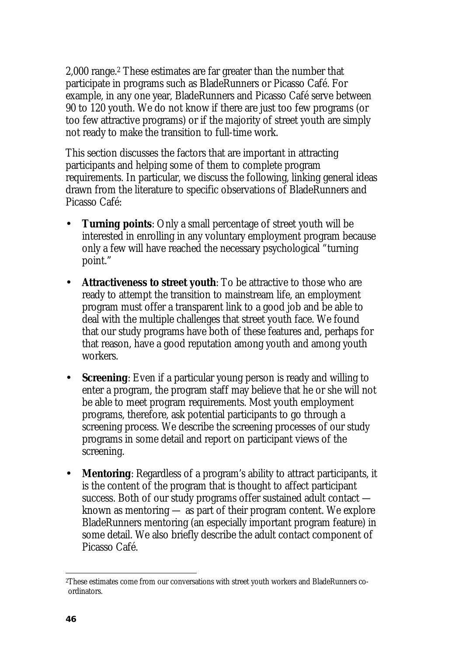2,000 range.2 These estimates are far greater than the number that participate in programs such as BladeRunners or Picasso Café. For example, in any one year, BladeRunners and Picasso Café serve between 90 to 120 youth. We do not know if there are just too few programs (or too few attractive programs) or if the majority of street youth are simply not ready to make the transition to full-time work.

This section discusses the factors that are important in attracting participants and helping some of them to complete program requirements. In particular, we discuss the following, linking general ideas drawn from the literature to specific observations of BladeRunners and Picasso Café:

- **Turning points:** Only a small percentage of street youth will be interested in enrolling in any voluntary employment program because only a few will have reached the necessary psychological "turning point."
- **Attractiveness to street youth**: To be attractive to those who are ready to attempt the transition to mainstream life, an employment program must offer a transparent link to a good job and be able to deal with the multiple challenges that street youth face. We found that our study programs have both of these features and, perhaps for that reason, have a good reputation among youth and among youth workers.
- **Screening**: Even if a particular young person is ready and willing to enter a program, the program staff may believe that he or she will not be able to meet program requirements. Most youth employment programs, therefore, ask potential participants to go through a screening process. We describe the screening processes of our study programs in some detail and report on participant views of the screening.
- **Mentoring**: Regardless of a program's ability to attract participants, it is the content of the program that is thought to affect participant success. Both of our study programs offer sustained adult contact known as mentoring — as part of their program content. We explore BladeRunners mentoring (an especially important program feature) in some detail. We also briefly describe the adult contact component of Picasso Café.

 $\overline{\phantom{a}}$ 2These estimates come from our conversations with street youth workers and BladeRunners coordinators.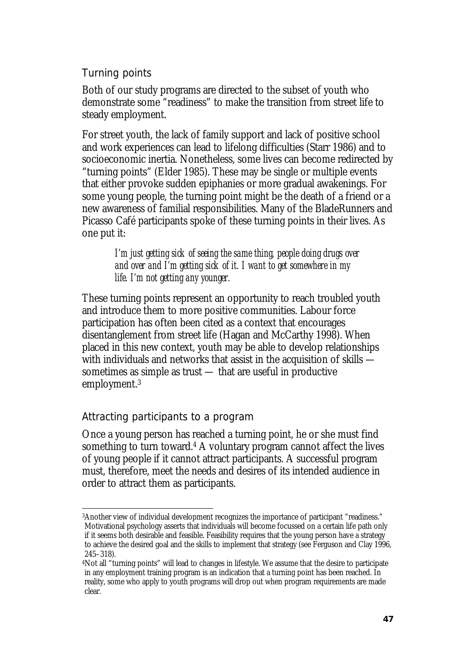Turning points

Both of our study programs are directed to the subset of youth who demonstrate some "readiness" to make the transition from street life to steady employment.

For street youth, the lack of family support and lack of positive school and work experiences can lead to lifelong difficulties (Starr 1986) and to socioeconomic inertia. Nonetheless, some lives can become redirected by "turning points" (Elder 1985). These may be single or multiple events that either provoke sudden epiphanies or more gradual awakenings. For some young people, the turning point might be the death of a friend or a new awareness of familial responsibilities. Many of the BladeRunners and Picasso Café participants spoke of these turning points in their lives. As one put it:

> *I'm just getting sick of seeing the same thing, people doing drugs over and over and I'm getting sick of it. I want to get somewhere in my life. I'm not getting any younger.*

These turning points represent an opportunity to reach troubled youth and introduce them to more positive communities. Labour force participation has often been cited as a context that encourages disentanglement from street life (Hagan and McCarthy 1998). When placed in this new context, youth may be able to develop relationships with individuals and networks that assist in the acquisition of skills sometimes as simple as trust — that are useful in productive employment.3

## Attracting participants to a program

Once a young person has reached a turning point, he or she must find something to turn toward.4 A voluntary program cannot affect the lives of young people if it cannot attract participants. A successful program must, therefore, meet the needs and desires of its intended audience in order to attract them as participants.

 $\overline{a}$ 3Another view of individual development recognizes the importance of participant "readiness." Motivational psychology asserts that individuals will become focussed on a certain life path only if it seems both desirable and feasible. Feasibility requires that the young person have a strategy to achieve the desired goal and the skills to implement that strategy (see Ferguson and Clay 1996, 245–318).

<sup>4</sup>Not all "turning points" will lead to changes in lifestyle. We assume that the desire to participate in any employment training program is an indication that a turning point has been reached. In reality, some who apply to youth programs will drop out when program requirements are made clear.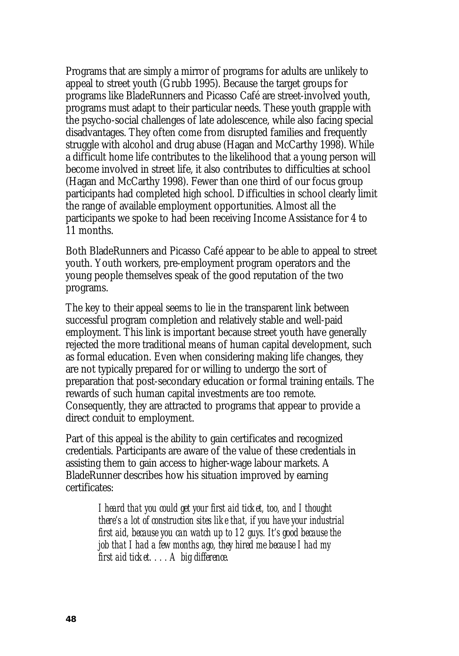Programs that are simply a mirror of programs for adults are unlikely to appeal to street youth (Grubb 1995). Because the target groups for programs like BladeRunners and Picasso Café are street-involved youth, programs must adapt to their particular needs. These youth grapple with the psycho-social challenges of late adolescence, while also facing special disadvantages. They often come from disrupted families and frequently struggle with alcohol and drug abuse (Hagan and McCarthy 1998). While a difficult home life contributes to the likelihood that a young person will become involved in street life, it also contributes to difficulties at school (Hagan and McCarthy 1998). Fewer than one third of our focus group participants had completed high school. Difficulties in school clearly limit the range of available employment opportunities. Almost all the participants we spoke to had been receiving Income Assistance for 4 to 11 months.

Both BladeRunners and Picasso Café appear to be able to appeal to street youth. Youth workers, pre-employment program operators and the young people themselves speak of the good reputation of the two programs.

The key to their appeal seems to lie in the transparent link between successful program completion and relatively stable and well-paid employment. This link is important because street youth have generally rejected the more traditional means of human capital development, such as formal education. Even when considering making life changes, they are not typically prepared for or willing to undergo the sort of preparation that post-secondary education or formal training entails. The rewards of such human capital investments are too remote. Consequently, they are attracted to programs that appear to provide a direct conduit to employment.

Part of this appeal is the ability to gain certificates and recognized credentials. Participants are aware of the value of these credentials in assisting them to gain access to higher-wage labour markets. A BladeRunner describes how his situation improved by earning certificates:

> *I heard that you could get your first aid ticket, too, and I thought there's a lot of construction sites like that, if you have your industrial first aid, because you can watch up to 12 guys. It's good because the job that I had a few months ago, they hired me because I had my first aid ticket. . . . A big difference.*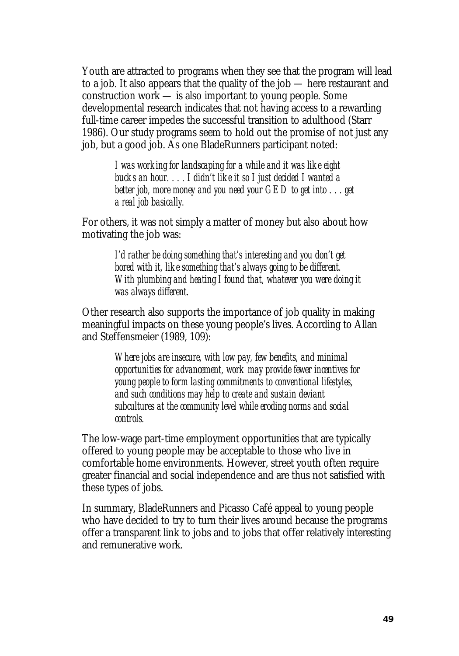Youth are attracted to programs when they see that the program will lead to a job. It also appears that the quality of the job — here restaurant and construction work — is also important to young people. Some developmental research indicates that not having access to a rewarding full-time career impedes the successful transition to adulthood (Starr 1986). Our study programs seem to hold out the promise of not just any job, but a good job. As one BladeRunners participant noted:

> *I was working for landscaping for a while and it was like eight bucks an hour. . . . I didn't like it so I just decided I wanted a better job, more money and you need your GED to get into . . . get a real job basically.*

For others, it was not simply a matter of money but also about how motivating the job was:

> *I'd rather be doing something that's interesting and you don't get bored with it, like something that's always going to be different. With plumbing and heating I found that, whatever you were doing it was always different.*

Other research also supports the importance of job quality in making meaningful impacts on these young people's lives. According to Allan and Steffensmeier (1989, 109):

> *Where jobs are insecure, with low pay, few benefits, and minimal opportunities for advancement, work may provide fewer incentives for young people to form lasting commitments to conventional lifestyles, and such conditions may help to create and sustain deviant subcultures at the community level while eroding norms and social controls.*

The low-wage part-time employment opportunities that are typically offered to young people may be acceptable to those who live in comfortable home environments. However, street youth often require greater financial and social independence and are thus not satisfied with these types of jobs.

In summary, BladeRunners and Picasso Café appeal to young people who have decided to try to turn their lives around because the programs offer a transparent link to jobs and to jobs that offer relatively interesting and remunerative work.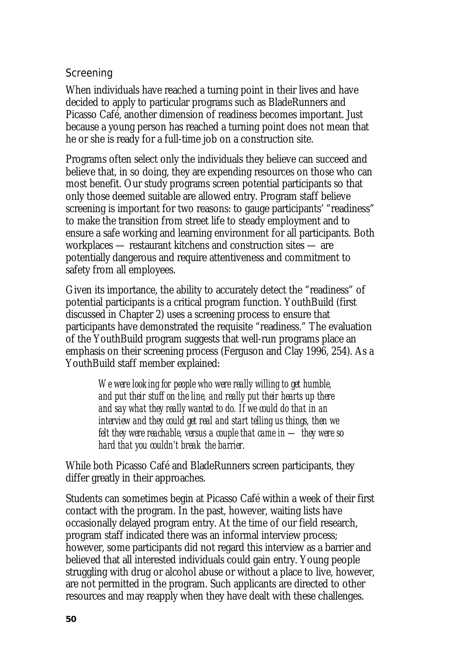### Screening

When individuals have reached a turning point in their lives and have decided to apply to particular programs such as BladeRunners and Picasso Café, another dimension of readiness becomes important. Just because a young person has reached a turning point does not mean that he or she is ready for a full-time job on a construction site.

Programs often select only the individuals they believe can succeed and believe that, in so doing, they are expending resources on those who can most benefit. Our study programs screen potential participants so that only those deemed suitable are allowed entry. Program staff believe screening is important for two reasons: to gauge participants' "readiness" to make the transition from street life to steady employment and to ensure a safe working and learning environment for all participants. Both workplaces — restaurant kitchens and construction sites — are potentially dangerous and require attentiveness and commitment to safety from all employees.

Given its importance, the ability to accurately detect the "readiness" of potential participants is a critical program function. YouthBuild (first discussed in Chapter 2) uses a screening process to ensure that participants have demonstrated the requisite "readiness." The evaluation of the YouthBuild program suggests that well-run programs place an emphasis on their screening process (Ferguson and Clay 1996, 254). As a YouthBuild staff member explained:

> *We were looking for people who were really willing to get humble, and put their stuff on the line, and really put their hearts up there and say what they really wanted to do. If we could do that in an interview and they could get real and start telling us things, then we felt they were reachable, versus a couple that came in — they were so hard that you couldn't break the barrier.*

While both Picasso Café and BladeRunners screen participants, they differ greatly in their approaches.

Students can sometimes begin at Picasso Café within a week of their first contact with the program. In the past, however, waiting lists have occasionally delayed program entry. At the time of our field research, program staff indicated there was an informal interview process; however, some participants did not regard this interview as a barrier and believed that all interested individuals could gain entry. Young people struggling with drug or alcohol abuse or without a place to live, however, are not permitted in the program. Such applicants are directed to other resources and may reapply when they have dealt with these challenges.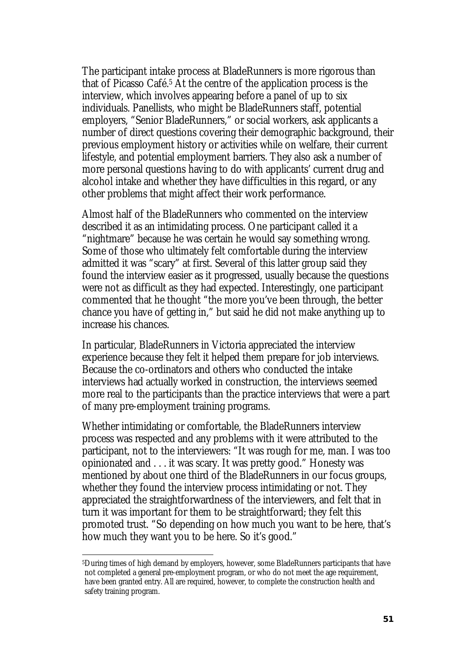The participant intake process at BladeRunners is more rigorous than that of Picasso Café.5 At the centre of the application process is the interview, which involves appearing before a panel of up to six individuals. Panellists, who might be BladeRunners staff, potential employers, "Senior BladeRunners," or social workers, ask applicants a number of direct questions covering their demographic background, their previous employment history or activities while on welfare, their current lifestyle, and potential employment barriers. They also ask a number of more personal questions having to do with applicants' current drug and alcohol intake and whether they have difficulties in this regard, or any other problems that might affect their work performance.

Almost half of the BladeRunners who commented on the interview described it as an intimidating process. One participant called it a "nightmare" because he was certain he would say something wrong. Some of those who ultimately felt comfortable during the interview admitted it was "scary" at first. Several of this latter group said they found the interview easier as it progressed, usually because the questions were not as difficult as they had expected. Interestingly, one participant commented that he thought "the more you've been through, the better chance you have of getting in," but said he did not make anything up to increase his chances.

In particular, BladeRunners in Victoria appreciated the interview experience because they felt it helped them prepare for job interviews. Because the co-ordinators and others who conducted the intake interviews had actually worked in construction, the interviews seemed more real to the participants than the practice interviews that were a part of many pre-employment training programs.

Whether intimidating or comfortable, the BladeRunners interview process was respected and any problems with it were attributed to the participant, not to the interviewers: "It was rough for me, man. I was too opinionated and . . . it was scary. It was pretty good." Honesty was mentioned by about one third of the BladeRunners in our focus groups, whether they found the interview process intimidating or not. They appreciated the straightforwardness of the interviewers, and felt that in turn it was important for them to be straightforward; they felt this promoted trust. "So depending on how much you want to be here, that's how much they want you to be here. So it's good."

 $\overline{a}$ 5During times of high demand by employers, however, some BladeRunners participants that have not completed a general pre-employment program, or who do not meet the age requirement, have been granted entry. All are required, however, to complete the construction health and safety training program.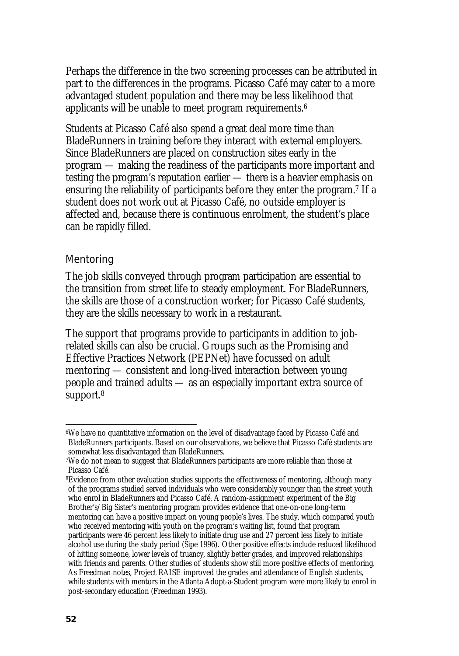Perhaps the difference in the two screening processes can be attributed in part to the differences in the programs. Picasso Café may cater to a more advantaged student population and there may be less likelihood that applicants will be unable to meet program requirements.6

Students at Picasso Café also spend a great deal more time than BladeRunners in training before they interact with external employers. Since BladeRunners are placed on construction sites early in the program — making the readiness of the participants more important and testing the program's reputation earlier — there is a heavier emphasis on ensuring the reliability of participants before they enter the program.7 If a student does not work out at Picasso Café, no outside employer is affected and, because there is continuous enrolment, the student's place can be rapidly filled.

### Mentoring

The job skills conveyed through program participation are essential to the transition from street life to steady employment. For BladeRunners, the skills are those of a construction worker; for Picasso Café students, they are the skills necessary to work in a restaurant.

The support that programs provide to participants in addition to jobrelated skills can also be crucial. Groups such as the Promising and Effective Practices Network (PEPNet) have focussed on adult mentoring — consistent and long-lived interaction between young people and trained adults — as an especially important extra source of support.<sup>8</sup>

l

<sup>6</sup>We have no quantitative information on the level of disadvantage faced by Picasso Café and BladeRunners participants. Based on our observations, we believe that Picasso Café students are somewhat less disadvantaged than BladeRunners.

<sup>7</sup>We do not mean to suggest that BladeRunners participants are more reliable than those at Picasso Café.

<sup>&</sup>lt;sup>8</sup>Evidence from other evaluation studies supports the effectiveness of mentoring, although many of the programs studied served individuals who were considerably younger than the street youth who enrol in BladeRunners and Picasso Café. A random-assignment experiment of the Big Brother's/Big Sister's mentoring program provides evidence that one-on-one long-term mentoring can have a positive impact on young people's lives. The study, which compared youth who received mentoring with youth on the program's waiting list, found that program participants were 46 percent less likely to initiate drug use and 27 percent less likely to initiate alcohol use during the study period (Sipe 1996). Other positive effects include reduced likelihood of hitting someone, lower levels of truancy, slightly better grades, and improved relationships with friends and parents. Other studies of students show still more positive effects of mentoring. As Freedman notes, Project RAISE improved the grades and attendance of English students, while students with mentors in the Atlanta Adopt-a-Student program were more likely to enrol in post-secondary education (Freedman 1993).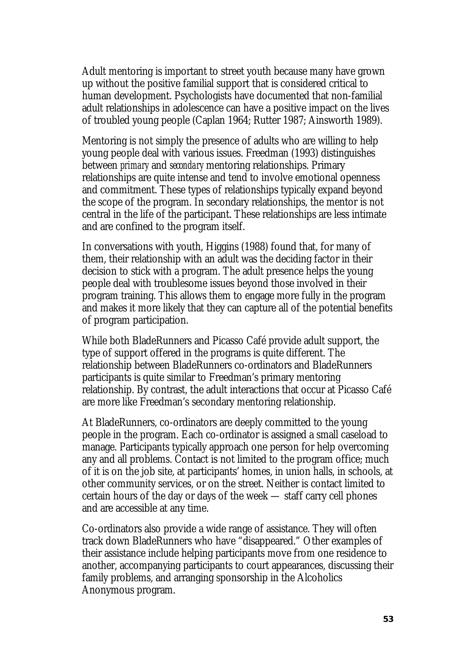Adult mentoring is important to street youth because many have grown up without the positive familial support that is considered critical to human development. Psychologists have documented that non-familial adult relationships in adolescence can have a positive impact on the lives of troubled young people (Caplan 1964; Rutter 1987; Ainsworth 1989).

Mentoring is not simply the presence of adults who are willing to help young people deal with various issues. Freedman (1993) distinguishes between *primary* and *secondary* mentoring relationships. Primary relationships are quite intense and tend to involve emotional openness and commitment. These types of relationships typically expand beyond the scope of the program. In secondary relationships, the mentor is not central in the life of the participant. These relationships are less intimate and are confined to the program itself.

In conversations with youth, Higgins (1988) found that, for many of them, their relationship with an adult was the deciding factor in their decision to stick with a program. The adult presence helps the young people deal with troublesome issues beyond those involved in their program training. This allows them to engage more fully in the program and makes it more likely that they can capture all of the potential benefits of program participation.

While both BladeRunners and Picasso Café provide adult support, the type of support offered in the programs is quite different. The relationship between BladeRunners co-ordinators and BladeRunners participants is quite similar to Freedman's primary mentoring relationship. By contrast, the adult interactions that occur at Picasso Café are more like Freedman's secondary mentoring relationship.

At BladeRunners, co-ordinators are deeply committed to the young people in the program. Each co-ordinator is assigned a small caseload to manage. Participants typically approach one person for help overcoming any and all problems. Contact is not limited to the program office; much of it is on the job site, at participants' homes, in union halls, in schools, at other community services, or on the street. Neither is contact limited to certain hours of the day or days of the week — staff carry cell phones and are accessible at any time.

Co-ordinators also provide a wide range of assistance. They will often track down BladeRunners who have "disappeared." Other examples of their assistance include helping participants move from one residence to another, accompanying participants to court appearances, discussing their family problems, and arranging sponsorship in the Alcoholics Anonymous program.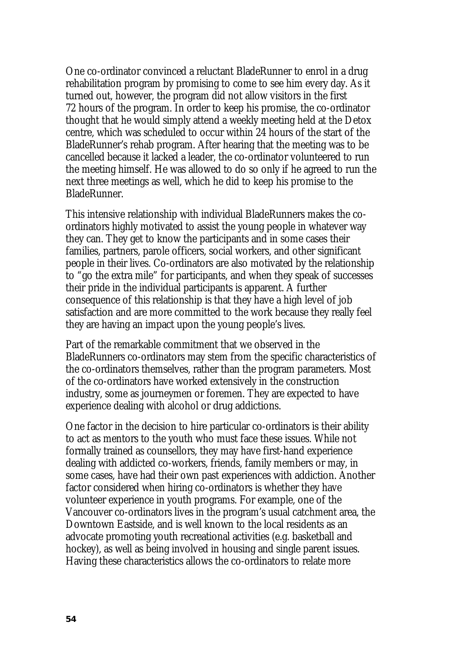One co-ordinator convinced a reluctant BladeRunner to enrol in a drug rehabilitation program by promising to come to see him every day. As it turned out, however, the program did not allow visitors in the first 72 hours of the program. In order to keep his promise, the co-ordinator thought that he would simply attend a weekly meeting held at the Detox centre, which was scheduled to occur within 24 hours of the start of the BladeRunner's rehab program. After hearing that the meeting was to be cancelled because it lacked a leader, the co-ordinator volunteered to run the meeting himself. He was allowed to do so only if he agreed to run the next three meetings as well, which he did to keep his promise to the BladeRunner.

This intensive relationship with individual BladeRunners makes the coordinators highly motivated to assist the young people in whatever way they can. They get to know the participants and in some cases their families, partners, parole officers, social workers, and other significant people in their lives. Co-ordinators are also motivated by the relationship to "go the extra mile" for participants, and when they speak of successes their pride in the individual participants is apparent. A further consequence of this relationship is that they have a high level of job satisfaction and are more committed to the work because they really feel they are having an impact upon the young people's lives.

Part of the remarkable commitment that we observed in the BladeRunners co-ordinators may stem from the specific characteristics of the co-ordinators themselves, rather than the program parameters. Most of the co-ordinators have worked extensively in the construction industry, some as journeymen or foremen. They are expected to have experience dealing with alcohol or drug addictions.

One factor in the decision to hire particular co-ordinators is their ability to act as mentors to the youth who must face these issues. While not formally trained as counsellors, they may have first-hand experience dealing with addicted co-workers, friends, family members or may, in some cases, have had their own past experiences with addiction. Another factor considered when hiring co-ordinators is whether they have volunteer experience in youth programs. For example, one of the Vancouver co-ordinators lives in the program's usual catchment area, the Downtown Eastside, and is well known to the local residents as an advocate promoting youth recreational activities (e.g. basketball and hockey), as well as being involved in housing and single parent issues. Having these characteristics allows the co-ordinators to relate more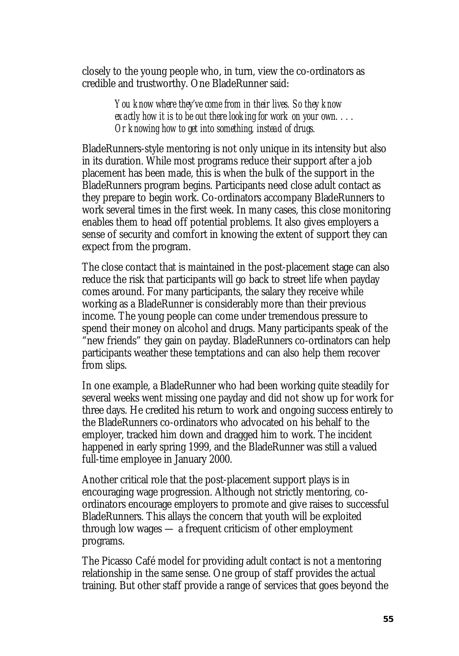closely to the young people who, in turn, view the co-ordinators as credible and trustworthy. One BladeRunner said:

> *You know where they've come from in their lives. So they know exactly how it is to be out there looking for work on your own. . . . Or knowing how to get into something, instead of drugs.*

BladeRunners-style mentoring is not only unique in its intensity but also in its duration. While most programs reduce their support after a job placement has been made, this is when the bulk of the support in the BladeRunners program begins. Participants need close adult contact as they prepare to begin work. Co-ordinators accompany BladeRunners to work several times in the first week. In many cases, this close monitoring enables them to head off potential problems. It also gives employers a sense of security and comfort in knowing the extent of support they can expect from the program.

The close contact that is maintained in the post-placement stage can also reduce the risk that participants will go back to street life when payday comes around. For many participants, the salary they receive while working as a BladeRunner is considerably more than their previous income. The young people can come under tremendous pressure to spend their money on alcohol and drugs. Many participants speak of the "new friends" they gain on payday. BladeRunners co-ordinators can help participants weather these temptations and can also help them recover from slips.

In one example, a BladeRunner who had been working quite steadily for several weeks went missing one payday and did not show up for work for three days. He credited his return to work and ongoing success entirely to the BladeRunners co-ordinators who advocated on his behalf to the employer, tracked him down and dragged him to work. The incident happened in early spring 1999, and the BladeRunner was still a valued full-time employee in January 2000.

Another critical role that the post-placement support plays is in encouraging wage progression. Although not strictly mentoring, coordinators encourage employers to promote and give raises to successful BladeRunners. This allays the concern that youth will be exploited through low wages — a frequent criticism of other employment programs.

The Picasso Café model for providing adult contact is not a mentoring relationship in the same sense. One group of staff provides the actual training. But other staff provide a range of services that goes beyond the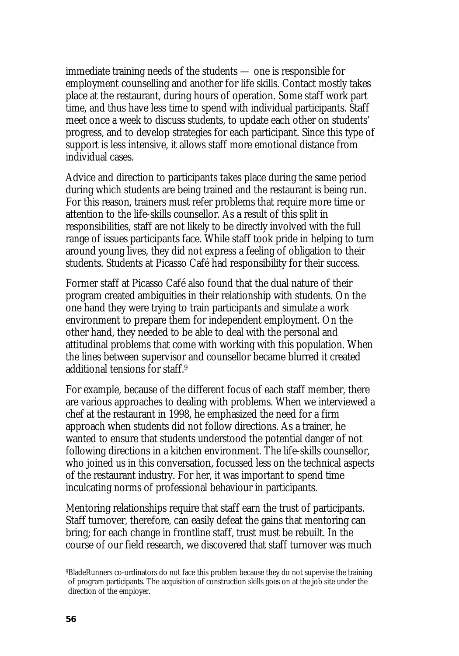immediate training needs of the students — one is responsible for employment counselling and another for life skills. Contact mostly takes place at the restaurant, during hours of operation. Some staff work part time, and thus have less time to spend with individual participants. Staff meet once a week to discuss students, to update each other on students' progress, and to develop strategies for each participant. Since this type of support is less intensive, it allows staff more emotional distance from individual cases.

Advice and direction to participants takes place during the same period during which students are being trained and the restaurant is being run. For this reason, trainers must refer problems that require more time or attention to the life-skills counsellor. As a result of this split in responsibilities, staff are not likely to be directly involved with the full range of issues participants face. While staff took pride in helping to turn around young lives, they did not express a feeling of obligation to their students. Students at Picasso Café had responsibility for their success.

Former staff at Picasso Café also found that the dual nature of their program created ambiguities in their relationship with students. On the one hand they were trying to train participants and simulate a work environment to prepare them for independent employment. On the other hand, they needed to be able to deal with the personal and attitudinal problems that come with working with this population. When the lines between supervisor and counsellor became blurred it created additional tensions for staff.9

For example, because of the different focus of each staff member, there are various approaches to dealing with problems. When we interviewed a chef at the restaurant in 1998, he emphasized the need for a firm approach when students did not follow directions. As a trainer, he wanted to ensure that students understood the potential danger of not following directions in a kitchen environment. The life-skills counsellor, who joined us in this conversation, focussed less on the technical aspects of the restaurant industry. For her, it was important to spend time inculcating norms of professional behaviour in participants.

Mentoring relationships require that staff earn the trust of participants. Staff turnover, therefore, can easily defeat the gains that mentoring can bring; for each change in frontline staff, trust must be rebuilt. In the course of our field research, we discovered that staff turnover was much

l

<sup>9</sup>BladeRunners co-ordinators do not face this problem because they do not supervise the training of program participants. The acquisition of construction skills goes on at the job site under the direction of the employer.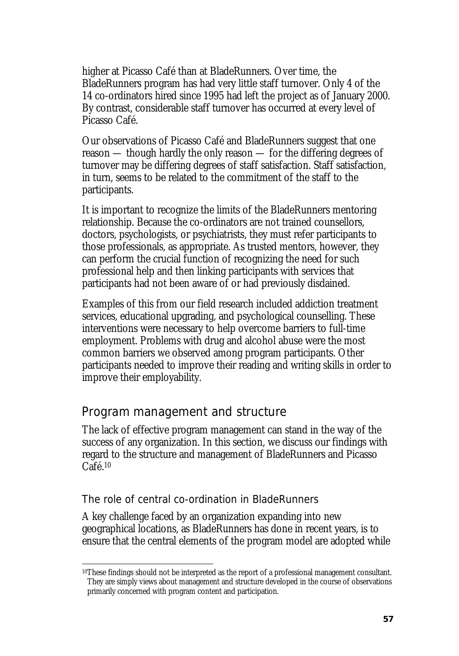higher at Picasso Café than at BladeRunners. Over time, the BladeRunners program has had very little staff turnover. Only 4 of the 14 co-ordinators hired since 1995 had left the project as of January 2000. By contrast, considerable staff turnover has occurred at every level of Picasso Café.

Our observations of Picasso Café and BladeRunners suggest that one reason — though hardly the only reason — for the differing degrees of turnover may be differing degrees of staff satisfaction. Staff satisfaction, in turn, seems to be related to the commitment of the staff to the participants.

It is important to recognize the limits of the BladeRunners mentoring relationship. Because the co-ordinators are not trained counsellors, doctors, psychologists, or psychiatrists, they must refer participants to those professionals, as appropriate. As trusted mentors, however, they can perform the crucial function of recognizing the need for such professional help and then linking participants with services that participants had not been aware of or had previously disdained.

Examples of this from our field research included addiction treatment services, educational upgrading, and psychological counselling. These interventions were necessary to help overcome barriers to full-time employment. Problems with drug and alcohol abuse were the most common barriers we observed among program participants. Other participants needed to improve their reading and writing skills in order to improve their employability.

## Program management and structure

The lack of effective program management can stand in the way of the success of any organization. In this section, we discuss our findings with regard to the structure and management of BladeRunners and Picasso Café.10

## The role of central co-ordination in BladeRunners

A key challenge faced by an organization expanding into new geographical locations, as BladeRunners has done in recent years, is to ensure that the central elements of the program model are adopted while

l 10These findings should not be interpreted as the report of a professional management consultant. They are simply views about management and structure developed in the course of observations primarily concerned with program content and participation.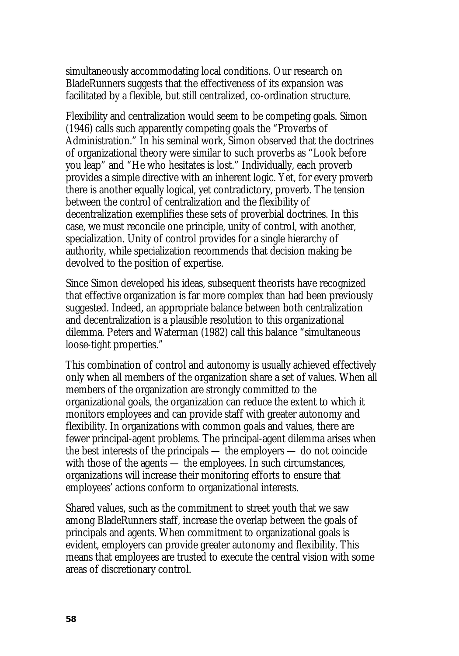simultaneously accommodating local conditions. Our research on BladeRunners suggests that the effectiveness of its expansion was facilitated by a flexible, but still centralized, co-ordination structure.

Flexibility and centralization would seem to be competing goals. Simon (1946) calls such apparently competing goals the "Proverbs of Administration." In his seminal work, Simon observed that the doctrines of organizational theory were similar to such proverbs as "Look before you leap" and "He who hesitates is lost." Individually, each proverb provides a simple directive with an inherent logic. Yet, for every proverb there is another equally logical, yet contradictory, proverb. The tension between the control of centralization and the flexibility of decentralization exemplifies these sets of proverbial doctrines. In this case, we must reconcile one principle, unity of control, with another, specialization. Unity of control provides for a single hierarchy of authority, while specialization recommends that decision making be devolved to the position of expertise.

Since Simon developed his ideas, subsequent theorists have recognized that effective organization is far more complex than had been previously suggested. Indeed, an appropriate balance between both centralization and decentralization is a plausible resolution to this organizational dilemma. Peters and Waterman (1982) call this balance "simultaneous loose-tight properties."

This combination of control and autonomy is usually achieved effectively only when all members of the organization share a set of values. When all members of the organization are strongly committed to the organizational goals, the organization can reduce the extent to which it monitors employees and can provide staff with greater autonomy and flexibility. In organizations with common goals and values, there are fewer principal-agent problems. The principal-agent dilemma arises when the best interests of the principals — the employers — do not coincide with those of the agents — the employees. In such circumstances, organizations will increase their monitoring efforts to ensure that employees' actions conform to organizational interests.

Shared values, such as the commitment to street youth that we saw among BladeRunners staff, increase the overlap between the goals of principals and agents. When commitment to organizational goals is evident, employers can provide greater autonomy and flexibility. This means that employees are trusted to execute the central vision with some areas of discretionary control.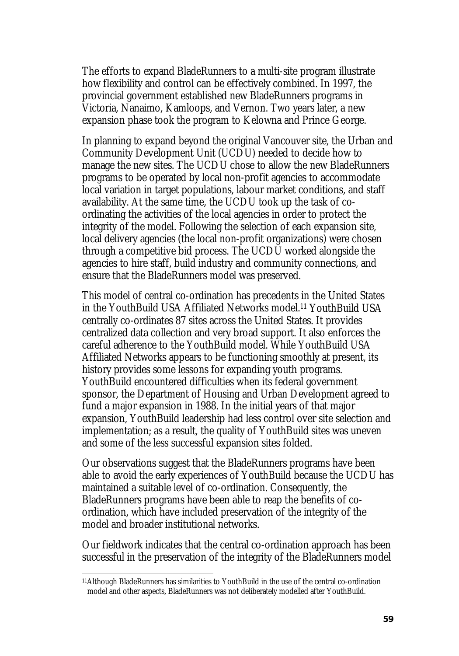The efforts to expand BladeRunners to a multi-site program illustrate how flexibility and control can be effectively combined. In 1997, the provincial government established new BladeRunners programs in Victoria, Nanaimo, Kamloops, and Vernon. Two years later, a new expansion phase took the program to Kelowna and Prince George.

In planning to expand beyond the original Vancouver site, the Urban and Community Development Unit (UCDU) needed to decide how to manage the new sites. The UCDU chose to allow the new BladeRunners programs to be operated by local non-profit agencies to accommodate local variation in target populations, labour market conditions, and staff availability. At the same time, the UCDU took up the task of coordinating the activities of the local agencies in order to protect the integrity of the model. Following the selection of each expansion site, local delivery agencies (the local non-profit organizations) were chosen through a competitive bid process. The UCDU worked alongside the agencies to hire staff, build industry and community connections, and ensure that the BladeRunners model was preserved.

This model of central co-ordination has precedents in the United States in the YouthBuild USA Affiliated Networks model.11 YouthBuild USA centrally co-ordinates 87 sites across the United States. It provides centralized data collection and very broad support. It also enforces the careful adherence to the YouthBuild model. While YouthBuild USA Affiliated Networks appears to be functioning smoothly at present, its history provides some lessons for expanding youth programs. YouthBuild encountered difficulties when its federal government sponsor, the Department of Housing and Urban Development agreed to fund a major expansion in 1988. In the initial years of that major expansion, YouthBuild leadership had less control over site selection and implementation; as a result, the quality of YouthBuild sites was uneven and some of the less successful expansion sites folded.

Our observations suggest that the BladeRunners programs have been able to avoid the early experiences of YouthBuild because the UCDU has maintained a suitable level of co-ordination. Consequently, the BladeRunners programs have been able to reap the benefits of coordination, which have included preservation of the integrity of the model and broader institutional networks.

Our fieldwork indicates that the central co-ordination approach has been successful in the preservation of the integrity of the BladeRunners model

 $\overline{\phantom{a}}$ 

<sup>11</sup>Although BladeRunners has similarities to YouthBuild in the use of the central co-ordination model and other aspects, BladeRunners was not deliberately modelled after YouthBuild.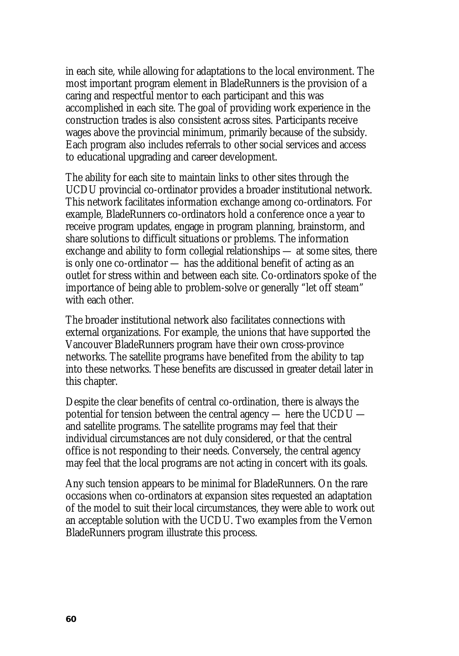in each site, while allowing for adaptations to the local environment. The most important program element in BladeRunners is the provision of a caring and respectful mentor to each participant and this was accomplished in each site. The goal of providing work experience in the construction trades is also consistent across sites. Participants receive wages above the provincial minimum, primarily because of the subsidy. Each program also includes referrals to other social services and access to educational upgrading and career development.

The ability for each site to maintain links to other sites through the UCDU provincial co-ordinator provides a broader institutional network. This network facilitates information exchange among co-ordinators. For example, BladeRunners co-ordinators hold a conference once a year to receive program updates, engage in program planning, brainstorm, and share solutions to difficult situations or problems. The information exchange and ability to form collegial relationships — at some sites, there is only one co-ordinator — has the additional benefit of acting as an outlet for stress within and between each site. Co-ordinators spoke of the importance of being able to problem-solve or generally "let off steam" with each other.

The broader institutional network also facilitates connections with external organizations. For example, the unions that have supported the Vancouver BladeRunners program have their own cross-province networks. The satellite programs have benefited from the ability to tap into these networks. These benefits are discussed in greater detail later in this chapter.

Despite the clear benefits of central co-ordination, there is always the potential for tension between the central agency — here the UCDU and satellite programs. The satellite programs may feel that their individual circumstances are not duly considered, or that the central office is not responding to their needs. Conversely, the central agency may feel that the local programs are not acting in concert with its goals.

Any such tension appears to be minimal for BladeRunners. On the rare occasions when co-ordinators at expansion sites requested an adaptation of the model to suit their local circumstances, they were able to work out an acceptable solution with the UCDU. Two examples from the Vernon BladeRunners program illustrate this process.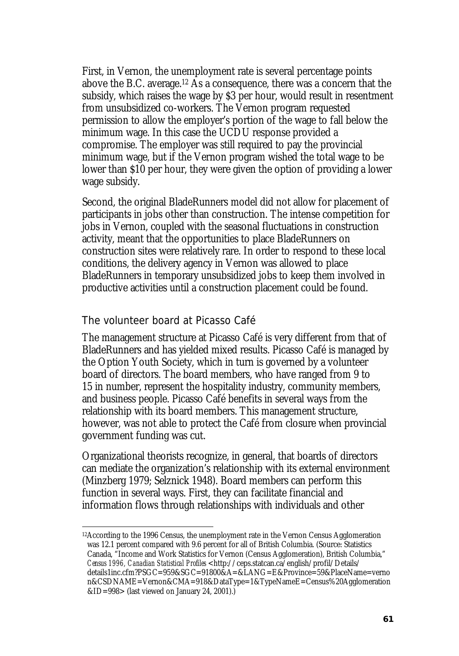First, in Vernon, the unemployment rate is several percentage points above the B.C. average.12 As a consequence, there was a concern that the subsidy, which raises the wage by \$3 per hour, would result in resentment from unsubsidized co-workers. The Vernon program requested permission to allow the employer's portion of the wage to fall below the minimum wage. In this case the UCDU response provided a compromise. The employer was still required to pay the provincial minimum wage, but if the Vernon program wished the total wage to be lower than \$10 per hour, they were given the option of providing a lower wage subsidy.

Second, the original BladeRunners model did not allow for placement of participants in jobs other than construction. The intense competition for jobs in Vernon, coupled with the seasonal fluctuations in construction activity, meant that the opportunities to place BladeRunners on construction sites were relatively rare. In order to respond to these local conditions, the delivery agency in Vernon was allowed to place BladeRunners in temporary unsubsidized jobs to keep them involved in productive activities until a construction placement could be found.

#### The volunteer board at Picasso Café

 $\overline{\phantom{a}}$ 

The management structure at Picasso Café is very different from that of BladeRunners and has yielded mixed results. Picasso Café is managed by the Option Youth Society, which in turn is governed by a volunteer board of directors. The board members, who have ranged from 9 to 15 in number, represent the hospitality industry, community members, and business people. Picasso Café benefits in several ways from the relationship with its board members. This management structure, however, was not able to protect the Café from closure when provincial government funding was cut.

Organizational theorists recognize, in general, that boards of directors can mediate the organization's relationship with its external environment (Minzberg 1979; Selznick 1948). Board members can perform this function in several ways. First, they can facilitate financial and information flows through relationships with individuals and other

<sup>12</sup>According to the 1996 Census, the unemployment rate in the Vernon Census Agglomeration was 12.1 percent compared with 9.6 percent for all of British Columbia. (Source: Statistics Canada, "Income and Work Statistics for Vernon (Census Agglomeration), British Columbia," *Census 1996, Canadian Statistical Profiles* <http://ceps.statcan.ca/english/profil/Details/ details1inc.cfm?PSGC=959&SGC=91800&A=&LANG=E&Province=59&PlaceName=verno n&CSDNAME=Vernon&CMA=918&DataType=1&TypeNameE=Census%20Agglomeration &ID=998> (last viewed on January 24, 2001).)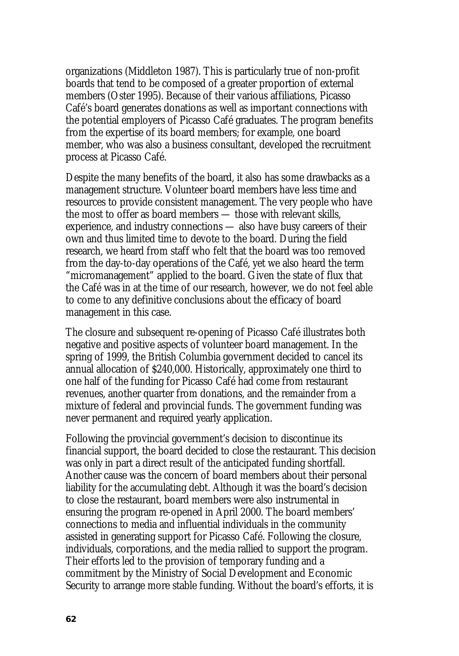organizations (Middleton 1987). This is particularly true of non-profit boards that tend to be composed of a greater proportion of external members (Oster 1995). Because of their various affiliations, Picasso Café's board generates donations as well as important connections with the potential employers of Picasso Café graduates. The program benefits from the expertise of its board members; for example, one board member, who was also a business consultant, developed the recruitment process at Picasso Café.

Despite the many benefits of the board, it also has some drawbacks as a management structure. Volunteer board members have less time and resources to provide consistent management. The very people who have the most to offer as board members — those with relevant skills, experience, and industry connections — also have busy careers of their own and thus limited time to devote to the board. During the field research, we heard from staff who felt that the board was too removed from the day-to-day operations of the Café, yet we also heard the term "micromanagement" applied to the board. Given the state of flux that the Café was in at the time of our research, however, we do not feel able to come to any definitive conclusions about the efficacy of board management in this case.

The closure and subsequent re-opening of Picasso Café illustrates both negative and positive aspects of volunteer board management. In the spring of 1999, the British Columbia government decided to cancel its annual allocation of \$240,000. Historically, approximately one third to one half of the funding for Picasso Café had come from restaurant revenues, another quarter from donations, and the remainder from a mixture of federal and provincial funds. The government funding was never permanent and required yearly application.

Following the provincial government's decision to discontinue its financial support, the board decided to close the restaurant. This decision was only in part a direct result of the anticipated funding shortfall. Another cause was the concern of board members about their personal liability for the accumulating debt. Although it was the board's decision to close the restaurant, board members were also instrumental in ensuring the program re-opened in April 2000. The board members' connections to media and influential individuals in the community assisted in generating support for Picasso Café. Following the closure, individuals, corporations, and the media rallied to support the program. Their efforts led to the provision of temporary funding and a commitment by the Ministry of Social Development and Economic Security to arrange more stable funding. Without the board's efforts, it is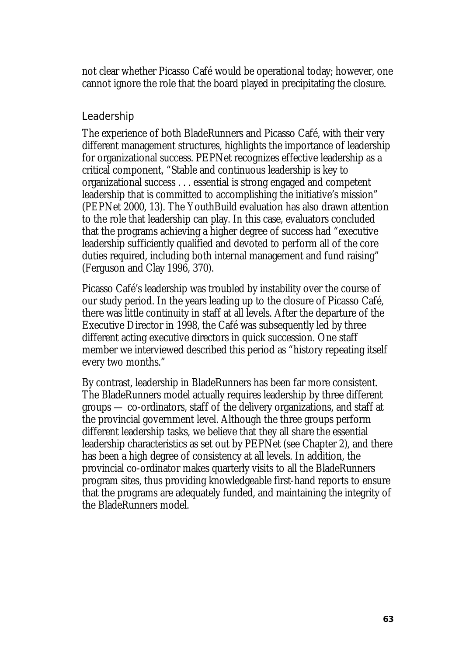not clear whether Picasso Café would be operational today; however, one cannot ignore the role that the board played in precipitating the closure.

#### Leadership

The experience of both BladeRunners and Picasso Café, with their very different management structures, highlights the importance of leadership for organizational success. PEPNet recognizes effective leadership as a critical component, "Stable and continuous leadership is key to organizational success . . . essential is strong engaged and competent leadership that is committed to accomplishing the initiative's mission" (PEPNet 2000, 13). The YouthBuild evaluation has also drawn attention to the role that leadership can play. In this case, evaluators concluded that the programs achieving a higher degree of success had "executive leadership sufficiently qualified and devoted to perform all of the core duties required, including both internal management and fund raising" (Ferguson and Clay 1996, 370).

Picasso Café's leadership was troubled by instability over the course of our study period. In the years leading up to the closure of Picasso Café, there was little continuity in staff at all levels. After the departure of the Executive Director in 1998, the Café was subsequently led by three different acting executive directors in quick succession. One staff member we interviewed described this period as "history repeating itself every two months."

By contrast, leadership in BladeRunners has been far more consistent. The BladeRunners model actually requires leadership by three different groups — co-ordinators, staff of the delivery organizations, and staff at the provincial government level. Although the three groups perform different leadership tasks, we believe that they all share the essential leadership characteristics as set out by PEPNet (see Chapter 2), and there has been a high degree of consistency at all levels. In addition, the provincial co-ordinator makes quarterly visits to all the BladeRunners program sites, thus providing knowledgeable first-hand reports to ensure that the programs are adequately funded, and maintaining the integrity of the BladeRunners model.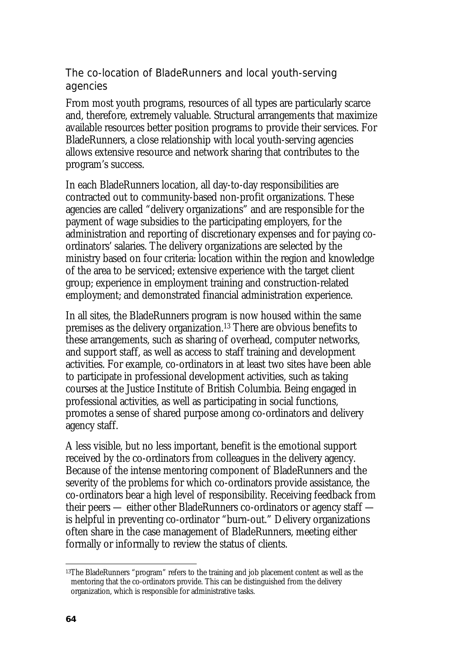## The co-location of BladeRunners and local youth-serving agencies

From most youth programs, resources of all types are particularly scarce and, therefore, extremely valuable. Structural arrangements that maximize available resources better position programs to provide their services. For BladeRunners, a close relationship with local youth-serving agencies allows extensive resource and network sharing that contributes to the program's success.

In each BladeRunners location, all day-to-day responsibilities are contracted out to community-based non-profit organizations. These agencies are called "delivery organizations" and are responsible for the payment of wage subsidies to the participating employers, for the administration and reporting of discretionary expenses and for paying coordinators' salaries. The delivery organizations are selected by the ministry based on four criteria: location within the region and knowledge of the area to be serviced; extensive experience with the target client group; experience in employment training and construction-related employment; and demonstrated financial administration experience.

In all sites, the BladeRunners program is now housed within the same premises as the delivery organization.13 There are obvious benefits to these arrangements, such as sharing of overhead, computer networks, and support staff, as well as access to staff training and development activities. For example, co-ordinators in at least two sites have been able to participate in professional development activities, such as taking courses at the Justice Institute of British Columbia. Being engaged in professional activities, as well as participating in social functions, promotes a sense of shared purpose among co-ordinators and delivery agency staff.

A less visible, but no less important, benefit is the emotional support received by the co-ordinators from colleagues in the delivery agency. Because of the intense mentoring component of BladeRunners and the severity of the problems for which co-ordinators provide assistance, the co-ordinators bear a high level of responsibility. Receiving feedback from their peers — either other BladeRunners co-ordinators or agency staff is helpful in preventing co-ordinator "burn-out." Delivery organizations often share in the case management of BladeRunners, meeting either formally or informally to review the status of clients.

l 13The BladeRunners "program" refers to the training and job placement content as well as the mentoring that the co-ordinators provide. This can be distinguished from the delivery organization, which is responsible for administrative tasks.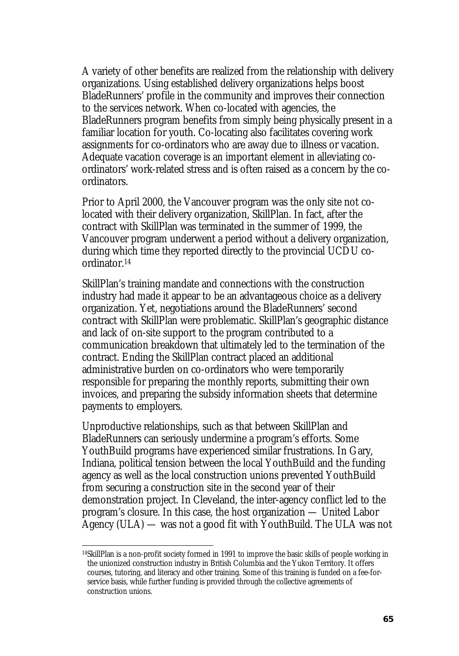A variety of other benefits are realized from the relationship with delivery organizations. Using established delivery organizations helps boost BladeRunners' profile in the community and improves their connection to the services network. When co-located with agencies, the BladeRunners program benefits from simply being physically present in a familiar location for youth. Co-locating also facilitates covering work assignments for co-ordinators who are away due to illness or vacation. Adequate vacation coverage is an important element in alleviating coordinators' work-related stress and is often raised as a concern by the coordinators.

Prior to April 2000, the Vancouver program was the only site not colocated with their delivery organization, SkillPlan. In fact, after the contract with SkillPlan was terminated in the summer of 1999, the Vancouver program underwent a period without a delivery organization, during which time they reported directly to the provincial UCDU coordinator.14

SkillPlan's training mandate and connections with the construction industry had made it appear to be an advantageous choice as a delivery organization. Yet, negotiations around the BladeRunners' second contract with SkillPlan were problematic. SkillPlan's geographic distance and lack of on-site support to the program contributed to a communication breakdown that ultimately led to the termination of the contract. Ending the SkillPlan contract placed an additional administrative burden on co-ordinators who were temporarily responsible for preparing the monthly reports, submitting their own invoices, and preparing the subsidy information sheets that determine payments to employers.

Unproductive relationships, such as that between SkillPlan and BladeRunners can seriously undermine a program's efforts. Some YouthBuild programs have experienced similar frustrations. In Gary, Indiana, political tension between the local YouthBuild and the funding agency as well as the local construction unions prevented YouthBuild from securing a construction site in the second year of their demonstration project. In Cleveland, the inter-agency conflict led to the program's closure. In this case, the host organization — United Labor Agency (ULA) — was not a good fit with YouthBuild. The ULA was not

 $\overline{\phantom{a}}$ 

<sup>14</sup>SkillPlan is a non-profit society formed in 1991 to improve the basic skills of people working in the unionized construction industry in British Columbia and the Yukon Territory. It offers courses, tutoring, and literacy and other training. Some of this training is funded on a fee-forservice basis, while further funding is provided through the collective agreements of construction unions.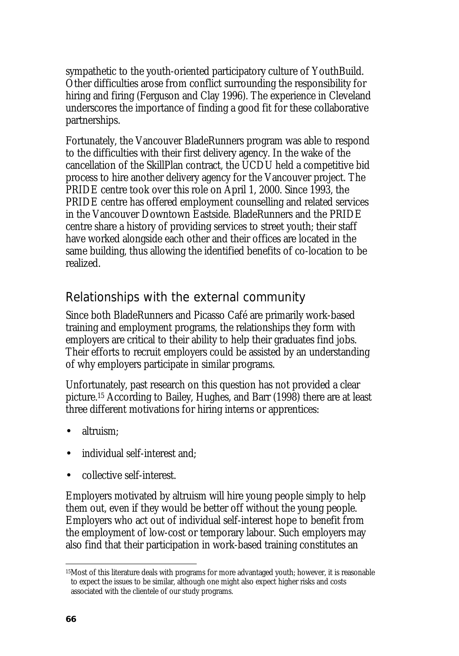sympathetic to the youth-oriented participatory culture of YouthBuild. Other difficulties arose from conflict surrounding the responsibility for hiring and firing (Ferguson and Clay 1996). The experience in Cleveland underscores the importance of finding a good fit for these collaborative partnerships.

Fortunately, the Vancouver BladeRunners program was able to respond to the difficulties with their first delivery agency. In the wake of the cancellation of the SkillPlan contract, the UCDU held a competitive bid process to hire another delivery agency for the Vancouver project. The PRIDE centre took over this role on April 1, 2000. Since 1993, the PRIDE centre has offered employment counselling and related services in the Vancouver Downtown Eastside. BladeRunners and the PRIDE centre share a history of providing services to street youth; their staff have worked alongside each other and their offices are located in the same building, thus allowing the identified benefits of co-location to be realized.

## Relationships with the external community

Since both BladeRunners and Picasso Café are primarily work-based training and employment programs, the relationships they form with employers are critical to their ability to help their graduates find jobs. Their efforts to recruit employers could be assisted by an understanding of why employers participate in similar programs.

Unfortunately, past research on this question has not provided a clear picture.15 According to Bailey, Hughes, and Barr (1998) there are at least three different motivations for hiring interns or apprentices:

- altruism;
- individual self-interest and;
- collective self-interest.

Employers motivated by altruism will hire young people simply to help them out, even if they would be better off without the young people. Employers who act out of individual self-interest hope to benefit from the employment of low-cost or temporary labour. Such employers may also find that their participation in work-based training constitutes an

l

<sup>15</sup>Most of this literature deals with programs for more advantaged youth; however, it is reasonable to expect the issues to be similar, although one might also expect higher risks and costs associated with the clientele of our study programs.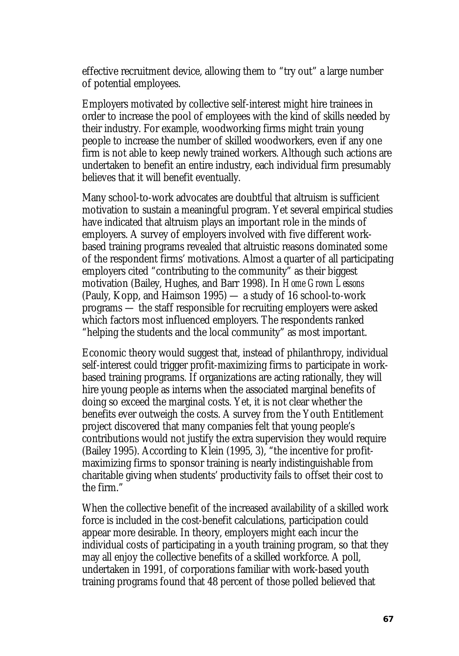effective recruitment device, allowing them to "try out" a large number of potential employees.

Employers motivated by collective self-interest might hire trainees in order to increase the pool of employees with the kind of skills needed by their industry. For example, woodworking firms might train young people to increase the number of skilled woodworkers, even if any one firm is not able to keep newly trained workers. Although such actions are undertaken to benefit an entire industry, each individual firm presumably believes that it will benefit eventually.

Many school-to-work advocates are doubtful that altruism is sufficient motivation to sustain a meaningful program. Yet several empirical studies have indicated that altruism plays an important role in the minds of employers. A survey of employers involved with five different workbased training programs revealed that altruistic reasons dominated some of the respondent firms' motivations. Almost a quarter of all participating employers cited "contributing to the community" as their biggest motivation (Bailey, Hughes, and Barr 1998). In *Home Grown Lessons*  (Pauly, Kopp, and Haimson 1995) — a study of 16 school-to-work programs — the staff responsible for recruiting employers were asked which factors most influenced employers. The respondents ranked "helping the students and the local community" as most important.

Economic theory would suggest that, instead of philanthropy, individual self-interest could trigger profit-maximizing firms to participate in workbased training programs. If organizations are acting rationally, they will hire young people as interns when the associated marginal benefits of doing so exceed the marginal costs. Yet, it is not clear whether the benefits ever outweigh the costs. A survey from the Youth Entitlement project discovered that many companies felt that young people's contributions would not justify the extra supervision they would require (Bailey 1995). According to Klein (1995, 3), "the incentive for profitmaximizing firms to sponsor training is nearly indistinguishable from charitable giving when students' productivity fails to offset their cost to the firm."

When the collective benefit of the increased availability of a skilled work force is included in the cost-benefit calculations, participation could appear more desirable. In theory, employers might each incur the individual costs of participating in a youth training program, so that they may all enjoy the collective benefits of a skilled workforce. A poll, undertaken in 1991, of corporations familiar with work-based youth training programs found that 48 percent of those polled believed that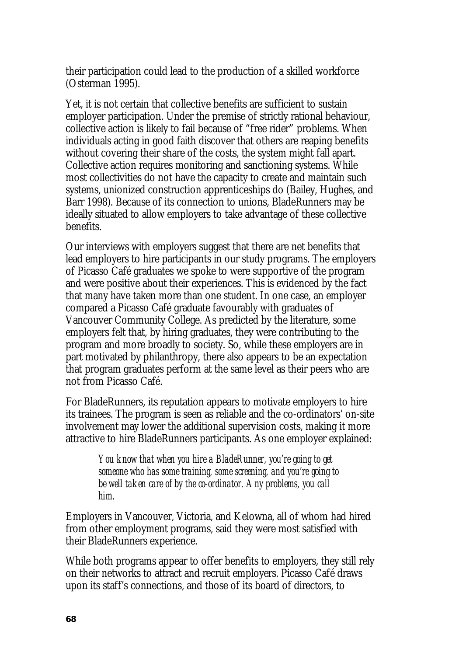their participation could lead to the production of a skilled workforce (Osterman 1995).

Yet, it is not certain that collective benefits are sufficient to sustain employer participation. Under the premise of strictly rational behaviour, collective action is likely to fail because of "free rider" problems. When individuals acting in good faith discover that others are reaping benefits without covering their share of the costs, the system might fall apart. Collective action requires monitoring and sanctioning systems. While most collectivities do not have the capacity to create and maintain such systems, unionized construction apprenticeships do (Bailey, Hughes, and Barr 1998). Because of its connection to unions, BladeRunners may be ideally situated to allow employers to take advantage of these collective benefits.

Our interviews with employers suggest that there are net benefits that lead employers to hire participants in our study programs. The employers of Picasso Café graduates we spoke to were supportive of the program and were positive about their experiences. This is evidenced by the fact that many have taken more than one student. In one case, an employer compared a Picasso Café graduate favourably with graduates of Vancouver Community College. As predicted by the literature, some employers felt that, by hiring graduates, they were contributing to the program and more broadly to society. So, while these employers are in part motivated by philanthropy, there also appears to be an expectation that program graduates perform at the same level as their peers who are not from Picasso Café.

For BladeRunners, its reputation appears to motivate employers to hire its trainees. The program is seen as reliable and the co-ordinators' on-site involvement may lower the additional supervision costs, making it more attractive to hire BladeRunners participants. As one employer explained:

> *You know that when you hire a BladeRunner, you're going to get someone who has some training, some screening, and you're going to be well taken care of by the co-ordinator. Any problems, you call him.*

Employers in Vancouver, Victoria, and Kelowna, all of whom had hired from other employment programs, said they were most satisfied with their BladeRunners experience.

While both programs appear to offer benefits to employers, they still rely on their networks to attract and recruit employers. Picasso Café draws upon its staff's connections, and those of its board of directors, to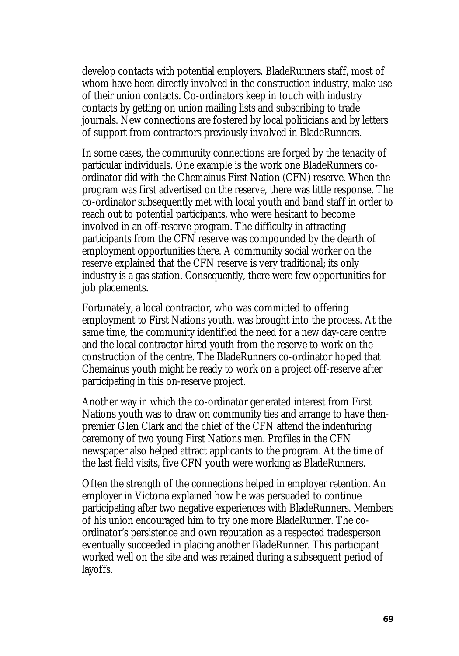develop contacts with potential employers. BladeRunners staff, most of whom have been directly involved in the construction industry, make use of their union contacts. Co-ordinators keep in touch with industry contacts by getting on union mailing lists and subscribing to trade journals. New connections are fostered by local politicians and by letters of support from contractors previously involved in BladeRunners.

In some cases, the community connections are forged by the tenacity of particular individuals. One example is the work one BladeRunners coordinator did with the Chemainus First Nation (CFN) reserve. When the program was first advertised on the reserve, there was little response. The co-ordinator subsequently met with local youth and band staff in order to reach out to potential participants, who were hesitant to become involved in an off-reserve program. The difficulty in attracting participants from the CFN reserve was compounded by the dearth of employment opportunities there. A community social worker on the reserve explained that the CFN reserve is very traditional; its only industry is a gas station. Consequently, there were few opportunities for job placements.

Fortunately, a local contractor, who was committed to offering employment to First Nations youth, was brought into the process. At the same time, the community identified the need for a new day-care centre and the local contractor hired youth from the reserve to work on the construction of the centre. The BladeRunners co-ordinator hoped that Chemainus youth might be ready to work on a project off-reserve after participating in this on-reserve project.

Another way in which the co-ordinator generated interest from First Nations youth was to draw on community ties and arrange to have thenpremier Glen Clark and the chief of the CFN attend the indenturing ceremony of two young First Nations men. Profiles in the CFN newspaper also helped attract applicants to the program. At the time of the last field visits, five CFN youth were working as BladeRunners.

Often the strength of the connections helped in employer retention. An employer in Victoria explained how he was persuaded to continue participating after two negative experiences with BladeRunners. Members of his union encouraged him to try one more BladeRunner. The coordinator's persistence and own reputation as a respected tradesperson eventually succeeded in placing another BladeRunner. This participant worked well on the site and was retained during a subsequent period of layoffs.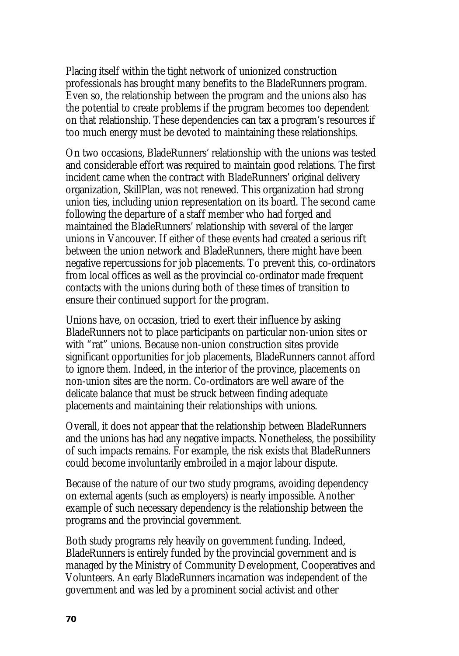Placing itself within the tight network of unionized construction professionals has brought many benefits to the BladeRunners program. Even so, the relationship between the program and the unions also has the potential to create problems if the program becomes too dependent on that relationship. These dependencies can tax a program's resources if too much energy must be devoted to maintaining these relationships.

On two occasions, BladeRunners' relationship with the unions was tested and considerable effort was required to maintain good relations. The first incident came when the contract with BladeRunners' original delivery organization, SkillPlan, was not renewed. This organization had strong union ties, including union representation on its board. The second came following the departure of a staff member who had forged and maintained the BladeRunners' relationship with several of the larger unions in Vancouver. If either of these events had created a serious rift between the union network and BladeRunners, there might have been negative repercussions for job placements. To prevent this, co-ordinators from local offices as well as the provincial co-ordinator made frequent contacts with the unions during both of these times of transition to ensure their continued support for the program.

Unions have, on occasion, tried to exert their influence by asking BladeRunners not to place participants on particular non-union sites or with "rat" unions. Because non-union construction sites provide significant opportunities for job placements, BladeRunners cannot afford to ignore them. Indeed, in the interior of the province, placements on non-union sites are the norm. Co-ordinators are well aware of the delicate balance that must be struck between finding adequate placements and maintaining their relationships with unions.

Overall, it does not appear that the relationship between BladeRunners and the unions has had any negative impacts. Nonetheless, the possibility of such impacts remains. For example, the risk exists that BladeRunners could become involuntarily embroiled in a major labour dispute.

Because of the nature of our two study programs, avoiding dependency on external agents (such as employers) is nearly impossible. Another example of such necessary dependency is the relationship between the programs and the provincial government.

Both study programs rely heavily on government funding. Indeed, BladeRunners is entirely funded by the provincial government and is managed by the Ministry of Community Development, Cooperatives and Volunteers. An early BladeRunners incarnation was independent of the government and was led by a prominent social activist and other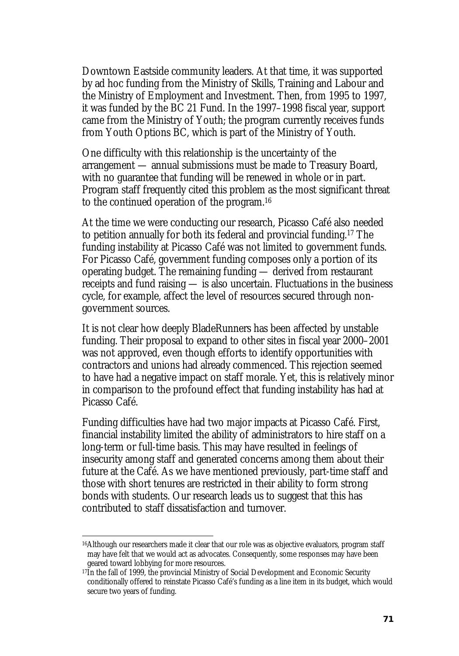Downtown Eastside community leaders. At that time, it was supported by ad hoc funding from the Ministry of Skills, Training and Labour and the Ministry of Employment and Investment. Then, from 1995 to 1997, it was funded by the BC 21 Fund. In the 1997–1998 fiscal year, support came from the Ministry of Youth; the program currently receives funds from Youth Options BC, which is part of the Ministry of Youth.

One difficulty with this relationship is the uncertainty of the arrangement — annual submissions must be made to Treasury Board, with no guarantee that funding will be renewed in whole or in part. Program staff frequently cited this problem as the most significant threat to the continued operation of the program.16

At the time we were conducting our research, Picasso Café also needed to petition annually for both its federal and provincial funding.17 The funding instability at Picasso Café was not limited to government funds. For Picasso Café, government funding composes only a portion of its operating budget. The remaining funding — derived from restaurant receipts and fund raising — is also uncertain. Fluctuations in the business cycle, for example, affect the level of resources secured through nongovernment sources.

It is not clear how deeply BladeRunners has been affected by unstable funding. Their proposal to expand to other sites in fiscal year 2000–2001 was not approved, even though efforts to identify opportunities with contractors and unions had already commenced. This rejection seemed to have had a negative impact on staff morale. Yet, this is relatively minor in comparison to the profound effect that funding instability has had at Picasso Café.

Funding difficulties have had two major impacts at Picasso Café. First, financial instability limited the ability of administrators to hire staff on a long-term or full-time basis. This may have resulted in feelings of insecurity among staff and generated concerns among them about their future at the Café. As we have mentioned previously, part-time staff and those with short tenures are restricted in their ability to form strong bonds with students. Our research leads us to suggest that this has contributed to staff dissatisfaction and turnover.

 $\overline{\phantom{a}}$ 

<sup>16</sup>Although our researchers made it clear that our role was as objective evaluators, program staff may have felt that we would act as advocates. Consequently, some responses may have been geared toward lobbying for more resources.

<sup>17</sup>In the fall of 1999, the provincial Ministry of Social Development and Economic Security conditionally offered to reinstate Picasso Café's funding as a line item in its budget, which would secure two years of funding.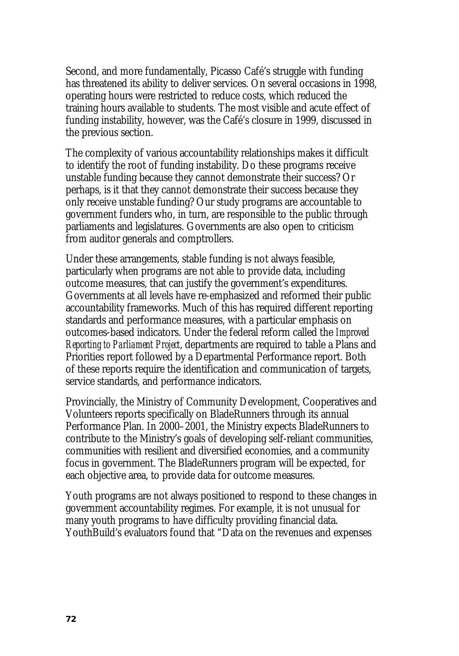Second, and more fundamentally, Picasso Café's struggle with funding has threatened its ability to deliver services. On several occasions in 1998, operating hours were restricted to reduce costs, which reduced the training hours available to students. The most visible and acute effect of funding instability, however, was the Café's closure in 1999, discussed in the previous section.

The complexity of various accountability relationships makes it difficult to identify the root of funding instability. Do these programs receive unstable funding because they cannot demonstrate their success? Or perhaps, is it that they cannot demonstrate their success because they only receive unstable funding? Our study programs are accountable to government funders who, in turn, are responsible to the public through parliaments and legislatures. Governments are also open to criticism from auditor generals and comptrollers.

Under these arrangements, stable funding is not always feasible, particularly when programs are not able to provide data, including outcome measures, that can justify the government's expenditures. Governments at all levels have re-emphasized and reformed their public accountability frameworks. Much of this has required different reporting standards and performance measures, with a particular emphasis on outcomes-based indicators. Under the federal reform called the *Improved Reporting to Parliament Project*, departments are required to table a Plans and Priorities report followed by a Departmental Performance report. Both of these reports require the identification and communication of targets, service standards, and performance indicators.

Provincially, the Ministry of Community Development, Cooperatives and Volunteers reports specifically on BladeRunners through its annual Performance Plan. In 2000–2001, the Ministry expects BladeRunners to contribute to the Ministry's goals of developing self-reliant communities, communities with resilient and diversified economies, and a community focus in government. The BladeRunners program will be expected, for each objective area, to provide data for outcome measures.

Youth programs are not always positioned to respond to these changes in government accountability regimes. For example, it is not unusual for many youth programs to have difficulty providing financial data. YouthBuild's evaluators found that "Data on the revenues and expenses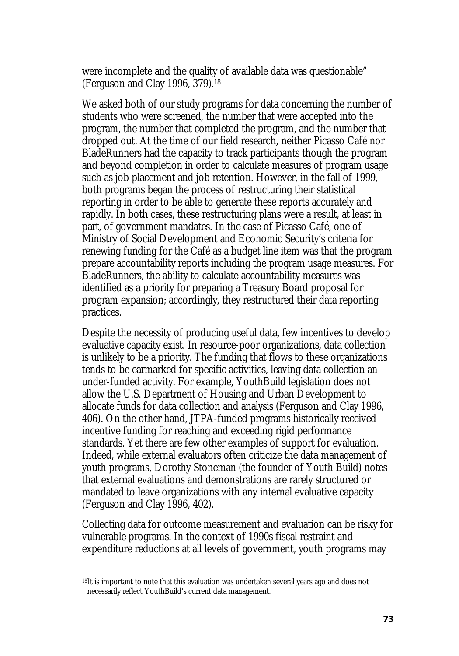were incomplete and the quality of available data was questionable" (Ferguson and Clay 1996, 379).18

We asked both of our study programs for data concerning the number of students who were screened, the number that were accepted into the program, the number that completed the program, and the number that dropped out. At the time of our field research, neither Picasso Café nor BladeRunners had the capacity to track participants though the program and beyond completion in order to calculate measures of program usage such as job placement and job retention. However, in the fall of 1999, both programs began the process of restructuring their statistical reporting in order to be able to generate these reports accurately and rapidly. In both cases, these restructuring plans were a result, at least in part, of government mandates. In the case of Picasso Café, one of Ministry of Social Development and Economic Security's criteria for renewing funding for the Café as a budget line item was that the program prepare accountability reports including the program usage measures. For BladeRunners, the ability to calculate accountability measures was identified as a priority for preparing a Treasury Board proposal for program expansion; accordingly, they restructured their data reporting practices.

Despite the necessity of producing useful data, few incentives to develop evaluative capacity exist. In resource-poor organizations, data collection is unlikely to be a priority. The funding that flows to these organizations tends to be earmarked for specific activities, leaving data collection an under-funded activity. For example, YouthBuild legislation does not allow the U.S. Department of Housing and Urban Development to allocate funds for data collection and analysis (Ferguson and Clay 1996, 406). On the other hand, JTPA-funded programs historically received incentive funding for reaching and exceeding rigid performance standards. Yet there are few other examples of support for evaluation. Indeed, while external evaluators often criticize the data management of youth programs, Dorothy Stoneman (the founder of Youth Build) notes that external evaluations and demonstrations are rarely structured or mandated to leave organizations with any internal evaluative capacity (Ferguson and Clay 1996, 402).

Collecting data for outcome measurement and evaluation can be risky for vulnerable programs. In the context of 1990s fiscal restraint and expenditure reductions at all levels of government, youth programs may

 $\overline{\phantom{a}}$ 

<sup>18</sup>It is important to note that this evaluation was undertaken several years ago and does not necessarily reflect YouthBuild's current data management.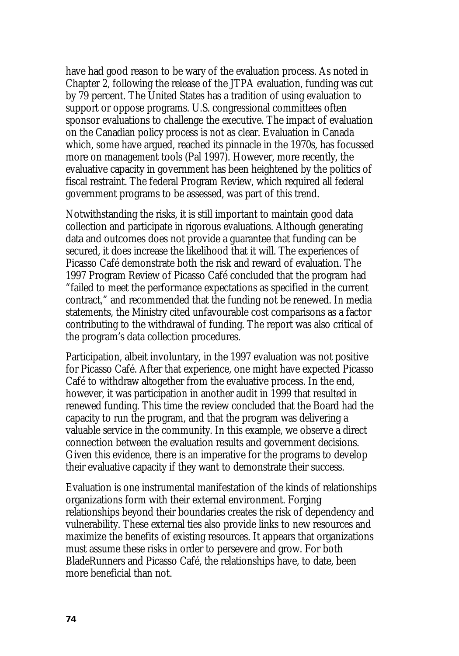have had good reason to be wary of the evaluation process. As noted in Chapter 2, following the release of the JTPA evaluation, funding was cut by 79 percent. The United States has a tradition of using evaluation to support or oppose programs. U.S. congressional committees often sponsor evaluations to challenge the executive. The impact of evaluation on the Canadian policy process is not as clear. Evaluation in Canada which, some have argued, reached its pinnacle in the 1970s, has focussed more on management tools (Pal 1997). However, more recently, the evaluative capacity in government has been heightened by the politics of fiscal restraint. The federal Program Review, which required all federal government programs to be assessed, was part of this trend.

Notwithstanding the risks, it is still important to maintain good data collection and participate in rigorous evaluations. Although generating data and outcomes does not provide a guarantee that funding can be secured, it does increase the likelihood that it will. The experiences of Picasso Café demonstrate both the risk and reward of evaluation. The 1997 Program Review of Picasso Café concluded that the program had "failed to meet the performance expectations as specified in the current contract," and recommended that the funding not be renewed. In media statements, the Ministry cited unfavourable cost comparisons as a factor contributing to the withdrawal of funding. The report was also critical of the program's data collection procedures.

Participation, albeit involuntary, in the 1997 evaluation was not positive for Picasso Café. After that experience, one might have expected Picasso Café to withdraw altogether from the evaluative process. In the end, however, it was participation in another audit in 1999 that resulted in renewed funding. This time the review concluded that the Board had the capacity to run the program, and that the program was delivering a valuable service in the community. In this example, we observe a direct connection between the evaluation results and government decisions. Given this evidence, there is an imperative for the programs to develop their evaluative capacity if they want to demonstrate their success.

Evaluation is one instrumental manifestation of the kinds of relationships organizations form with their external environment. Forging relationships beyond their boundaries creates the risk of dependency and vulnerability. These external ties also provide links to new resources and maximize the benefits of existing resources. It appears that organizations must assume these risks in order to persevere and grow. For both BladeRunners and Picasso Café, the relationships have, to date, been more beneficial than not.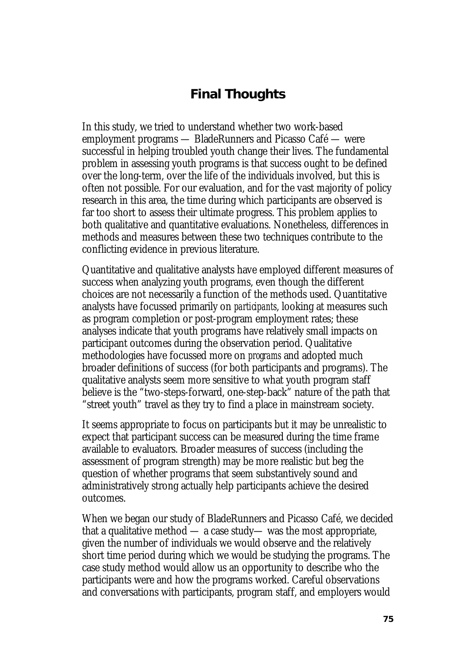## **Final Thoughts**

In this study, we tried to understand whether two work-based employment programs — BladeRunners and Picasso Café — were successful in helping troubled youth change their lives. The fundamental problem in assessing youth programs is that success ought to be defined over the long-term, over the life of the individuals involved, but this is often not possible. For our evaluation, and for the vast majority of policy research in this area, the time during which participants are observed is far too short to assess their ultimate progress. This problem applies to both qualitative and quantitative evaluations. Nonetheless, differences in methods and measures between these two techniques contribute to the conflicting evidence in previous literature.

Quantitative and qualitative analysts have employed different measures of success when analyzing youth programs, even though the different choices are not necessarily a function of the methods used. Quantitative analysts have focussed primarily on *participants*, looking at measures such as program completion or post-program employment rates; these analyses indicate that youth programs have relatively small impacts on participant outcomes during the observation period. Qualitative methodologies have focussed more on *programs* and adopted much broader definitions of success (for both participants and programs). The qualitative analysts seem more sensitive to what youth program staff believe is the "two-steps-forward, one-step-back" nature of the path that "street youth" travel as they try to find a place in mainstream society.

It seems appropriate to focus on participants but it may be unrealistic to expect that participant success can be measured during the time frame available to evaluators. Broader measures of success (including the assessment of program strength) may be more realistic but beg the question of whether programs that seem substantively sound and administratively strong actually help participants achieve the desired outcomes.

When we began our study of BladeRunners and Picasso Café, we decided that a qualitative method  $\sim$  a case study— was the most appropriate, given the number of individuals we would observe and the relatively short time period during which we would be studying the programs. The case study method would allow us an opportunity to describe who the participants were and how the programs worked. Careful observations and conversations with participants, program staff, and employers would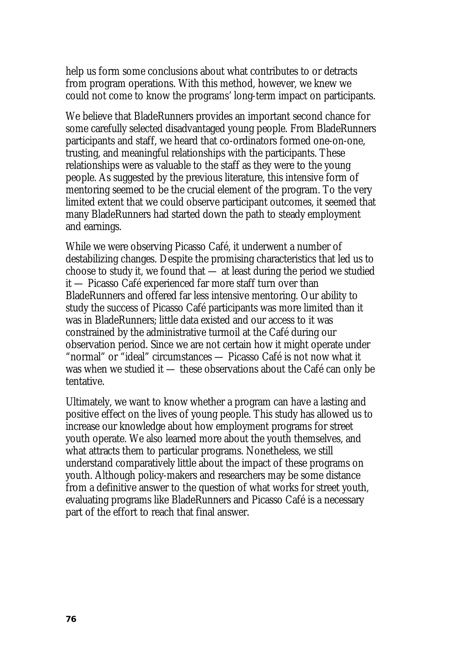help us form some conclusions about what contributes to or detracts from program operations. With this method, however, we knew we could not come to know the programs' long-term impact on participants.

We believe that BladeRunners provides an important second chance for some carefully selected disadvantaged young people. From BladeRunners participants and staff, we heard that co-ordinators formed one-on-one, trusting, and meaningful relationships with the participants. These relationships were as valuable to the staff as they were to the young people. As suggested by the previous literature, this intensive form of mentoring seemed to be the crucial element of the program. To the very limited extent that we could observe participant outcomes, it seemed that many BladeRunners had started down the path to steady employment and earnings.

While we were observing Picasso Café, it underwent a number of destabilizing changes. Despite the promising characteristics that led us to choose to study it, we found that — at least during the period we studied it — Picasso Café experienced far more staff turn over than BladeRunners and offered far less intensive mentoring. Our ability to study the success of Picasso Café participants was more limited than it was in BladeRunners; little data existed and our access to it was constrained by the administrative turmoil at the Café during our observation period. Since we are not certain how it might operate under "normal" or "ideal" circumstances — Picasso Café is not now what it was when we studied it — these observations about the Café can only be tentative.

Ultimately, we want to know whether a program can have a lasting and positive effect on the lives of young people. This study has allowed us to increase our knowledge about how employment programs for street youth operate. We also learned more about the youth themselves, and what attracts them to particular programs. Nonetheless, we still understand comparatively little about the impact of these programs on youth. Although policy-makers and researchers may be some distance from a definitive answer to the question of what works for street youth, evaluating programs like BladeRunners and Picasso Café is a necessary part of the effort to reach that final answer.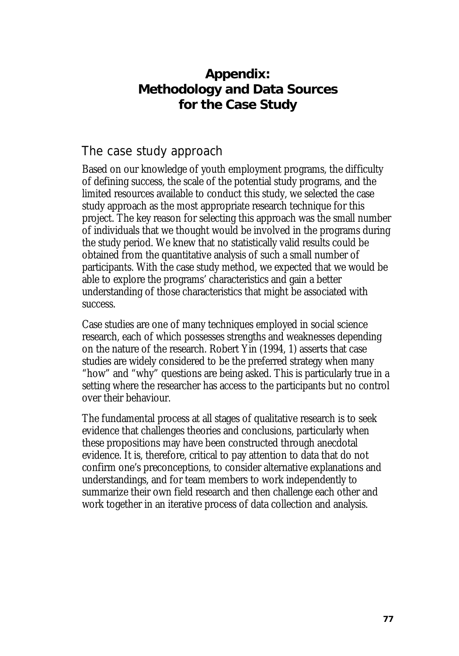# **Appendix: Methodology and Data Sources for the Case Study**

## The case study approach

Based on our knowledge of youth employment programs, the difficulty of defining success, the scale of the potential study programs, and the limited resources available to conduct this study, we selected the case study approach as the most appropriate research technique for this project. The key reason for selecting this approach was the small number of individuals that we thought would be involved in the programs during the study period. We knew that no statistically valid results could be obtained from the quantitative analysis of such a small number of participants. With the case study method, we expected that we would be able to explore the programs' characteristics and gain a better understanding of those characteristics that might be associated with success.

Case studies are one of many techniques employed in social science research, each of which possesses strengths and weaknesses depending on the nature of the research. Robert Yin (1994, 1) asserts that case studies are widely considered to be the preferred strategy when many "how" and "why" questions are being asked. This is particularly true in a setting where the researcher has access to the participants but no control over their behaviour.

The fundamental process at all stages of qualitative research is to seek evidence that challenges theories and conclusions, particularly when these propositions may have been constructed through anecdotal evidence. It is, therefore, critical to pay attention to data that do not confirm one's preconceptions, to consider alternative explanations and understandings, and for team members to work independently to summarize their own field research and then challenge each other and work together in an iterative process of data collection and analysis.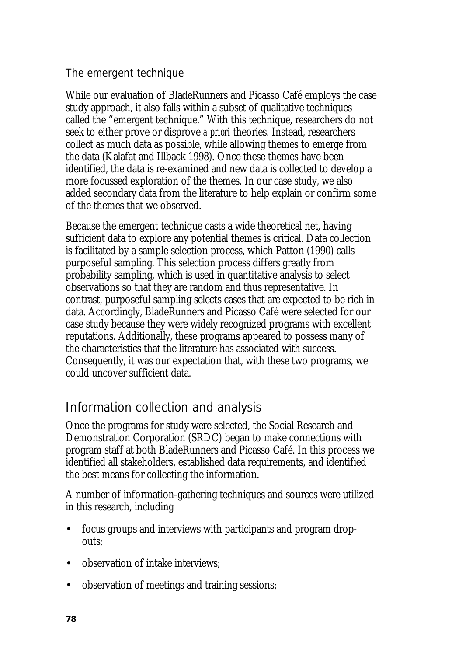#### The emergent technique

While our evaluation of BladeRunners and Picasso Café employs the case study approach, it also falls within a subset of qualitative techniques called the "emergent technique." With this technique, researchers do not seek to either prove or disprove *a priori* theories. Instead, researchers collect as much data as possible, while allowing themes to emerge from the data (Kalafat and Illback 1998). Once these themes have been identified, the data is re-examined and new data is collected to develop a more focussed exploration of the themes. In our case study, we also added secondary data from the literature to help explain or confirm some of the themes that we observed.

Because the emergent technique casts a wide theoretical net, having sufficient data to explore any potential themes is critical. Data collection is facilitated by a sample selection process, which Patton (1990) calls purposeful sampling. This selection process differs greatly from probability sampling, which is used in quantitative analysis to select observations so that they are random and thus representative. In contrast, purposeful sampling selects cases that are expected to be rich in data. Accordingly, BladeRunners and Picasso Café were selected for our case study because they were widely recognized programs with excellent reputations. Additionally, these programs appeared to possess many of the characteristics that the literature has associated with success. Consequently, it was our expectation that, with these two programs, we could uncover sufficient data.

# Information collection and analysis

Once the programs for study were selected, the Social Research and Demonstration Corporation (SRDC) began to make connections with program staff at both BladeRunners and Picasso Café. In this process we identified all stakeholders, established data requirements, and identified the best means for collecting the information.

A number of information-gathering techniques and sources were utilized in this research, including

- focus groups and interviews with participants and program dropouts;
- observation of intake interviews:
- observation of meetings and training sessions;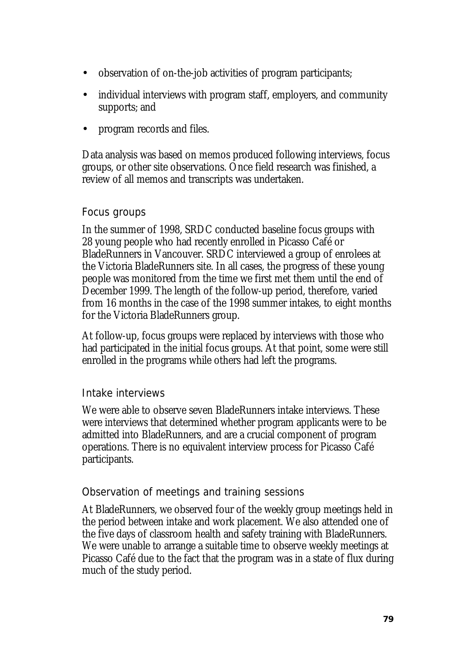- observation of on-the-job activities of program participants;
- individual interviews with program staff, employers, and community supports; and
- program records and files.

Data analysis was based on memos produced following interviews, focus groups, or other site observations. Once field research was finished, a review of all memos and transcripts was undertaken.

#### Focus groups

In the summer of 1998, SRDC conducted baseline focus groups with 28 young people who had recently enrolled in Picasso Café or BladeRunners in Vancouver. SRDC interviewed a group of enrolees at the Victoria BladeRunners site. In all cases, the progress of these young people was monitored from the time we first met them until the end of December 1999. The length of the follow-up period, therefore, varied from 16 months in the case of the 1998 summer intakes, to eight months for the Victoria BladeRunners group.

At follow-up, focus groups were replaced by interviews with those who had participated in the initial focus groups. At that point, some were still enrolled in the programs while others had left the programs.

#### Intake interviews

We were able to observe seven BladeRunners intake interviews. These were interviews that determined whether program applicants were to be admitted into BladeRunners, and are a crucial component of program operations. There is no equivalent interview process for Picasso Café participants.

#### Observation of meetings and training sessions

At BladeRunners, we observed four of the weekly group meetings held in the period between intake and work placement. We also attended one of the five days of classroom health and safety training with BladeRunners. We were unable to arrange a suitable time to observe weekly meetings at Picasso Café due to the fact that the program was in a state of flux during much of the study period.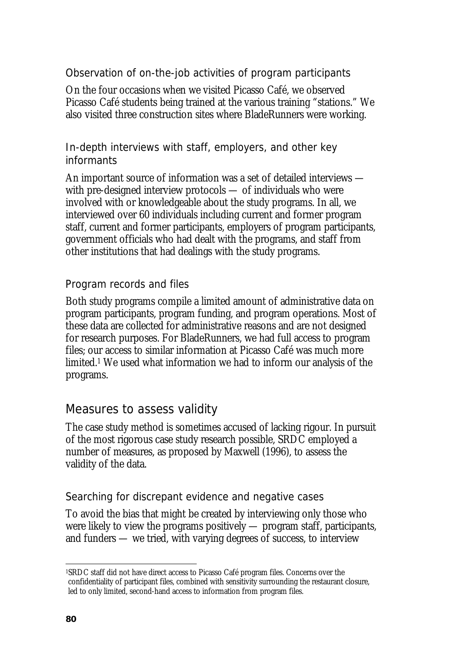Observation of on-the-job activities of program participants

On the four occasions when we visited Picasso Café, we observed Picasso Café students being trained at the various training "stations." We also visited three construction sites where BladeRunners were working.

In-depth interviews with staff, employers, and other key informants

An important source of information was a set of detailed interviews with pre-designed interview protocols — of individuals who were involved with or knowledgeable about the study programs. In all, we interviewed over 60 individuals including current and former program staff, current and former participants, employers of program participants, government officials who had dealt with the programs, and staff from other institutions that had dealings with the study programs.

#### Program records and files

Both study programs compile a limited amount of administrative data on program participants, program funding, and program operations. Most of these data are collected for administrative reasons and are not designed for research purposes. For BladeRunners, we had full access to program files; our access to similar information at Picasso Café was much more limited.1 We used what information we had to inform our analysis of the programs.

### Measures to assess validity

The case study method is sometimes accused of lacking rigour. In pursuit of the most rigorous case study research possible, SRDC employed a number of measures, as proposed by Maxwell (1996), to assess the validity of the data.

#### Searching for discrepant evidence and negative cases

To avoid the bias that might be created by interviewing only those who were likely to view the programs positively — program staff, participants, and funders — we tried, with varying degrees of success, to interview

l 1SRDC staff did not have direct access to Picasso Café program files. Concerns over the confidentiality of participant files, combined with sensitivity surrounding the restaurant closure, led to only limited, second-hand access to information from program files.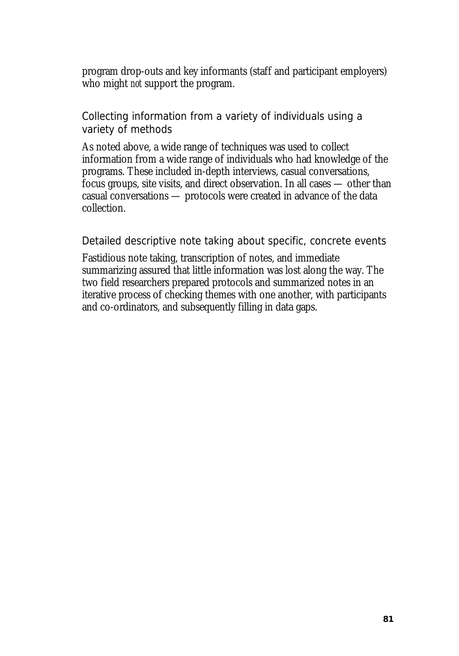program drop-outs and key informants (staff and participant employers) who might *not* support the program.

Collecting information from a variety of individuals using a variety of methods

As noted above, a wide range of techniques was used to collect information from a wide range of individuals who had knowledge of the programs. These included in-depth interviews, casual conversations, focus groups, site visits, and direct observation. In all cases — other than casual conversations — protocols were created in advance of the data collection.

Detailed descriptive note taking about specific, concrete events

Fastidious note taking, transcription of notes, and immediate summarizing assured that little information was lost along the way. The two field researchers prepared protocols and summarized notes in an iterative process of checking themes with one another, with participants and co-ordinators, and subsequently filling in data gaps.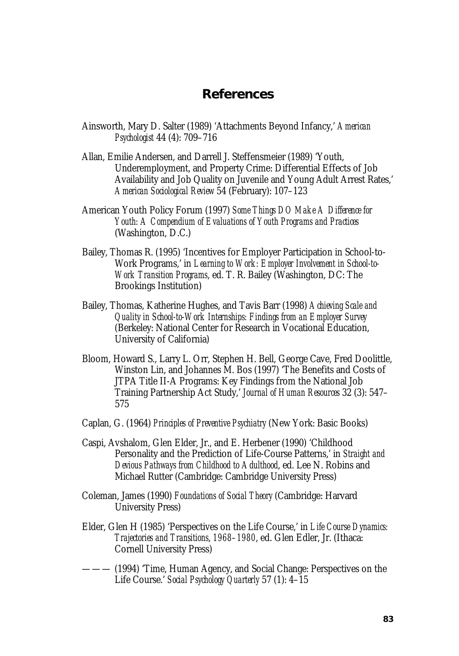#### **References**

- Ainsworth, Mary D. Salter (1989) 'Attachments Beyond Infancy,' *American Psychologist* 44 (4): 709–716
- Allan, Emilie Andersen, and Darrell J. Steffensmeier (1989) 'Youth, Underemployment, and Property Crime: Differential Effects of Job Availability and Job Quality on Juvenile and Young Adult Arrest Rates,' *American Sociological Review* 54 (February): 107–123
- American Youth Policy Forum (1997) *Some Things DO Make A Difference for Youth: A Compendium of Evaluations of Youth Programs and Practices*  (Washington, D.C.)
- Bailey, Thomas R. (1995) 'Incentives for Employer Participation in School-to-Work Programs,' in *Learning to Work: Employer Involvement in School-to-Work Transition Programs*, ed. T. R. Bailey (Washington, DC: The Brookings Institution)
- Bailey, Thomas, Katherine Hughes, and Tavis Barr (1998) *Achieving Scale and Quality in School-to-Work Internships: Findings from an Employer Survey*  (Berkeley: National Center for Research in Vocational Education, University of California)
- Bloom, Howard S., Larry L. Orr, Stephen H. Bell, George Cave, Fred Doolittle, Winston Lin, and Johannes M. Bos (1997) 'The Benefits and Costs of JTPA Title II-A Programs: Key Findings from the National Job Training Partnership Act Study,' *Journal of Human Resources* 32 (3): 547– 575
- Caplan, G. (1964) *Principles of Preventive Psychiatry* (New York: Basic Books)
- Caspi, Avshalom, Glen Elder, Jr., and E. Herbener (1990) 'Childhood Personality and the Prediction of Life-Course Patterns,' in *Straight and Devious Pathways from Childhood to Adulthood*, ed. Lee N. Robins and Michael Rutter (Cambridge: Cambridge University Press)
- Coleman, James (1990) *Foundations of Social Theory* (Cambridge: Harvard University Press)
- Elder, Glen H (1985) 'Perspectives on the Life Course,' in *Life Course Dynamics: Trajectories and Transitions*, *1968–1980*, ed. Glen Edler, Jr. (Ithaca: Cornell University Press)
- ——— (1994) 'Time, Human Agency, and Social Change: Perspectives on the Life Course.' *Social Psychology Quarterly* 57 (1): 4–15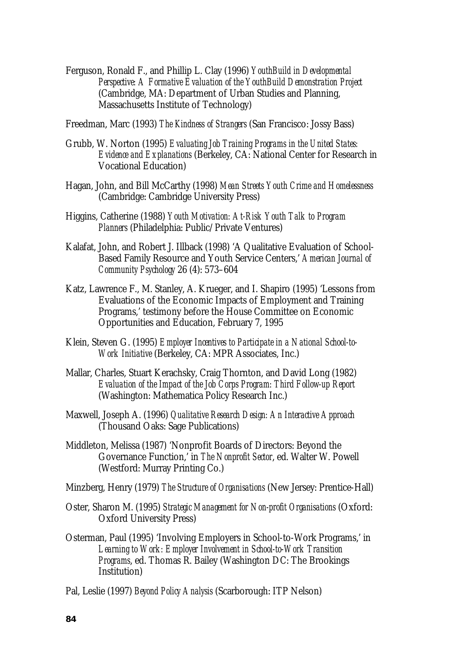Ferguson, Ronald F., and Phillip L. Clay (1996) *YouthBuild in Developmental Perspective: A Formative Evaluation of the YouthBuild Demonstration Project*  (Cambridge, MA: Department of Urban Studies and Planning, Massachusetts Institute of Technology)

Freedman, Marc (1993) *The Kindness of Strangers* (San Francisco: Jossy Bass)

- Grubb, W. Norton (1995) *Evaluating Job Training Programs in the United States: Evidence and Explanations* (Berkeley, CA: National Center for Research in Vocational Education)
- Hagan, John, and Bill McCarthy (1998) *Mean Streets Youth Crime and Homelessness* (Cambridge: Cambridge University Press)
- Higgins, Catherine (1988) *Youth Motivation: At-Risk Youth Talk to Program Planners* (Philadelphia: Public/Private Ventures)
- Kalafat, John, and Robert J. Illback (1998) 'A Qualitative Evaluation of School-Based Family Resource and Youth Service Centers,' *American Journal of Community Psychology* 26 (4): 573–604
- Katz, Lawrence F., M. Stanley, A. Krueger, and I. Shapiro (1995) 'Lessons from Evaluations of the Economic Impacts of Employment and Training Programs,' testimony before the House Committee on Economic Opportunities and Education, February 7, 1995
- Klein, Steven G. (1995) *Employer Incentives to Participate in a National School-to-Work Initiative* (Berkeley, CA: MPR Associates, Inc.)
- Mallar, Charles, Stuart Kerachsky, Craig Thornton, and David Long (1982) *Evaluation of the Impact of the Job Corps Program: Third Follow-up Report*  (Washington: Mathematica Policy Research Inc.)
- Maxwell, Joseph A. (1996) *Qualitative Research Design: An Interactive Approach* (Thousand Oaks: Sage Publications)
- Middleton, Melissa (1987) 'Nonprofit Boards of Directors: Beyond the Governance Function,' in *The Nonprofit Sector*, ed. Walter W. Powell (Westford: Murray Printing Co.)
- Minzberg, Henry (1979) *The Structure of Organisations* (New Jersey: Prentice-Hall)
- Oster, Sharon M. (1995) *Strategic Management for Non-profit Organisations* (Oxford: Oxford University Press)
- Osterman, Paul (1995) 'Involving Employers in School-to-Work Programs,' in *Learning to Work: Employer Involvement in School-to-Work Transition Programs*, ed. Thomas R. Bailey (Washington DC: The Brookings Institution)
- Pal, Leslie (1997) *Beyond Policy Analysis* (Scarborough: ITP Nelson)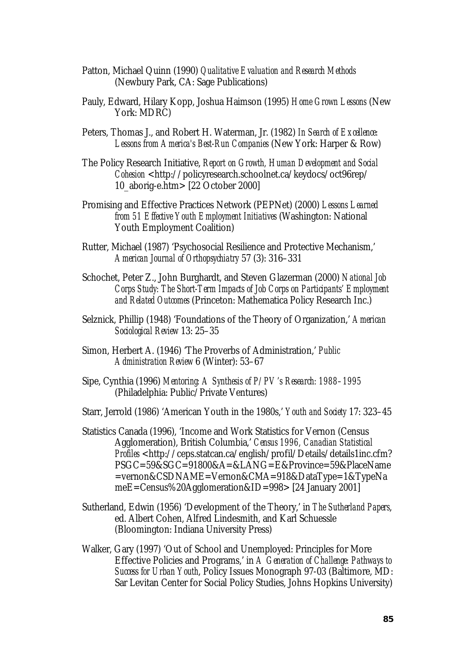- Patton, Michael Quinn (1990) *Qualitative Evaluation and Research Methods*  (Newbury Park, CA: Sage Publications)
- Pauly, Edward, Hilary Kopp, Joshua Haimson (1995) *Home Grown Lessons* (New York: MDRC)
- Peters, Thomas J., and Robert H. Waterman, Jr. (1982) *In Search of Excellence: Lessons from America's Best-Run Companies* (New York: Harper & Row)
- The Policy Research Initiative, *Report on Growth, Human Development and Social Cohesion* <http://policyresearch.schoolnet.ca/keydocs/oct96rep/ 10\_aborig-e.htm> [22 October 2000]
- Promising and Effective Practices Network (PEPNet) (2000) *Lessons Learned from 51 Effective Youth Employment Initiatives* (Washington: National Youth Employment Coalition)
- Rutter, Michael (1987) 'Psychosocial Resilience and Protective Mechanism,' *American Journal of Orthopsychiatry* 57 (3): 316–331
- Schochet, Peter Z., John Burghardt, and Steven Glazerman (2000) *National Job Corps Study: The Short-Term Impacts of Job Corps on Participants' Employment and Related Outcomes* (Princeton: Mathematica Policy Research Inc.)
- Selznick, Phillip (1948) 'Foundations of the Theory of Organization,' *American Sociological Review* 13: 25–35
- Simon, Herbert A. (1946) 'The Proverbs of Administration,' *Public Administration Review* 6 (Winter): 53–67
- Sipe, Cynthia (1996) *Mentoring: A Synthesis of P/PV's Research: 1988–1995* (Philadelphia: Public/Private Ventures)
- Starr, Jerrold (1986) 'American Youth in the 1980s,' *Youth and Society* 17: 323–45
- Statistics Canada (1996), 'Income and Work Statistics for Vernon (Census Agglomeration), British Columbia,' *Census 1996, Canadian Statistical Profiles* <http://ceps.statcan.ca/english/profil/Details/details1inc.cfm? PSGC=59&SGC=91800&A=&LANG=E&Province=59&PlaceName =vernon&CSDNAME=Vernon&CMA=918&DataType=1&TypeNa meE=Census%20Agglomeration&ID=998> [24 January 2001]
- Sutherland, Edwin (1956) 'Development of the Theory,' in *The Sutherland Papers*, ed. Albert Cohen, Alfred Lindesmith, and Karl Schuessle (Bloomington: Indiana University Press)
- Walker, Gary (1997) 'Out of School and Unemployed: Principles for More Effective Policies and Programs,' in *A Generation of Challenge: Pathways to Success for Urban Youth*, Policy Issues Monograph 97-03 (Baltimore, MD: Sar Levitan Center for Social Policy Studies, Johns Hopkins University)